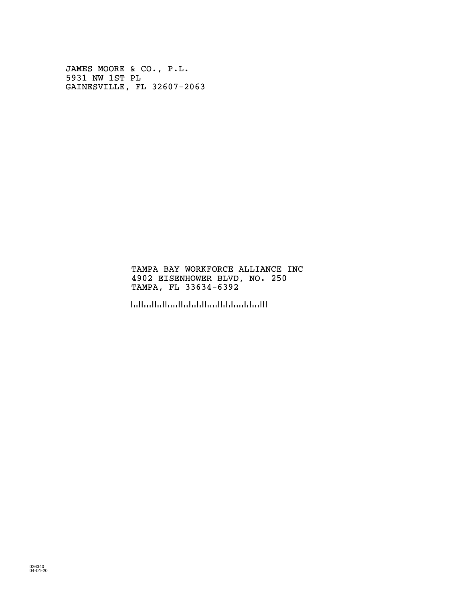JAMES MOORE & CO., P.L. 5931 NW 1ST PL GAINESVILLE, FL 32607-2063

> TAMPA BAY WORKFORCE ALLIANCE INC 4902 EISENHOWER BLVD, NO. 250 TAMPA, FL 33634-6392

!3363463921!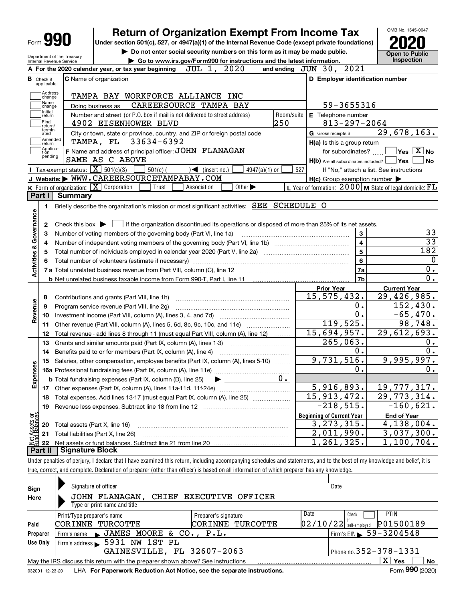|                                                 |                                                                        | <b>Return of Organization Exempt From Income Tax</b>                                                                                                                                                       |                                                                        | OMB No. 1545-0047                                                                                                               |  |  |  |  |
|-------------------------------------------------|------------------------------------------------------------------------|------------------------------------------------------------------------------------------------------------------------------------------------------------------------------------------------------------|------------------------------------------------------------------------|---------------------------------------------------------------------------------------------------------------------------------|--|--|--|--|
|                                                 | Form 990                                                               | Under section 501(c), 527, or 4947(a)(1) of the Internal Revenue Code (except private foundations)                                                                                                         |                                                                        |                                                                                                                                 |  |  |  |  |
|                                                 |                                                                        | Do not enter social security numbers on this form as it may be made public.                                                                                                                                |                                                                        | <b>Open to Public</b>                                                                                                           |  |  |  |  |
|                                                 | Department of the Treasury<br>Internal Revenue Service                 |                                                                                                                                                                                                            | Go to www.irs.gov/Form990 for instructions and the latest information. |                                                                                                                                 |  |  |  |  |
|                                                 |                                                                        | JUL 1, 2020<br>A For the 2020 calendar year, or tax year beginning                                                                                                                                         | and ending JUN 30, 2021                                                |                                                                                                                                 |  |  |  |  |
| <b>B</b> Check if                               |                                                                        | <b>C</b> Name of organization                                                                                                                                                                              | D Employer identification number                                       |                                                                                                                                 |  |  |  |  |
| applicable:                                     |                                                                        |                                                                                                                                                                                                            |                                                                        |                                                                                                                                 |  |  |  |  |
|                                                 | Address<br>change                                                      | TAMPA BAY WORKFORCE ALLIANCE INC                                                                                                                                                                           |                                                                        |                                                                                                                                 |  |  |  |  |
|                                                 | Name<br>change                                                         | CAREERSOURCE TAMPA BAY<br>Doing business as                                                                                                                                                                | 59-3655316                                                             |                                                                                                                                 |  |  |  |  |
| Initial                                         | return                                                                 | Number and street (or P.O. box if mail is not delivered to street address)<br>Room/suite                                                                                                                   | E Telephone number                                                     |                                                                                                                                 |  |  |  |  |
| Final                                           | return/<br>termin-                                                     | 250<br>4902 EISENHOWER BLVD                                                                                                                                                                                | $813 - 297 - 2064$                                                     |                                                                                                                                 |  |  |  |  |
| ated                                            |                                                                        | City or town, state or province, country, and ZIP or foreign postal code                                                                                                                                   | G Gross receipts \$                                                    | 29,678,163.                                                                                                                     |  |  |  |  |
|                                                 | Amended<br>return                                                      | 33634-6392<br>TAMPA, FL                                                                                                                                                                                    | H(a) Is this a group return                                            |                                                                                                                                 |  |  |  |  |
| Ition                                           | Applica-<br>pending                                                    | F Name and address of principal officer: JOHN FLANAGAN                                                                                                                                                     | for subordinates?                                                      | $\sqrt{}$ Yes $\sqrt{}$ $\overline{\text{X}}$ No                                                                                |  |  |  |  |
|                                                 |                                                                        | SAME AS C ABOVE                                                                                                                                                                                            | $H(b)$ Are all subordinates included? $\Box$ Yes                       | ∣No                                                                                                                             |  |  |  |  |
|                                                 | <b>Tax-exempt status:</b> $\boxed{\mathbf{X}}$ 501(c)(3)               | $501(c)$ (<br>$4947(a)(1)$ or<br>$\mathcal{A}$ (insert no.)                                                                                                                                                | 527                                                                    | If "No," attach a list. See instructions                                                                                        |  |  |  |  |
|                                                 |                                                                        | J Website: WWW.CAREERSOURCETAMPABAY.COM                                                                                                                                                                    | $H(c)$ Group exemption number $\blacktriangleright$                    |                                                                                                                                 |  |  |  |  |
|                                                 | K Form of organization: X Corporation                                  | Other $\blacktriangleright$<br>Trust<br>Association                                                                                                                                                        | L Year of formation: $2000 \mid M$ State of legal domicile: $FL$       |                                                                                                                                 |  |  |  |  |
| Part I                                          | <b>Summary</b>                                                         |                                                                                                                                                                                                            |                                                                        |                                                                                                                                 |  |  |  |  |
| 1.                                              |                                                                        | Briefly describe the organization's mission or most significant activities: SEE SCHEDULE O                                                                                                                 |                                                                        |                                                                                                                                 |  |  |  |  |
|                                                 |                                                                        |                                                                                                                                                                                                            |                                                                        |                                                                                                                                 |  |  |  |  |
| Governance<br>2                                 |                                                                        | Check this box $\triangleright$ $\blacksquare$ if the organization discontinued its operations or disposed of more than 25% of its net assets.                                                             |                                                                        | 33                                                                                                                              |  |  |  |  |
| з                                               | 3<br>Number of voting members of the governing body (Part VI, line 1a) |                                                                                                                                                                                                            |                                                                        |                                                                                                                                 |  |  |  |  |
| 4                                               |                                                                        | $\overline{\mathbf{4}}$                                                                                                                                                                                    | $\overline{33}$                                                        |                                                                                                                                 |  |  |  |  |
| <b>Activities &amp;</b><br>5                    |                                                                        |                                                                                                                                                                                                            | 5                                                                      | 182                                                                                                                             |  |  |  |  |
| 6                                               |                                                                        |                                                                                                                                                                                                            | $6\phantom{a}$                                                         |                                                                                                                                 |  |  |  |  |
|                                                 |                                                                        |                                                                                                                                                                                                            | 7a                                                                     | 0.                                                                                                                              |  |  |  |  |
|                                                 |                                                                        | <b>b</b> Net unrelated business taxable income from Form 990-T, Part I, line 11 <b>manual</b> contains an extendion of Net units of Net unrelated business taxable income from Form 990-T, Part I, line 11 | 7b                                                                     | $\overline{0}$ .                                                                                                                |  |  |  |  |
|                                                 |                                                                        |                                                                                                                                                                                                            | <b>Prior Year</b>                                                      | <b>Current Year</b>                                                                                                             |  |  |  |  |
| 8                                               |                                                                        | Contributions and grants (Part VIII, line 1h)                                                                                                                                                              | 15, 575, 432.                                                          | $\overline{29,426,985}$ .                                                                                                       |  |  |  |  |
| 9                                               |                                                                        | Program service revenue (Part VIII, line 2g)                                                                                                                                                               | О.                                                                     | 152,430.                                                                                                                        |  |  |  |  |
| Revenue<br>10                                   |                                                                        |                                                                                                                                                                                                            | $\overline{0}$ .                                                       | $-65,470.$                                                                                                                      |  |  |  |  |
| 11                                              |                                                                        | Other revenue (Part VIII, column (A), lines 5, 6d, 8c, 9c, 10c, and 11e)                                                                                                                                   | 119,525.                                                               |                                                                                                                                 |  |  |  |  |
|                                                 |                                                                        |                                                                                                                                                                                                            |                                                                        |                                                                                                                                 |  |  |  |  |
| 12                                              |                                                                        | Total revenue - add lines 8 through 11 (must equal Part VIII, column (A), line 12)                                                                                                                         | 15,694,957.                                                            |                                                                                                                                 |  |  |  |  |
| 13                                              |                                                                        | Grants and similar amounts paid (Part IX, column (A), lines 1-3)                                                                                                                                           | $\overline{265}$ , 063.                                                |                                                                                                                                 |  |  |  |  |
| 14                                              |                                                                        | Benefits paid to or for members (Part IX, column (A), line 4)                                                                                                                                              | 0.                                                                     |                                                                                                                                 |  |  |  |  |
| 15                                              |                                                                        | Salaries, other compensation, employee benefits (Part IX, column (A), lines 5-10)                                                                                                                          | 9,731,516.                                                             |                                                                                                                                 |  |  |  |  |
|                                                 |                                                                        |                                                                                                                                                                                                            | υ.                                                                     |                                                                                                                                 |  |  |  |  |
|                                                 |                                                                        | $0$ .<br><b>b</b> Total fundraising expenses (Part IX, column (D), line 25)                                                                                                                                |                                                                        |                                                                                                                                 |  |  |  |  |
| 17                                              |                                                                        |                                                                                                                                                                                                            | 5,916,893.                                                             |                                                                                                                                 |  |  |  |  |
| 18                                              |                                                                        | Total expenses. Add lines 13-17 (must equal Part IX, column (A), line 25) [                                                                                                                                | 15, 913, 472.                                                          |                                                                                                                                 |  |  |  |  |
| 19                                              |                                                                        |                                                                                                                                                                                                            | $-218,515.$                                                            |                                                                                                                                 |  |  |  |  |
|                                                 |                                                                        |                                                                                                                                                                                                            | <b>Beginning of Current Year</b>                                       | <b>End of Year</b>                                                                                                              |  |  |  |  |
| 20                                              | Total assets (Part X, line 16)                                         |                                                                                                                                                                                                            | 3, 273, 315.                                                           |                                                                                                                                 |  |  |  |  |
| Expenses<br>sets or<br>alances<br>ۼۼ<br>ڂ<br>21 |                                                                        | Total liabilities (Part X, line 26)                                                                                                                                                                        | 2,011,990.                                                             | 98,748.<br>29,612,693.<br>0.<br>0.<br>9,995,997.<br>0.<br>19,777,317.<br>29,773,314.<br>$-160,621.$<br>4,138,004.<br>3,037,300. |  |  |  |  |
| 22                                              |                                                                        |                                                                                                                                                                                                            | , 261, 325.<br>ı                                                       | 1,100,704.                                                                                                                      |  |  |  |  |

| Sign<br>Here | Signature of officer<br>JOHN FLANAGAN, CHIEF EXECUTIVE OFFICER<br>Type or print name and title      |                              | Date                                         |  |  |  |  |  |  |  |  |
|--------------|-----------------------------------------------------------------------------------------------------|------------------------------|----------------------------------------------|--|--|--|--|--|--|--|--|
|              | Print/Type preparer's name                                                                          | Date<br>Preparer's signature | <b>PTIN</b><br>Check                         |  |  |  |  |  |  |  |  |
| Paid         | CORINNE TURCOTTE                                                                                    | CORINNE TURCOTTE             | P01500189<br> 02/10/22 <br>self-emploved     |  |  |  |  |  |  |  |  |
| Preparer     | Firm's name JAMES MOORE & CO., P.L.                                                                 |                              | $1$ Firm's EIN $\triangleright$ 59 - 3204548 |  |  |  |  |  |  |  |  |
| Use Only     | Firm's address > 5931 NW 1ST PL                                                                     |                              |                                              |  |  |  |  |  |  |  |  |
|              | GAINESVILLE, FL 32607-2063<br>Phone no. $352 - 378 - 1331$                                          |                              |                                              |  |  |  |  |  |  |  |  |
|              | X l<br>Yes<br>No<br>May the IRS discuss this return with the preparer shown above? See instructions |                              |                                              |  |  |  |  |  |  |  |  |
|              | nnn.                                                                                                |                              |                                              |  |  |  |  |  |  |  |  |

032001 12-23-20 LHA **For Paperwork Reduction Act Notice, see the separate instructions.** Form 990 (2020)

**990**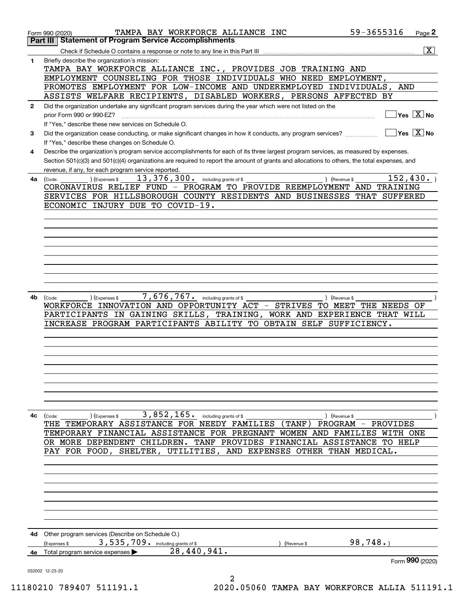|              | TAMPA BAY WORKFORCE ALLIANCE INC<br>Form 990 (2020)                                                                                                             | 59-3655316<br>Page 2                   |
|--------------|-----------------------------------------------------------------------------------------------------------------------------------------------------------------|----------------------------------------|
|              | <b>Statement of Program Service Accomplishments</b><br>Part III                                                                                                 |                                        |
|              | Check if Schedule O contains a response or note to any line in this Part III                                                                                    | $\overline{\mathtt{x}}$                |
| 1            | Briefly describe the organization's mission:<br>TAMPA BAY WORKFORCE ALLIANCE INC., PROVIDES JOB TRAINING AND                                                    |                                        |
|              | EMPLOYMENT COUNSELING FOR THOSE INDIVIDUALS WHO NEED EMPLOYMENT,                                                                                                |                                        |
|              | PROMOTES EMPLOYMENT FOR LOW-INCOME AND UNDEREMPLOYED INDIVIDUALS,                                                                                               | AND                                    |
|              | ASSISTS WELFARE RECIPIENTS, DISABLED WORKERS, PERSONS AFFECTED BY                                                                                               |                                        |
| $\mathbf{2}$ | Did the organization undertake any significant program services during the year which were not listed on the                                                    |                                        |
|              | prior Form 990 or 990-EZ?                                                                                                                                       | $Yes \quad X$ No                       |
|              | If "Yes," describe these new services on Schedule O.                                                                                                            | $\sqrt{}$ Yes $\sqrt{}$ X $\sqrt{}$ No |
| 3            | Did the organization cease conducting, or make significant changes in how it conducts, any program services?<br>If "Yes," describe these changes on Schedule O. |                                        |
| 4            | Describe the organization's program service accomplishments for each of its three largest program services, as measured by expenses.                            |                                        |
|              | Section 501(c)(3) and 501(c)(4) organizations are required to report the amount of grants and allocations to others, the total expenses, and                    |                                        |
|              | revenue, if any, for each program service reported.                                                                                                             |                                        |
| 4a           | 13, 376, 300. including grants of \$<br>(Expenses \$<br>(Code:                                                                                                  | 152, 430.<br>) (Revenue \$             |
|              | CORONAVIRUS RELIEF FUND - PROGRAM TO PROVIDE REEMPLOYMENT AND TRAINING                                                                                          |                                        |
|              | SERVICES FOR HILLSBOROUGH COUNTY RESIDENTS AND BUSINESSES THAT SUFFERED<br>ECONOMIC INJURY DUE TO COVID-19.                                                     |                                        |
|              |                                                                                                                                                                 |                                        |
|              |                                                                                                                                                                 |                                        |
|              |                                                                                                                                                                 |                                        |
|              |                                                                                                                                                                 |                                        |
|              |                                                                                                                                                                 |                                        |
|              |                                                                                                                                                                 |                                        |
|              |                                                                                                                                                                 |                                        |
|              |                                                                                                                                                                 |                                        |
| 4b           | 7,676,767. including grants of \$<br>) (Expenses \$<br>(Code:                                                                                                   | ) (Revenue \$                          |
|              | WORKFORCE INNOVATION AND OPPORTUNITY ACT - STRIVES TO MEET THE NEEDS OF                                                                                         |                                        |
|              | PARTICIPANTS IN GAINING SKILLS, TRAINING, WORK AND EXPERIENCE THAT WILL                                                                                         |                                        |
|              | INCREASE PROGRAM PARTICIPANTS ABILITY TO OBTAIN SELF SUFFICIENCY.                                                                                               |                                        |
|              |                                                                                                                                                                 |                                        |
|              |                                                                                                                                                                 |                                        |
|              |                                                                                                                                                                 |                                        |
|              |                                                                                                                                                                 |                                        |
|              |                                                                                                                                                                 |                                        |
|              |                                                                                                                                                                 |                                        |
|              |                                                                                                                                                                 |                                        |
| 4с           | 3,852,165. including grants of \$<br>(Code:<br>) (Expenses \$                                                                                                   | ) (Revenue \$                          |
|              | THE TEMPORARY ASSISTANCE FOR NEEDY FAMILIES (TANF) PROGRAM - PROVIDES                                                                                           |                                        |
|              | TEMPORARY FINANCIAL ASSISTANCE FOR PREGNANT WOMEN AND FAMILIES WITH ONE                                                                                         |                                        |
|              | OR MORE DEPENDENT CHILDREN. TANF PROVIDES FINANCIAL ASSISTANCE TO HELP<br>PAY FOR FOOD, SHELTER, UTILITIES, AND EXPENSES OTHER THAN MEDICAL.                    |                                        |
|              |                                                                                                                                                                 |                                        |
|              |                                                                                                                                                                 |                                        |
|              |                                                                                                                                                                 |                                        |
|              |                                                                                                                                                                 |                                        |
|              |                                                                                                                                                                 |                                        |
|              |                                                                                                                                                                 |                                        |
|              |                                                                                                                                                                 |                                        |
|              | 4d Other program services (Describe on Schedule O.)                                                                                                             |                                        |
|              | 3,535,709. including grants of \$<br>(Expenses \$<br>(Revenue \$                                                                                                | 98,748.                                |
| 4e           | 28,440,941.<br>Total program service expenses                                                                                                                   | Form 990 (2020)                        |
|              | 032002 12-23-20                                                                                                                                                 |                                        |
|              | 2<br>$0.010$ 700107 $E11101$ 1<br>2020 AEACA MAMDA DAV MODERODOR                                                                                                |                                        |

11180210 789407 511191.1 2020.05060 TAMPA BAY WORKFORCE ALLIA 511191.1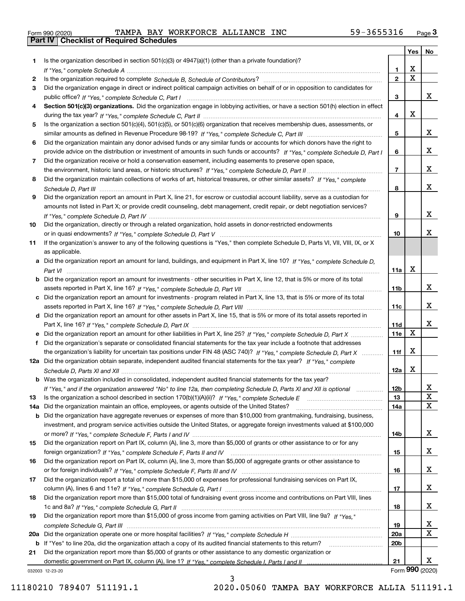|  | Form 990 (2020) |  |
|--|-----------------|--|

Form 990 (2020) TAMPA BAY WORKFORCE ALLIANCE INC 59-3655316 <sub>Page</sub> 3<br>**Part IV | Checklist of Required Schedules** 

|     |                                                                                                                                                 |                 | Yes                     | No              |
|-----|-------------------------------------------------------------------------------------------------------------------------------------------------|-----------------|-------------------------|-----------------|
| 1.  | Is the organization described in section $501(c)(3)$ or $4947(a)(1)$ (other than a private foundation)?                                         |                 |                         |                 |
|     |                                                                                                                                                 | 1.              | X                       |                 |
| 2   |                                                                                                                                                 | $\overline{2}$  | $\overline{\mathbf{x}}$ |                 |
| 3   | Did the organization engage in direct or indirect political campaign activities on behalf of or in opposition to candidates for                 |                 |                         |                 |
|     |                                                                                                                                                 | 3               |                         | x               |
| 4   | Section 501(c)(3) organizations. Did the organization engage in lobbying activities, or have a section 501(h) election in effect                |                 |                         |                 |
|     |                                                                                                                                                 | 4               | X                       |                 |
| 5   | Is the organization a section 501(c)(4), 501(c)(5), or 501(c)(6) organization that receives membership dues, assessments, or                    |                 |                         |                 |
|     |                                                                                                                                                 | 5               |                         | x               |
| 6   | Did the organization maintain any donor advised funds or any similar funds or accounts for which donors have the right to                       |                 |                         |                 |
|     | provide advice on the distribution or investment of amounts in such funds or accounts? If "Yes," complete Schedule D, Part I                    | 6               |                         | x               |
| 7   | Did the organization receive or hold a conservation easement, including easements to preserve open space,                                       |                 |                         |                 |
|     |                                                                                                                                                 | $\overline{7}$  |                         | x               |
| 8   | Did the organization maintain collections of works of art, historical treasures, or other similar assets? If "Yes," complete                    |                 |                         |                 |
|     |                                                                                                                                                 | 8               |                         | X.              |
| 9   | Did the organization report an amount in Part X, line 21, for escrow or custodial account liability, serve as a custodian for                   |                 |                         |                 |
|     | amounts not listed in Part X; or provide credit counseling, debt management, credit repair, or debt negotiation services?                       |                 |                         | X.              |
|     |                                                                                                                                                 | 9               |                         |                 |
| 10  | Did the organization, directly or through a related organization, hold assets in donor-restricted endowments                                    | 10              |                         | x.              |
|     | If the organization's answer to any of the following questions is "Yes," then complete Schedule D, Parts VI, VII, VIII, IX, or X                |                 |                         |                 |
| 11  |                                                                                                                                                 |                 |                         |                 |
|     | as applicable.<br>a Did the organization report an amount for land, buildings, and equipment in Part X, line 10? If "Yes," complete Schedule D, |                 |                         |                 |
|     |                                                                                                                                                 | 11a             | Х                       |                 |
|     | <b>b</b> Did the organization report an amount for investments - other securities in Part X, line 12, that is 5% or more of its total           |                 |                         |                 |
|     |                                                                                                                                                 | 11 <sub>b</sub> |                         | X.              |
|     | c Did the organization report an amount for investments - program related in Part X, line 13, that is 5% or more of its total                   |                 |                         |                 |
|     |                                                                                                                                                 | 11c             |                         | X.              |
|     | d Did the organization report an amount for other assets in Part X, line 15, that is 5% or more of its total assets reported in                 |                 |                         |                 |
|     |                                                                                                                                                 | 11d             |                         | x               |
|     | e Did the organization report an amount for other liabilities in Part X, line 25? If "Yes," complete Schedule D, Part X                         | 11e             | $\mathbf X$             |                 |
| f   | Did the organization's separate or consolidated financial statements for the tax year include a footnote that addresses                         |                 |                         |                 |
|     | the organization's liability for uncertain tax positions under FIN 48 (ASC 740)? If "Yes," complete Schedule D, Part X                          | 11f             | Χ                       |                 |
|     | 12a Did the organization obtain separate, independent audited financial statements for the tax year? If "Yes," complete                         |                 |                         |                 |
|     |                                                                                                                                                 | 12a             | Х                       |                 |
|     | b Was the organization included in consolidated, independent audited financial statements for the tax year?                                     |                 |                         |                 |
|     | If "Yes," and if the organization answered "No" to line 12a, then completing Schedule D, Parts XI and XII is optional manum                     | 12b             |                         | ᅀ               |
| 13  |                                                                                                                                                 | 13              |                         | X               |
| 14a | Did the organization maintain an office, employees, or agents outside of the United States?                                                     | 14a             |                         | х               |
| b   | Did the organization have aggregate revenues or expenses of more than \$10,000 from grantmaking, fundraising, business,                         |                 |                         |                 |
|     | investment, and program service activities outside the United States, or aggregate foreign investments valued at \$100,000                      |                 |                         |                 |
|     |                                                                                                                                                 | 14b             |                         | X.              |
| 15  | Did the organization report on Part IX, column (A), line 3, more than \$5,000 of grants or other assistance to or for any                       |                 |                         |                 |
|     |                                                                                                                                                 | 15              |                         | X.              |
| 16  | Did the organization report on Part IX, column (A), line 3, more than \$5,000 of aggregate grants or other assistance to                        |                 |                         |                 |
|     |                                                                                                                                                 | 16              |                         | x               |
| 17  | Did the organization report a total of more than \$15,000 of expenses for professional fundraising services on Part IX,                         |                 |                         |                 |
|     |                                                                                                                                                 | 17              |                         | X.              |
| 18  | Did the organization report more than \$15,000 total of fundraising event gross income and contributions on Part VIII, lines                    |                 |                         |                 |
|     |                                                                                                                                                 | 18              |                         | x               |
| 19  | Did the organization report more than \$15,000 of gross income from gaming activities on Part VIII, line 9a? If "Yes."                          |                 |                         |                 |
|     |                                                                                                                                                 | 19              |                         | x               |
|     |                                                                                                                                                 | <b>20a</b>      |                         | х               |
|     | b If "Yes" to line 20a, did the organization attach a copy of its audited financial statements to this return?                                  | 20 <sub>b</sub> |                         |                 |
| 21  | Did the organization report more than \$5,000 of grants or other assistance to any domestic organization or                                     |                 |                         |                 |
|     |                                                                                                                                                 | 21              |                         | X.              |
|     | 032003 12-23-20                                                                                                                                 |                 |                         | Form 990 (2020) |

032003 12-23-20

3 11180210 789407 511191.1 2020.05060 TAMPA BAY WORKFORCE ALLIA 511191.1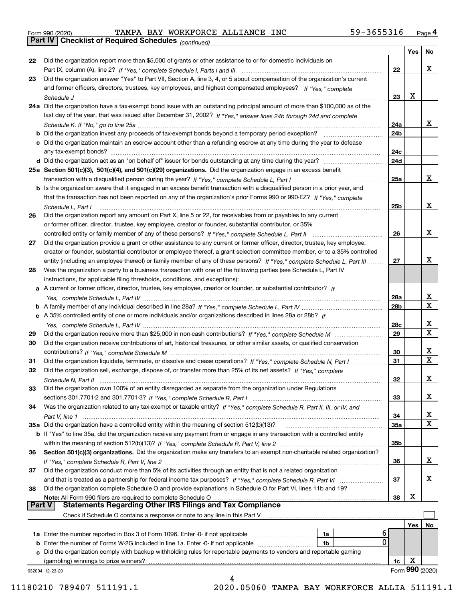|  | Form 990 (2020) |
|--|-----------------|
|  |                 |

*(continued)* Form 990 (2020) TAMPA BAY WORKFORCE ALLIANCE INC 59-3655316 <sub>Page</sub> 4<br>**Part IV | Checklist of Required Schedules** <sub>(continued)</sub>

|               |                                                                                                                              |                 | Yes | No              |
|---------------|------------------------------------------------------------------------------------------------------------------------------|-----------------|-----|-----------------|
| 22            | Did the organization report more than \$5,000 of grants or other assistance to or for domestic individuals on                |                 |     |                 |
|               |                                                                                                                              | 22              |     | x               |
| 23            | Did the organization answer "Yes" to Part VII, Section A, line 3, 4, or 5 about compensation of the organization's current   |                 |     |                 |
|               | and former officers, directors, trustees, key employees, and highest compensated employees? If "Yes," complete               |                 |     |                 |
|               |                                                                                                                              | 23              | х   |                 |
|               | 24a Did the organization have a tax-exempt bond issue with an outstanding principal amount of more than \$100,000 as of the  |                 |     |                 |
|               | last day of the year, that was issued after December 31, 2002? If "Yes," answer lines 24b through 24d and complete           |                 |     |                 |
|               |                                                                                                                              | 24a             |     | X.              |
|               | <b>b</b> Did the organization invest any proceeds of tax-exempt bonds beyond a temporary period exception?                   | 24b             |     |                 |
|               | c Did the organization maintain an escrow account other than a refunding escrow at any time during the year to defease       |                 |     |                 |
|               | any tax-exempt bonds?                                                                                                        | 24c             |     |                 |
|               |                                                                                                                              | 24d             |     |                 |
|               | 25a Section 501(c)(3), 501(c)(4), and 501(c)(29) organizations. Did the organization engage in an excess benefit             |                 |     |                 |
|               |                                                                                                                              | 25a             |     | x               |
|               | b Is the organization aware that it engaged in an excess benefit transaction with a disqualified person in a prior year, and |                 |     |                 |
|               | that the transaction has not been reported on any of the organization's prior Forms 990 or 990-EZ? If "Yes," complete        |                 |     |                 |
|               | Schedule L. Part I                                                                                                           | 25b             |     | x               |
| 26            | Did the organization report any amount on Part X, line 5 or 22, for receivables from or payables to any current              |                 |     |                 |
|               | or former officer, director, trustee, key employee, creator or founder, substantial contributor, or 35%                      |                 |     |                 |
|               |                                                                                                                              | 26              |     | x               |
| 27            | Did the organization provide a grant or other assistance to any current or former officer, director, trustee, key employee,  |                 |     |                 |
|               | creator or founder, substantial contributor or employee thereof, a grant selection committee member, or to a 35% controlled  |                 |     |                 |
|               | entity (including an employee thereof) or family member of any of these persons? If "Yes," complete Schedule L, Part III     | 27              |     | x               |
| 28            | Was the organization a party to a business transaction with one of the following parties (see Schedule L, Part IV            |                 |     |                 |
|               | instructions, for applicable filing thresholds, conditions, and exceptions):                                                 |                 |     |                 |
|               | a A current or former officer, director, trustee, key employee, creator or founder, or substantial contributor? If           |                 |     |                 |
|               |                                                                                                                              | 28a             |     | x               |
|               |                                                                                                                              | 28 <sub>b</sub> |     | x               |
|               | c A 35% controlled entity of one or more individuals and/or organizations described in lines 28a or 28b? If                  |                 |     |                 |
|               |                                                                                                                              | 28c             |     | x               |
| 29            |                                                                                                                              | 29              |     | X               |
| 30            | Did the organization receive contributions of art, historical treasures, or other similar assets, or qualified conservation  |                 |     |                 |
|               |                                                                                                                              | 30              |     | x               |
| 31            | Did the organization liquidate, terminate, or dissolve and cease operations? If "Yes," complete Schedule N, Part I           | 31              |     | X               |
| 32            | Did the organization sell, exchange, dispose of, or transfer more than 25% of its net assets? If "Yes," complete             |                 |     |                 |
|               |                                                                                                                              | 32              |     | x               |
| 33            | Did the organization own 100% of an entity disregarded as separate from the organization under Regulations                   |                 |     |                 |
|               |                                                                                                                              | 33              |     | x               |
| 34            | Was the organization related to any tax-exempt or taxable entity? If "Yes," complete Schedule R, Part II, III, or IV, and    |                 |     |                 |
|               |                                                                                                                              | 34              |     | x               |
|               | 35a Did the organization have a controlled entity within the meaning of section 512(b)(13)?                                  | <b>35a</b>      |     | x               |
|               | b If "Yes" to line 35a, did the organization receive any payment from or engage in any transaction with a controlled entity  |                 |     |                 |
|               |                                                                                                                              | 35b             |     |                 |
| 36            | Section 501(c)(3) organizations. Did the organization make any transfers to an exempt non-charitable related organization?   |                 |     |                 |
|               |                                                                                                                              | 36              |     | x               |
| 37            | Did the organization conduct more than 5% of its activities through an entity that is not a related organization             |                 |     |                 |
|               | and that is treated as a partnership for federal income tax purposes? If "Yes," complete Schedule R, Part VI                 | 37              |     | x               |
| 38            | Did the organization complete Schedule O and provide explanations in Schedule O for Part VI, lines 11b and 19?               |                 |     |                 |
|               | Note: All Form 990 filers are required to complete Schedule O                                                                | 38              | X   |                 |
| <b>Part V</b> | <b>Statements Regarding Other IRS Filings and Tax Compliance</b>                                                             |                 |     |                 |
|               | Check if Schedule O contains a response or note to any line in this Part V                                                   |                 |     |                 |
|               |                                                                                                                              |                 | Yes | No              |
|               | 6<br>1a Enter the number reported in Box 3 of Form 1096. Enter -0- if not applicable<br>1a                                   |                 |     |                 |
|               | 0<br><b>b</b> Enter the number of Forms W-2G included in line 1a. Enter -0- if not applicable<br>1b                          |                 |     |                 |
|               | c Did the organization comply with backup withholding rules for reportable payments to vendors and reportable gaming         |                 |     |                 |
|               | (gambling) winnings to prize winners?                                                                                        | 1c              | X   |                 |
|               | 032004 12-23-20                                                                                                              |                 |     | Form 990 (2020) |
|               |                                                                                                                              |                 |     |                 |

11180210 789407 511191.1 2020.05060 TAMPA BAY WORKFORCE ALLIA 511191.1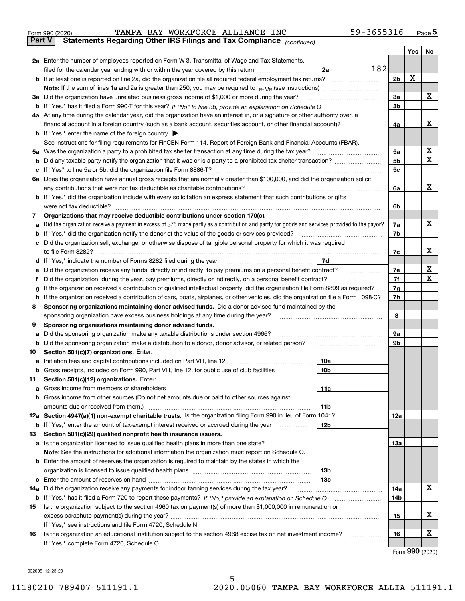| Form 990 (2020) |  | TAMPA BAY WORKFORCE ALLIANCE INC |                                                                                                | 59-3655316 | Page 5 |
|-----------------|--|----------------------------------|------------------------------------------------------------------------------------------------|------------|--------|
|                 |  |                                  | <b>Part V</b> Statements Regarding Other IRS Filings and Tax Compliance <sub>(continued)</sub> |            |        |

|     | Part V<br>Statements Regarding Other IRS Fillings and Tax Compilance $_{(continued)}$                                                                                                                         |     |                |     |    |  |  |  |  |
|-----|---------------------------------------------------------------------------------------------------------------------------------------------------------------------------------------------------------------|-----|----------------|-----|----|--|--|--|--|
|     |                                                                                                                                                                                                               |     |                | Yes | No |  |  |  |  |
|     | 2a Enter the number of employees reported on Form W-3, Transmittal of Wage and Tax Statements,                                                                                                                |     |                |     |    |  |  |  |  |
|     | filed for the calendar year ending with or within the year covered by this return<br>2a                                                                                                                       | 182 |                |     |    |  |  |  |  |
|     |                                                                                                                                                                                                               |     | 2 <sub>b</sub> | X   |    |  |  |  |  |
|     |                                                                                                                                                                                                               |     |                |     |    |  |  |  |  |
|     | 3a Did the organization have unrelated business gross income of \$1,000 or more during the year?                                                                                                              |     |                |     |    |  |  |  |  |
|     | b If "Yes," has it filed a Form 990-T for this year? If "No" to line 3b, provide an explanation on Schedule O                                                                                                 |     | 3b             |     |    |  |  |  |  |
|     | 4a At any time during the calendar year, did the organization have an interest in, or a signature or other authority over, a                                                                                  |     |                |     |    |  |  |  |  |
|     | financial account in a foreign country (such as a bank account, securities account, or other financial account)?                                                                                              |     | 4a             |     | х  |  |  |  |  |
|     | <b>b</b> If "Yes," enter the name of the foreign country                                                                                                                                                      |     |                |     |    |  |  |  |  |
|     | See instructions for filing requirements for FinCEN Form 114, Report of Foreign Bank and Financial Accounts (FBAR).                                                                                           |     |                |     | х  |  |  |  |  |
|     | 5a Was the organization a party to a prohibited tax shelter transaction at any time during the tax year?                                                                                                      |     | 5а             |     | Χ  |  |  |  |  |
|     |                                                                                                                                                                                                               |     | 5b             |     |    |  |  |  |  |
|     |                                                                                                                                                                                                               |     | 5c             |     |    |  |  |  |  |
|     | 6a Does the organization have annual gross receipts that are normally greater than \$100,000, and did the organization solicit<br>any contributions that were not tax deductible as charitable contributions? |     |                |     | x  |  |  |  |  |
|     | <b>b</b> If "Yes," did the organization include with every solicitation an express statement that such contributions or gifts                                                                                 |     | 6a             |     |    |  |  |  |  |
|     | were not tax deductible?                                                                                                                                                                                      |     | 6b             |     |    |  |  |  |  |
| 7   | Organizations that may receive deductible contributions under section 170(c).                                                                                                                                 |     |                |     |    |  |  |  |  |
| а   | Did the organization receive a payment in excess of \$75 made partly as a contribution and partly for goods and services provided to the payor?                                                               |     | 7a             |     | х  |  |  |  |  |
| b   | If "Yes," did the organization notify the donor of the value of the goods or services provided?                                                                                                               |     | 7b             |     |    |  |  |  |  |
|     | c Did the organization sell, exchange, or otherwise dispose of tangible personal property for which it was required                                                                                           |     |                |     |    |  |  |  |  |
|     | to file Form 8282?                                                                                                                                                                                            |     | 7c             |     | х  |  |  |  |  |
|     | 7d<br>d If "Yes," indicate the number of Forms 8282 filed during the year                                                                                                                                     |     |                |     |    |  |  |  |  |
| е   | Did the organization receive any funds, directly or indirectly, to pay premiums on a personal benefit contract?                                                                                               |     | 7e             |     | х  |  |  |  |  |
| f   | Did the organization, during the year, pay premiums, directly or indirectly, on a personal benefit contract?                                                                                                  |     |                |     |    |  |  |  |  |
| g   | If the organization received a contribution of qualified intellectual property, did the organization file Form 8899 as required?                                                                              |     |                |     |    |  |  |  |  |
| h   | If the organization received a contribution of cars, boats, airplanes, or other vehicles, did the organization file a Form 1098-C?                                                                            |     |                |     |    |  |  |  |  |
| 8   | Sponsoring organizations maintaining donor advised funds. Did a donor advised fund maintained by the                                                                                                          |     |                |     |    |  |  |  |  |
|     | sponsoring organization have excess business holdings at any time during the year?                                                                                                                            |     | 8              |     |    |  |  |  |  |
| 9   | Sponsoring organizations maintaining donor advised funds.                                                                                                                                                     |     |                |     |    |  |  |  |  |
| а   | Did the sponsoring organization make any taxable distributions under section 4966?                                                                                                                            |     | 9а             |     |    |  |  |  |  |
|     | <b>b</b> Did the sponsoring organization make a distribution to a donor, donor advisor, or related person?                                                                                                    |     | 9b             |     |    |  |  |  |  |
| 10  | Section 501(c)(7) organizations. Enter:                                                                                                                                                                       |     |                |     |    |  |  |  |  |
| а   | Initiation fees and capital contributions included on Part VIII, line 12<br>10a                                                                                                                               |     |                |     |    |  |  |  |  |
|     | <b>b</b> Gross receipts, included on Form 990, Part VIII, line 12, for public use of club facilities<br>10 <sub>b</sub>                                                                                       |     |                |     |    |  |  |  |  |
| 11. | Section 501(c)(12) organizations. Enter:                                                                                                                                                                      |     |                |     |    |  |  |  |  |
|     | 11a                                                                                                                                                                                                           |     |                |     |    |  |  |  |  |
|     | <b>b</b> Gross income from other sources (Do not net amounts due or paid to other sources against                                                                                                             |     |                |     |    |  |  |  |  |
|     | 11b                                                                                                                                                                                                           |     |                |     |    |  |  |  |  |
|     | 12a Section 4947(a)(1) non-exempt charitable trusts. Is the organization filing Form 990 in lieu of Form 1041?                                                                                                |     | 12a            |     |    |  |  |  |  |
|     | 12b<br><b>b</b> If "Yes," enter the amount of tax-exempt interest received or accrued during the year                                                                                                         |     |                |     |    |  |  |  |  |
| 13  | Section 501(c)(29) qualified nonprofit health insurance issuers.                                                                                                                                              |     |                |     |    |  |  |  |  |
|     | a Is the organization licensed to issue qualified health plans in more than one state?<br>Note: See the instructions for additional information the organization must report on Schedule O.                   |     | 13a            |     |    |  |  |  |  |
|     | <b>b</b> Enter the amount of reserves the organization is required to maintain by the states in which the                                                                                                     |     |                |     |    |  |  |  |  |
|     | 13 <sub>b</sub>                                                                                                                                                                                               |     |                |     |    |  |  |  |  |
|     | 13с                                                                                                                                                                                                           |     |                |     |    |  |  |  |  |
|     | 14a Did the organization receive any payments for indoor tanning services during the tax year?                                                                                                                |     | 14a            |     | x  |  |  |  |  |
|     | <b>b</b> If "Yes," has it filed a Form 720 to report these payments? If "No," provide an explanation on Schedule O                                                                                            |     | 14b            |     |    |  |  |  |  |
| 15  | Is the organization subject to the section 4960 tax on payment(s) of more than \$1,000,000 in remuneration or                                                                                                 |     |                |     |    |  |  |  |  |
|     |                                                                                                                                                                                                               |     | 15             |     | х  |  |  |  |  |
|     | If "Yes," see instructions and file Form 4720, Schedule N.                                                                                                                                                    |     |                |     |    |  |  |  |  |
| 16  | Is the organization an educational institution subject to the section 4968 excise tax on net investment income?                                                                                               |     | 16             |     | х  |  |  |  |  |
|     | If "Yes," complete Form 4720, Schedule O.                                                                                                                                                                     |     |                |     |    |  |  |  |  |

5

Form (2020) **990**

032005 12-23-20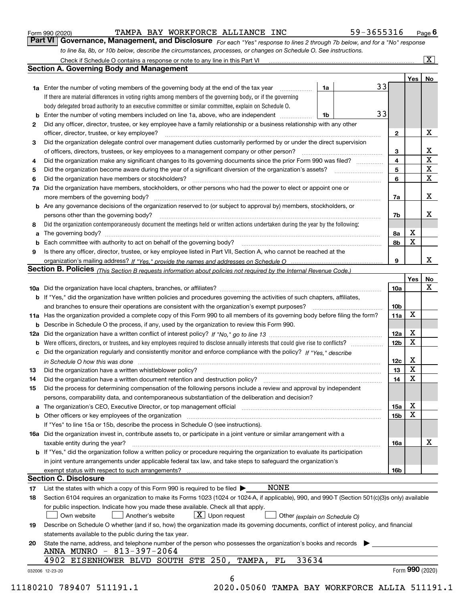|  | Form 990 (2020) |
|--|-----------------|
|  |                 |

#### TAMPA BAY WORKFORCE ALLIANCE INC 59-3655316

*For each "Yes" response to lines 2 through 7b below, and for a "No" response to line 8a, 8b, or 10b below, describe the circumstances, processes, or changes on Schedule O. See instructions.* Form 990 (2020) **CONVICT BAY MORKFORCE ALLIANCE INC** 59 - 3655316 Page 6<br>**Part VI Governance, Management, and Disclosure** For each "Yes" response to lines 2 through 7b below, and for a "No" response

|    |                                                                                                                                                                               |    |                         | Yes | No                      |
|----|-------------------------------------------------------------------------------------------------------------------------------------------------------------------------------|----|-------------------------|-----|-------------------------|
|    | <b>1a</b> Enter the number of voting members of the governing body at the end of the tax year                                                                                 | 1a | 33                      |     |                         |
|    | If there are material differences in voting rights among members of the governing body, or if the governing                                                                   |    |                         |     |                         |
|    | body delegated broad authority to an executive committee or similar committee, explain on Schedule O.                                                                         |    |                         |     |                         |
|    |                                                                                                                                                                               | 1b | 33                      |     |                         |
| 2  | Did any officer, director, trustee, or key employee have a family relationship or a business relationship with any other                                                      |    |                         |     |                         |
|    | officer, director, trustee, or key employee?                                                                                                                                  |    | $\mathbf{2}$            |     | X                       |
| 3  | Did the organization delegate control over management duties customarily performed by or under the direct supervision                                                         |    |                         |     |                         |
|    |                                                                                                                                                                               |    | 3                       |     | X                       |
| 4  | Did the organization make any significant changes to its governing documents since the prior Form 990 was filed?                                                              |    | $\overline{\mathbf{4}}$ |     | $\overline{\textbf{X}}$ |
| 5  |                                                                                                                                                                               |    | 5                       |     | $\mathbf X$             |
| 6  | Did the organization have members or stockholders?                                                                                                                            |    | 6                       |     | $\mathbf x$             |
|    | 7a Did the organization have members, stockholders, or other persons who had the power to elect or appoint one or                                                             |    |                         |     |                         |
|    |                                                                                                                                                                               |    | 7a                      |     | x                       |
|    | <b>b</b> Are any governance decisions of the organization reserved to (or subject to approval by) members, stockholders, or                                                   |    |                         |     |                         |
|    | persons other than the governing body?                                                                                                                                        |    | 7b                      |     | х                       |
| 8  | Did the organization contemporaneously document the meetings held or written actions undertaken during the year by the following:                                             |    |                         |     |                         |
| a  |                                                                                                                                                                               |    | 8a                      | X   |                         |
|    |                                                                                                                                                                               |    | 8b                      | X   |                         |
| 9  | Is there any officer, director, trustee, or key employee listed in Part VII, Section A, who cannot be reached at the                                                          |    |                         |     |                         |
|    |                                                                                                                                                                               |    | 9                       |     | х                       |
|    | Section B. Policies (This Section B requests information about policies not required by the Internal Revenue Code.)                                                           |    |                         |     |                         |
|    |                                                                                                                                                                               |    |                         | Yes | No                      |
|    |                                                                                                                                                                               |    | 10a                     |     | X                       |
|    | <b>b</b> If "Yes," did the organization have written policies and procedures governing the activities of such chapters, affiliates,                                           |    |                         |     |                         |
|    |                                                                                                                                                                               |    | 10 <sub>b</sub>         |     |                         |
|    | 11a Has the organization provided a complete copy of this Form 990 to all members of its governing body before filing the form?                                               |    | 11a                     | X   |                         |
|    | <b>b</b> Describe in Schedule O the process, if any, used by the organization to review this Form 990.                                                                        |    |                         |     |                         |
|    |                                                                                                                                                                               |    | 12a                     | X   |                         |
| b  |                                                                                                                                                                               |    | 12b                     | X   |                         |
|    | c Did the organization regularly and consistently monitor and enforce compliance with the policy? If "Yes," describe                                                          |    |                         |     |                         |
|    | in Schedule O how this was done manufactured and continuum control of the Schedule O how this was done manufactured and continuum control of the Schedule O how this was done |    | 12c                     | х   |                         |
| 13 |                                                                                                                                                                               |    | 13                      | X   |                         |
| 14 | Did the organization have a written document retention and destruction policy? manufactured and the organization have a written document retention and destruction policy?    |    | 14                      | X   |                         |
| 15 | Did the process for determining compensation of the following persons include a review and approval by independent                                                            |    |                         |     |                         |
|    | persons, comparability data, and contemporaneous substantiation of the deliberation and decision?                                                                             |    |                         |     |                         |
|    |                                                                                                                                                                               |    | 15a                     | X   |                         |
|    |                                                                                                                                                                               |    | 15b                     | X   |                         |
|    | If "Yes" to line 15a or 15b, describe the process in Schedule O (see instructions).                                                                                           |    |                         |     |                         |
|    | 16a Did the organization invest in, contribute assets to, or participate in a joint venture or similar arrangement with a                                                     |    |                         |     |                         |
|    | taxable entity during the year?                                                                                                                                               |    | 16a                     |     | X                       |
|    | <b>b</b> If "Yes," did the organization follow a written policy or procedure requiring the organization to evaluate its participation                                         |    |                         |     |                         |
|    | in joint venture arrangements under applicable federal tax law, and take steps to safeguard the organization's                                                                |    |                         |     |                         |
|    | exempt status with respect to such arrangements?                                                                                                                              |    | 16b                     |     |                         |
|    | <b>Section C. Disclosure</b>                                                                                                                                                  |    |                         |     |                         |
| 17 | <b>NONE</b><br>List the states with which a copy of this Form 990 is required to be filed $\blacktriangleright$                                                               |    |                         |     |                         |
| 18 | Section 6104 requires an organization to make its Forms 1023 (1024 or 1024-A, if applicable), 990, and 990-T (Section 501(c)(3)s only) available                              |    |                         |     |                         |
|    | for public inspection. Indicate how you made these available. Check all that apply.                                                                                           |    |                         |     |                         |
|    | $X$ Upon request<br>Own website<br>Another's website<br>Other (explain on Schedule O)                                                                                         |    |                         |     |                         |
| 19 | Describe on Schedule O whether (and if so, how) the organization made its governing documents, conflict of interest policy, and financial                                     |    |                         |     |                         |
|    | statements available to the public during the tax year.                                                                                                                       |    |                         |     |                         |
| 20 | State the name, address, and telephone number of the person who possesses the organization's books and records                                                                |    |                         |     |                         |
|    | ANNA MUNRO - 813-397-2064                                                                                                                                                     |    |                         |     |                         |
|    | 33634<br>4902 EISENHOWER BLVD SOUTH STE 250, TAMPA,<br>FL                                                                                                                     |    |                         |     |                         |
|    |                                                                                                                                                                               |    |                         |     | Form 990 (2020)         |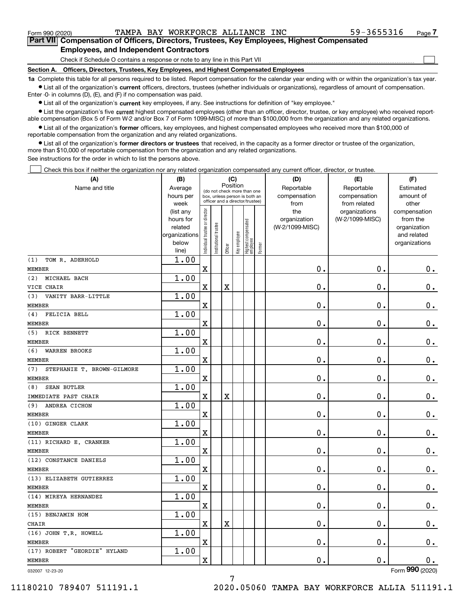$\mathcal{L}^{\text{max}}$ 

**7Part VII Compensation of Officers, Directors, Trustees, Key Employees, Highest Compensated Employees, and Independent Contractors**

Check if Schedule O contains a response or note to any line in this Part VII

**Section A. Officers, Directors, Trustees, Key Employees, and Highest Compensated Employees**

**1a**  Complete this table for all persons required to be listed. Report compensation for the calendar year ending with or within the organization's tax year. **•** List all of the organization's current officers, directors, trustees (whether individuals or organizations), regardless of amount of compensation.

Enter -0- in columns (D), (E), and (F) if no compensation was paid.

 $\bullet$  List all of the organization's  $\,$ current key employees, if any. See instructions for definition of "key employee."

**•** List the organization's five current highest compensated employees (other than an officer, director, trustee, or key employee) who received reportable compensation (Box 5 of Form W-2 and/or Box 7 of Form 1099-MISC) of more than \$100,000 from the organization and any related organizations.

**•** List all of the organization's former officers, key employees, and highest compensated employees who received more than \$100,000 of reportable compensation from the organization and any related organizations.

**former directors or trustees**  ¥ List all of the organization's that received, in the capacity as a former director or trustee of the organization, more than \$10,000 of reportable compensation from the organization and any related organizations.

See instructions for the order in which to list the persons above.

Check this box if neither the organization nor any related organization compensated any current officer, director, or trustee.  $\mathcal{L}^{\text{max}}$ 

| (A)                               | (C)<br>(B)     |                                                                  |                       |                         |              |                                  |        | (D)             | (E)             | (F)            |
|-----------------------------------|----------------|------------------------------------------------------------------|-----------------------|-------------------------|--------------|----------------------------------|--------|-----------------|-----------------|----------------|
| Name and title                    | Average        | Position<br>(do not check more than one                          |                       |                         |              |                                  |        | Reportable      | Reportable      | Estimated      |
|                                   | hours per      | box, unless person is both an<br>officer and a director/trustee) |                       |                         |              |                                  |        | compensation    | compensation    | amount of      |
|                                   | week           |                                                                  |                       |                         |              |                                  |        | from            | from related    | other          |
|                                   | (list any      |                                                                  |                       |                         |              |                                  |        | the             | organizations   | compensation   |
|                                   | hours for      |                                                                  |                       |                         |              |                                  |        | organization    | (W-2/1099-MISC) | from the       |
|                                   | related        |                                                                  |                       |                         |              |                                  |        | (W-2/1099-MISC) |                 | organization   |
|                                   | organizations  |                                                                  |                       |                         |              |                                  |        |                 |                 | and related    |
|                                   | below<br>line) | Individual trustee or director                                   | Institutional trustee | Officer                 | Key employee | Highest compensated<br> employee | Former |                 |                 | organizations  |
| (1)<br>TOM R. ADERHOLD            | 1.00           |                                                                  |                       |                         |              |                                  |        |                 |                 |                |
| <b>MEMBER</b>                     |                | $\mathbf X$                                                      |                       |                         |              |                                  |        | 0.              | 0.              | $0_{.}$        |
| (2)<br>MICHAEL BACH               | 1.00           |                                                                  |                       |                         |              |                                  |        |                 |                 |                |
| VICE CHAIR                        |                | $\mathbf X$                                                      |                       | $\mathbf X$             |              |                                  |        | 0.              | 0.              | $\mathbf 0$ .  |
| VANITY BARR-LITTLE<br>(3)         | 1.00           |                                                                  |                       |                         |              |                                  |        |                 |                 |                |
| <b>MEMBER</b>                     |                | $\overline{\textbf{X}}$                                          |                       |                         |              |                                  |        | 0.              | $\mathbf 0$ .   | $\mathbf 0$ .  |
| (4)<br>FELICIA BELL               | 1.00           |                                                                  |                       |                         |              |                                  |        |                 |                 |                |
| <b>MEMBER</b>                     |                | $\overline{\textbf{X}}$                                          |                       |                         |              |                                  |        | 0.              | 0.              | $0_{.}$        |
| RICK BENNETT<br>(5)               | 1.00           |                                                                  |                       |                         |              |                                  |        |                 |                 |                |
| <b>MEMBER</b>                     |                | $\overline{\mathbf{X}}$                                          |                       |                         |              |                                  |        | 0.              | 0.              | $\mathbf 0$ .  |
| (6)<br><b>WARREN BROOKS</b>       | 1.00           |                                                                  |                       |                         |              |                                  |        |                 |                 |                |
| <b>MEMBER</b>                     |                | $\overline{\textbf{X}}$                                          |                       |                         |              |                                  |        | 0.              | $\mathbf 0$ .   | $\mathbf 0$ .  |
| STEPHANIE T. BROWN-GILMORE<br>(7) | 1.00           |                                                                  |                       |                         |              |                                  |        |                 |                 |                |
| <b>MEMBER</b>                     |                | $\overline{\mathbf{X}}$                                          |                       |                         |              |                                  |        | $\mathbf 0$ .   | $\mathbf 0$ .   | $\mathbf 0$ .  |
| <b>SEAN BUTLER</b><br>(8)         | 1.00           |                                                                  |                       |                         |              |                                  |        |                 |                 |                |
| IMMEDIATE PAST CHAIR              |                | $\mathbf X$                                                      |                       | $\overline{\textbf{X}}$ |              |                                  |        | 0.              | 0.              | $0_{.}$        |
| (9)<br>ANDREA CICHON              | 1.00           |                                                                  |                       |                         |              |                                  |        |                 |                 |                |
| <b>MEMBER</b>                     |                | $\overline{\textbf{X}}$                                          |                       |                         |              |                                  |        | 0.              | 0.              | $\mathbf 0$ .  |
| (10) GINGER CLARK                 | 1.00           |                                                                  |                       |                         |              |                                  |        |                 |                 |                |
| <b>MEMBER</b>                     |                | $\overline{\mathbf{X}}$                                          |                       |                         |              |                                  |        | 0.              | 0.              | $\mathbf 0$ .  |
| (11) RICHARD E. CRANKER           | 1.00           |                                                                  |                       |                         |              |                                  |        |                 |                 |                |
| <b>MEMBER</b>                     |                | $\overline{\mathbf{X}}$                                          |                       |                         |              |                                  |        | 0.              | $\mathbf 0$ .   | $0_{.}$        |
| (12) CONSTANCE DANIELS            | 1.00           |                                                                  |                       |                         |              |                                  |        |                 |                 |                |
| <b>MEMBER</b>                     |                | $\overline{\mathbf{X}}$                                          |                       |                         |              |                                  |        | 0.              | 0.              | $\mathbf 0$ .  |
| (13) ELIZABETH GUTIERREZ          | 1.00           |                                                                  |                       |                         |              |                                  |        |                 |                 |                |
| <b>MEMBER</b>                     |                | $\overline{\textbf{X}}$                                          |                       |                         |              |                                  |        | 0.              | 0.              | $\mathbf 0$ .  |
| (14) MIREYA HERNANDEZ             | 1.00           |                                                                  |                       |                         |              |                                  |        |                 |                 |                |
| <b>MEMBER</b>                     |                | $\overline{\mathbf{X}}$                                          |                       |                         |              |                                  |        | 0.              | $\mathbf 0$ .   | 0.             |
| (15) BENJAMIN HOM                 | 1.00           |                                                                  |                       |                         |              |                                  |        |                 |                 |                |
| CHAIR<br>(16) JOHN T.R. HOWELL    | 1.00           | $\mathbf X$                                                      |                       | $\mathbf X$             |              |                                  |        | 0.              | 0.              | $\mathbf 0$ .  |
| <b>MEMBER</b>                     |                | $\rm X$                                                          |                       |                         |              |                                  |        | 0.              | 0.              | $0$ .          |
| (17) ROBERT "GEORDIE" HYLAND      | 1.00           |                                                                  |                       |                         |              |                                  |        |                 |                 |                |
| <b>MEMBER</b>                     |                | $\overline{\textbf{X}}$                                          |                       |                         |              |                                  |        | 0.              | 0.              | 0.             |
|                                   |                |                                                                  |                       |                         |              |                                  |        |                 |                 | $\overline{2}$ |

032007 12-23-20

Form (2020) **990**

7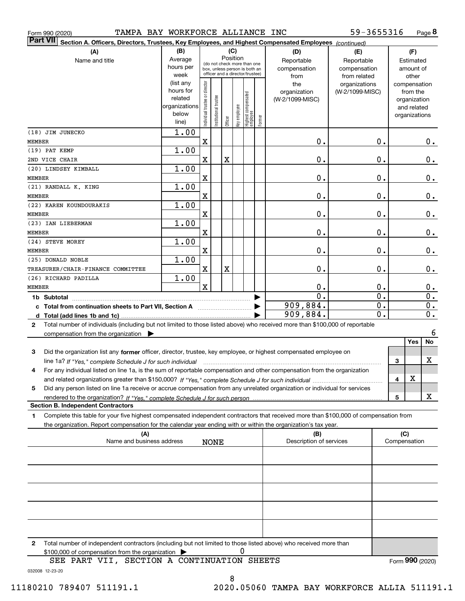| TAMPA BAY WORKFORCE ALLIANCE INC<br>Form 990 (2020)                                                                                             |                          |                                |                 |             |              |                                                              |              |                  | 59-3655316       |     |               | Page 8           |
|-------------------------------------------------------------------------------------------------------------------------------------------------|--------------------------|--------------------------------|-----------------|-------------|--------------|--------------------------------------------------------------|--------------|------------------|------------------|-----|---------------|------------------|
| <b>Part VII</b><br>Section A. Officers, Directors, Trustees, Key Employees, and Highest Compensated Employees (continued)                       |                          |                                |                 |             |              |                                                              |              |                  |                  |     |               |                  |
| (A)                                                                                                                                             | (B)<br>(C)<br>(D)<br>(E) |                                |                 |             |              |                                                              |              |                  |                  |     | (F)           |                  |
| Name and title                                                                                                                                  | Average                  |                                |                 | Position    |              |                                                              |              | Reportable       | Reportable       |     | Estimated     |                  |
|                                                                                                                                                 | hours per                |                                |                 |             |              | (do not check more than one<br>box, unless person is both an |              | compensation     | compensation     |     | amount of     |                  |
|                                                                                                                                                 | week                     |                                |                 |             |              | officer and a director/trustee)                              |              | from             | from related     |     | other         |                  |
|                                                                                                                                                 | (list any                |                                |                 |             |              |                                                              |              | the              | organizations    |     | compensation  |                  |
|                                                                                                                                                 | hours for                |                                |                 |             |              |                                                              |              | organization     | (W-2/1099-MISC)  |     | from the      |                  |
|                                                                                                                                                 | related                  |                                | Itustee         |             |              |                                                              |              | (W-2/1099-MISC)  |                  |     | organization  |                  |
|                                                                                                                                                 | organizations            |                                |                 |             |              |                                                              |              |                  |                  |     | and related   |                  |
|                                                                                                                                                 | below<br>line)           | Individual trustee or director | Institutional t | Officer     | Key employee | Highest compensated<br>employee                              | Former       |                  |                  |     | organizations |                  |
| (18) JIM JUNECKO                                                                                                                                | 1.00                     |                                |                 |             |              |                                                              |              |                  |                  |     |               |                  |
| <b>MEMBER</b>                                                                                                                                   |                          | $\mathbf X$                    |                 |             |              |                                                              |              | $\mathbf 0$ .    | $\mathbf 0$ .    |     |               | 0.               |
| (19) PAT KEMP                                                                                                                                   | 1.00                     |                                |                 |             |              |                                                              |              |                  |                  |     |               |                  |
| 2ND VICE CHAIR                                                                                                                                  |                          | X                              |                 | $\mathbf X$ |              |                                                              |              | $\mathbf 0$ .    | $\mathbf 0$ .    |     |               | 0.               |
| (20) LINDSEY KIMBALL                                                                                                                            | 1.00                     |                                |                 |             |              |                                                              |              |                  |                  |     |               |                  |
| <b>MEMBER</b>                                                                                                                                   |                          | $\mathbf X$                    |                 |             |              |                                                              |              | 0.               | 0.               |     |               | 0.               |
| (21) RANDALL K. KING                                                                                                                            | 1.00                     |                                |                 |             |              |                                                              |              |                  |                  |     |               |                  |
| <b>MEMBER</b>                                                                                                                                   |                          | X                              |                 |             |              |                                                              |              | 0.               | 0.               |     |               | 0.               |
| (22) KAREN KOUNDOURAKIS                                                                                                                         | 1.00                     |                                |                 |             |              |                                                              |              |                  |                  |     |               |                  |
| <b>MEMBER</b>                                                                                                                                   |                          | $\mathbf X$                    |                 |             |              |                                                              |              | $\mathbf 0$ .    | $\mathbf 0$ .    |     |               | 0.               |
| (23) IAN LIEBERMAN                                                                                                                              | 1.00                     |                                |                 |             |              |                                                              |              |                  |                  |     |               |                  |
| <b>MEMBER</b>                                                                                                                                   |                          | $\mathbf X$                    |                 |             |              |                                                              |              | $\mathbf 0$ .    | $\mathbf 0$ .    |     |               | 0.               |
| (24) STEVE MOREY                                                                                                                                | 1.00                     |                                |                 |             |              |                                                              |              | $\mathbf 0$ .    |                  |     |               |                  |
| <b>MEMBER</b><br>(25) DONALD NOBLE                                                                                                              | 1.00                     | X                              |                 |             |              |                                                              |              |                  | 0.               |     |               | 0.               |
| TREASURER/CHAIR-FINANCE COMMITTEE                                                                                                               |                          | X                              |                 | $\mathbf X$ |              |                                                              |              | 0.               | $\mathbf 0$ .    |     |               | 0.               |
| (26) RICHARD PADILLA                                                                                                                            | 1.00                     |                                |                 |             |              |                                                              |              |                  |                  |     |               |                  |
| <b>MEMBER</b>                                                                                                                                   |                          | $\mathbf x$                    |                 |             |              |                                                              |              | $\mathbf 0$ .    | 0.               |     |               | 0.               |
| 1b Subtotal                                                                                                                                     |                          |                                |                 |             |              |                                                              |              | $\overline{0}$ . | $\overline{0}$ . |     |               | $\overline{0}$ . |
| c Total from continuation sheets to Part VII, Section A manufactured and response to Total from example.                                        |                          |                                |                 |             |              |                                                              |              | 909,884.         | $\overline{0}$ . |     |               | $\overline{0}$ . |
|                                                                                                                                                 |                          |                                |                 |             |              |                                                              |              | 909,884.         | $\overline{0}$ . |     |               | $\overline{0}$ . |
| Total number of individuals (including but not limited to those listed above) who received more than \$100,000 of reportable<br>2               |                          |                                |                 |             |              |                                                              |              |                  |                  |     |               |                  |
| compensation from the organization $\blacktriangleright$                                                                                        |                          |                                |                 |             |              |                                                              |              |                  |                  |     |               | 6                |
|                                                                                                                                                 |                          |                                |                 |             |              |                                                              |              |                  |                  |     | Yes           | No               |
| 3<br>Did the organization list any former officer, director, trustee, key employee, or highest compensated employee on                          |                          |                                |                 |             |              |                                                              |              |                  |                  |     |               |                  |
| line 1a? If "Yes," complete Schedule J for such individual manufactured contained and the 1a? If "Yes," complete Schedule J for such individual |                          |                                |                 |             |              |                                                              |              |                  |                  | 3   |               | х                |
| 4<br>For any individual listed on line 1a, is the sum of reportable compensation and other compensation from the organization                   |                          |                                |                 |             |              |                                                              |              |                  |                  |     |               |                  |
|                                                                                                                                                 |                          |                                |                 |             |              |                                                              |              |                  |                  | 4   | X             |                  |
| Did any person listed on line 1a receive or accrue compensation from any unrelated organization or individual for services<br>5                 |                          |                                |                 |             |              |                                                              |              |                  |                  |     |               |                  |
|                                                                                                                                                 |                          |                                |                 |             |              |                                                              |              |                  |                  | 5   |               | X                |
| <b>Section B. Independent Contractors</b>                                                                                                       |                          |                                |                 |             |              |                                                              |              |                  |                  |     |               |                  |
| Complete this table for your five highest compensated independent contractors that received more than \$100,000 of compensation from<br>1       |                          |                                |                 |             |              |                                                              |              |                  |                  |     |               |                  |
| the organization. Report compensation for the calendar year ending with or within the organization's tax year.                                  |                          |                                |                 |             |              |                                                              |              |                  |                  |     |               |                  |
| (A)                                                                                                                                             |                          |                                |                 |             |              |                                                              |              | (B)              |                  | (C) |               |                  |
| Name and business address<br>Description of services<br><b>NONE</b>                                                                             |                          |                                |                 |             |              |                                                              | Compensation |                  |                  |     |               |                  |
|                                                                                                                                                 |                          |                                |                 |             |              |                                                              |              |                  |                  |     |               |                  |
|                                                                                                                                                 |                          |                                |                 |             |              |                                                              |              |                  |                  |     |               |                  |
|                                                                                                                                                 |                          |                                |                 |             |              |                                                              |              |                  |                  |     |               |                  |
|                                                                                                                                                 |                          |                                |                 |             |              |                                                              |              |                  |                  |     |               |                  |
|                                                                                                                                                 |                          |                                |                 |             |              |                                                              |              |                  |                  |     |               |                  |
|                                                                                                                                                 |                          |                                |                 |             |              |                                                              |              |                  |                  |     |               |                  |
|                                                                                                                                                 |                          |                                |                 |             |              |                                                              |              |                  |                  |     |               |                  |
| 2<br>Total number of independent contractors (including but not limited to those listed above) who received more than                           |                          |                                |                 |             |              |                                                              |              |                  |                  |     |               |                  |

\$100,000 of compensation from the organization

032008 12-23-20 SEE PART VII, SECTION A CONTINUATION SHEETS

0

11180210 789407 511191.1 2020.05060 TAMPA BAY WORKFORCE ALLIA 511191.1

Form (2020) **990**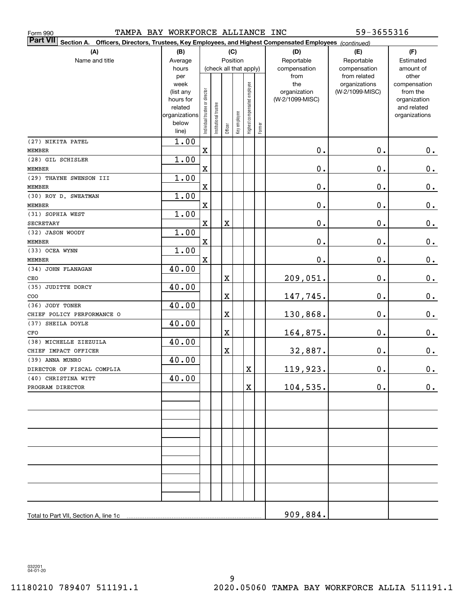| TAMPA BAY WORKFORCE ALLIANCE INC<br>Form 990 |                                                                              |                                |                       |                                    |                                                                                                        |                              | 59-3655316 |                                           |                                                   |                                                                          |  |  |
|----------------------------------------------|------------------------------------------------------------------------------|--------------------------------|-----------------------|------------------------------------|--------------------------------------------------------------------------------------------------------|------------------------------|------------|-------------------------------------------|---------------------------------------------------|--------------------------------------------------------------------------|--|--|
| <b>Part VII</b>                              |                                                                              |                                |                       |                                    | Section A. Officers, Directors, Trustees, Key Employees, and Highest Compensated Employees (continued) |                              |            |                                           |                                                   |                                                                          |  |  |
| (A)<br>Name and title                        | (B)<br>Average<br>hours<br>per                                               |                                |                       | Position<br>(check all that apply) | (C)                                                                                                    |                              |            | (D)<br>Reportable<br>compensation<br>from | (E)<br>Reportable<br>compensation<br>from related | (F)<br>Estimated<br>amount of<br>other                                   |  |  |
|                                              | week<br>(list any<br>hours for<br>related<br>organizations<br>below<br>line) | Individual trustee or director | Institutional trustee | Officer                            | Key employee                                                                                           | Highest compensated employee | Former     | the<br>organization<br>(W-2/1099-MISC)    | organizations<br>(W-2/1099-MISC)                  | compensation<br>from the<br>organization<br>and related<br>organizations |  |  |
| (27) NIKITA PATEL                            | 1.00                                                                         |                                |                       |                                    |                                                                                                        |                              |            |                                           |                                                   |                                                                          |  |  |
| <b>MEMBER</b>                                |                                                                              | X                              |                       |                                    |                                                                                                        |                              |            | $\mathbf 0$ .                             | 0.                                                | 0.                                                                       |  |  |
| (28) GIL SCHISLER<br><b>MEMBER</b>           | 1.00                                                                         | $\mathbf X$                    |                       |                                    |                                                                                                        |                              |            | $\mathbf 0$ .                             | 0.                                                | 0.                                                                       |  |  |
| (29) THAYNE SWENSON III                      | 1.00                                                                         |                                |                       |                                    |                                                                                                        |                              |            |                                           |                                                   |                                                                          |  |  |
| <b>MEMBER</b>                                |                                                                              | $\mathbf X$                    |                       |                                    |                                                                                                        |                              |            | $\mathbf 0$ .                             | 0.                                                | 0.                                                                       |  |  |
| (30) ROY D. SWEATMAN                         | 1.00                                                                         |                                |                       |                                    |                                                                                                        |                              |            |                                           |                                                   |                                                                          |  |  |
| <b>MEMBER</b>                                |                                                                              | $\mathbf X$                    |                       |                                    |                                                                                                        |                              |            | $\mathbf 0$ .                             | 0.                                                | 0.                                                                       |  |  |
| (31) SOPHIA WEST                             | 1.00                                                                         |                                |                       |                                    |                                                                                                        |                              |            |                                           |                                                   |                                                                          |  |  |
| <b>SECRETARY</b>                             |                                                                              | X                              |                       | X                                  |                                                                                                        |                              |            | $\mathbf 0$ .                             | 0.                                                | 0.                                                                       |  |  |
| (32) JASON WOODY                             | 1.00                                                                         |                                |                       |                                    |                                                                                                        |                              |            |                                           |                                                   |                                                                          |  |  |
| <b>MEMBER</b>                                |                                                                              | X                              |                       |                                    |                                                                                                        |                              |            | 0.                                        | 0.                                                | 0.                                                                       |  |  |
| (33) OCEA WYNN                               | 1.00                                                                         |                                |                       |                                    |                                                                                                        |                              |            |                                           |                                                   |                                                                          |  |  |
| <b>MEMBER</b>                                |                                                                              | X                              |                       |                                    |                                                                                                        |                              |            | $\mathbf 0$ .                             | 0.                                                | 0.                                                                       |  |  |
| (34) JOHN FLANAGAN                           | 40.00                                                                        |                                |                       |                                    |                                                                                                        |                              |            |                                           |                                                   |                                                                          |  |  |
| CEO<br>(35) JUDITTE DORCY                    | 40.00                                                                        |                                |                       | X                                  |                                                                                                        |                              |            | 209,051.                                  | 0.                                                | 0.                                                                       |  |  |
| COO                                          |                                                                              |                                |                       | Χ                                  |                                                                                                        |                              |            | 147,745.                                  | 0.                                                | 0.                                                                       |  |  |
| (36) JODY TONER                              | 40.00                                                                        |                                |                       |                                    |                                                                                                        |                              |            |                                           |                                                   |                                                                          |  |  |
| CHIEF POLICY PERFORMANCE O                   |                                                                              |                                |                       | Χ                                  |                                                                                                        |                              |            | 130,868.                                  | 0.                                                | 0.                                                                       |  |  |
| (37) SHEILA DOYLE                            | 40.00                                                                        |                                |                       |                                    |                                                                                                        |                              |            |                                           |                                                   |                                                                          |  |  |
| CFO                                          |                                                                              |                                |                       | X                                  |                                                                                                        |                              |            | 164,875.                                  | 0.                                                | 0.                                                                       |  |  |
| (38) MICHELLE ZIEZUILA                       | 40.00                                                                        |                                |                       |                                    |                                                                                                        |                              |            |                                           |                                                   |                                                                          |  |  |
| CHIEF IMPACT OFFICER                         |                                                                              |                                |                       | Χ                                  |                                                                                                        |                              |            | 32,887.                                   | $\mathbf 0$ .                                     | 0.                                                                       |  |  |
| (39) ANNA MUNRO                              | 40.00                                                                        |                                |                       |                                    |                                                                                                        |                              |            |                                           |                                                   |                                                                          |  |  |
| DIRECTOR OF FISCAL COMPLIA                   |                                                                              |                                |                       |                                    |                                                                                                        | X                            |            | 119,923.                                  | $\mathbf 0$ .                                     | $\mathbf 0$ .                                                            |  |  |
| (40) CHRISTINA WITT                          | 40.00                                                                        |                                |                       |                                    |                                                                                                        |                              |            |                                           |                                                   |                                                                          |  |  |
| PROGRAM DIRECTOR                             |                                                                              |                                |                       |                                    |                                                                                                        | $\mathbf X$                  |            | 104,535.                                  | $\mathbf 0$ .                                     | 0.                                                                       |  |  |
|                                              |                                                                              |                                |                       |                                    |                                                                                                        |                              |            |                                           |                                                   |                                                                          |  |  |
|                                              |                                                                              |                                |                       |                                    |                                                                                                        |                              |            |                                           |                                                   |                                                                          |  |  |
|                                              |                                                                              |                                |                       |                                    |                                                                                                        |                              |            |                                           |                                                   |                                                                          |  |  |
|                                              |                                                                              |                                |                       |                                    |                                                                                                        |                              |            |                                           |                                                   |                                                                          |  |  |
|                                              |                                                                              |                                |                       |                                    |                                                                                                        |                              |            |                                           |                                                   |                                                                          |  |  |
|                                              |                                                                              |                                |                       |                                    |                                                                                                        |                              |            |                                           |                                                   |                                                                          |  |  |
|                                              |                                                                              |                                |                       |                                    |                                                                                                        |                              |            |                                           |                                                   |                                                                          |  |  |
|                                              |                                                                              |                                |                       |                                    |                                                                                                        |                              |            |                                           |                                                   |                                                                          |  |  |
| Total to Part VII, Section A, line 1c        |                                                                              |                                |                       |                                    |                                                                                                        |                              |            | 909,884.                                  |                                                   |                                                                          |  |  |

032201 04-01-20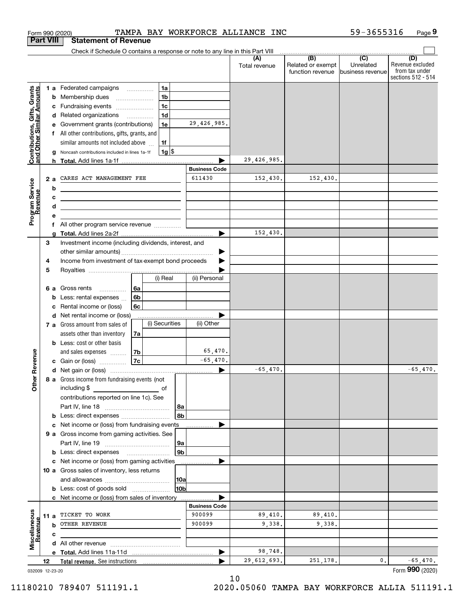|                                                           | <b>Part VIII</b> | <b>Statement of Revenue</b>                                                                                          |                |                |                      |                      |                                                           |                                                 |                                                                 |
|-----------------------------------------------------------|------------------|----------------------------------------------------------------------------------------------------------------------|----------------|----------------|----------------------|----------------------|-----------------------------------------------------------|-------------------------------------------------|-----------------------------------------------------------------|
|                                                           |                  | Check if Schedule O contains a response or note to any line in this Part VIII                                        |                |                |                      |                      |                                                           |                                                 |                                                                 |
|                                                           |                  |                                                                                                                      |                |                |                      | (A)<br>Total revenue | $\overline{(B)}$<br>Related or exempt<br>function revenue | $\overline{C}$<br>Unrelated<br>business revenue | (D)<br>Revenue excluded<br>from tax under<br>sections 512 - 514 |
|                                                           |                  | <b>1 a</b> Federated campaigns                                                                                       | $\cdots$       | 1a             |                      |                      |                                                           |                                                 |                                                                 |
|                                                           | b                | Membership dues                                                                                                      |                | 1 <sub>b</sub> |                      |                      |                                                           |                                                 |                                                                 |
|                                                           | с                | Fundraising events                                                                                                   |                | 1 <sub>c</sub> |                      |                      |                                                           |                                                 |                                                                 |
|                                                           | d                | Related organizations                                                                                                |                | 1 <sub>d</sub> |                      |                      |                                                           |                                                 |                                                                 |
| Contributions, Gifts, Grants<br>and Other Similar Amounts |                  | Government grants (contributions)                                                                                    |                | 1e             | 29, 426, 985.        |                      |                                                           |                                                 |                                                                 |
|                                                           |                  | All other contributions, gifts, grants, and                                                                          |                |                |                      |                      |                                                           |                                                 |                                                                 |
|                                                           |                  | similar amounts not included above                                                                                   |                | 1f             |                      |                      |                                                           |                                                 |                                                                 |
|                                                           | a                | Noncash contributions included in lines 1a-1f                                                                        |                | $1g$ \$        |                      |                      |                                                           |                                                 |                                                                 |
|                                                           |                  |                                                                                                                      |                |                |                      | 29,426,985.          |                                                           |                                                 |                                                                 |
|                                                           |                  |                                                                                                                      |                |                | <b>Business Code</b> |                      |                                                           |                                                 |                                                                 |
|                                                           | 2a               | CARES ACT MANAGEMENT FEE                                                                                             |                |                | 611430               | 152,430.             | 152,430.                                                  |                                                 |                                                                 |
|                                                           | b                | <u> 1989 - Johann Barn, mars ann an t-Amhain Aonaich an t-Aonaich an t-Aonaich ann an t-Aonaich ann an t-Aonaich</u> |                |                |                      |                      |                                                           |                                                 |                                                                 |
| evenue                                                    | c                |                                                                                                                      |                |                |                      |                      |                                                           |                                                 |                                                                 |
|                                                           | d                | the control of the control of the control of the control of the control of                                           |                |                |                      |                      |                                                           |                                                 |                                                                 |
| Program Service<br>Revenue                                | е                |                                                                                                                      |                |                |                      |                      |                                                           |                                                 |                                                                 |
|                                                           | f                |                                                                                                                      |                |                | ь                    | 152,430.             |                                                           |                                                 |                                                                 |
|                                                           | a<br>3           | Investment income (including dividends, interest, and                                                                |                |                |                      |                      |                                                           |                                                 |                                                                 |
|                                                           |                  |                                                                                                                      |                |                |                      |                      |                                                           |                                                 |                                                                 |
|                                                           | 4                | Income from investment of tax-exempt bond proceeds                                                                   |                |                |                      |                      |                                                           |                                                 |                                                                 |
|                                                           | 5                |                                                                                                                      |                |                |                      |                      |                                                           |                                                 |                                                                 |
|                                                           |                  |                                                                                                                      |                | (i) Real       | (ii) Personal        |                      |                                                           |                                                 |                                                                 |
|                                                           | 6а               | Gross rents<br>$\overline{\phantom{a}}$                                                                              | 6a             |                |                      |                      |                                                           |                                                 |                                                                 |
|                                                           | b                | Less: rental expenses                                                                                                | 6 <sub>b</sub> |                |                      |                      |                                                           |                                                 |                                                                 |
|                                                           | с                | Rental income or (loss)                                                                                              | 6c             |                |                      |                      |                                                           |                                                 |                                                                 |
|                                                           | d                | Net rental income or (loss)                                                                                          |                |                |                      |                      |                                                           |                                                 |                                                                 |
|                                                           |                  | 7 a Gross amount from sales of                                                                                       |                | (i) Securities | (ii) Other           |                      |                                                           |                                                 |                                                                 |
|                                                           |                  | assets other than inventory                                                                                          | 7a             |                |                      |                      |                                                           |                                                 |                                                                 |
|                                                           |                  | <b>b</b> Less: cost or other basis                                                                                   |                |                |                      |                      |                                                           |                                                 |                                                                 |
|                                                           |                  | and sales expenses                                                                                                   | 7b             |                | 65,470.              |                      |                                                           |                                                 |                                                                 |
| Revenue                                                   |                  | <b>c</b> Gain or (loss) $\ldots$                                                                                     | <b>7c</b>      |                | $-65,470.$           |                      |                                                           |                                                 |                                                                 |
|                                                           |                  |                                                                                                                      |                |                | ▶                    | $-65,470.$           |                                                           |                                                 | $-65,470.$                                                      |
| Othe                                                      |                  | 8 a Gross income from fundraising events (not                                                                        |                |                |                      |                      |                                                           |                                                 |                                                                 |
|                                                           |                  | including \$                                                                                                         |                | оf             |                      |                      |                                                           |                                                 |                                                                 |
|                                                           |                  | contributions reported on line 1c). See                                                                              |                |                |                      |                      |                                                           |                                                 |                                                                 |
|                                                           |                  |                                                                                                                      |                | 8a<br>8b       |                      |                      |                                                           |                                                 |                                                                 |
|                                                           |                  | <b>b</b> Less: direct expenses <i>manually contained</i><br>Net income or (loss) from fundraising events             |                |                |                      |                      |                                                           |                                                 |                                                                 |
|                                                           | с                | 9 a Gross income from gaming activities. See                                                                         |                |                |                      |                      |                                                           |                                                 |                                                                 |
|                                                           |                  |                                                                                                                      |                | 9a             |                      |                      |                                                           |                                                 |                                                                 |
|                                                           |                  | <b>b</b> Less: direct expenses <b>manually</b>                                                                       |                | 9 <sub>b</sub> |                      |                      |                                                           |                                                 |                                                                 |
|                                                           | с                | Net income or (loss) from gaming activities                                                                          |                |                |                      |                      |                                                           |                                                 |                                                                 |
|                                                           |                  | 10 a Gross sales of inventory, less returns                                                                          |                |                |                      |                      |                                                           |                                                 |                                                                 |
|                                                           |                  |                                                                                                                      |                | 10a            |                      |                      |                                                           |                                                 |                                                                 |
|                                                           |                  | <b>b</b> Less: cost of goods sold                                                                                    |                | 10b            |                      |                      |                                                           |                                                 |                                                                 |
|                                                           |                  | c Net income or (loss) from sales of inventory                                                                       |                |                |                      |                      |                                                           |                                                 |                                                                 |
|                                                           |                  |                                                                                                                      |                |                | <b>Business Code</b> |                      |                                                           |                                                 |                                                                 |
| Miscellaneous                                             | 11 a             | TICKET TO WORK                                                                                                       |                |                | 900099               | 89,410.              | 89,410.                                                   |                                                 |                                                                 |
| Revenue                                                   | b                | OTHER REVENUE                                                                                                        |                |                | 900099               | 9,338.               | 9,338.                                                    |                                                 |                                                                 |
|                                                           | c                |                                                                                                                      |                |                |                      |                      |                                                           |                                                 |                                                                 |
|                                                           |                  |                                                                                                                      |                |                |                      |                      |                                                           |                                                 |                                                                 |
|                                                           |                  |                                                                                                                      |                |                |                      | 98,748.              |                                                           |                                                 |                                                                 |
|                                                           | 12               |                                                                                                                      |                |                |                      | 29,612,693.          | 251,178.                                                  | $\mathbf{0}$ .                                  | $-65,470.$                                                      |
|                                                           | 032009 12-23-20  |                                                                                                                      |                |                |                      |                      |                                                           |                                                 | Form 990 (2020)                                                 |

10

Form 990 (2020) **TAMPA BAY WORKFORCE ALLIANCE INC** 59-3655316 Page

**9**

59-3655316

032009 12-23-20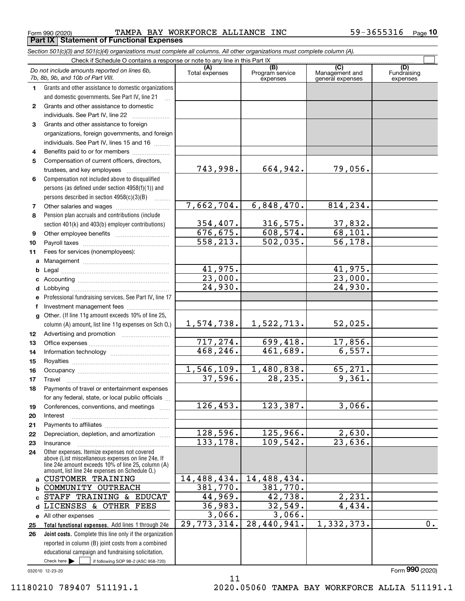Form 990 (2020) Page **Part IX Statement of Functional Expenses** TAMPA BAY WORKFORCE ALLIANCE INC 59-3655316

*Section 501(c)(3) and 501(c)(4) organizations must complete all columns. All other organizations must complete column (A).*

|              | Do not include amounts reported on lines 6b,<br>7b, 8b, 9b, and 10b of Part VIII.                    | (A)<br>Total expenses | $\overline{(B)}$<br>Program service<br>expenses | $\overline{C}$<br>Management and<br>general expenses | (D)<br>Fundraising<br>expenses |
|--------------|------------------------------------------------------------------------------------------------------|-----------------------|-------------------------------------------------|------------------------------------------------------|--------------------------------|
| 1.           | Grants and other assistance to domestic organizations                                                |                       |                                                 |                                                      |                                |
|              | and domestic governments. See Part IV, line 21                                                       |                       |                                                 |                                                      |                                |
| $\mathbf{2}$ | Grants and other assistance to domestic                                                              |                       |                                                 |                                                      |                                |
|              | individuals. See Part IV, line 22                                                                    |                       |                                                 |                                                      |                                |
| 3            | Grants and other assistance to foreign                                                               |                       |                                                 |                                                      |                                |
|              | organizations, foreign governments, and foreign                                                      |                       |                                                 |                                                      |                                |
|              | individuals. See Part IV, lines 15 and 16                                                            |                       |                                                 |                                                      |                                |
| 4            | Benefits paid to or for members                                                                      |                       |                                                 |                                                      |                                |
| 5            | Compensation of current officers, directors,                                                         |                       |                                                 |                                                      |                                |
|              | trustees, and key employees                                                                          | 743,998.              | 664,942.                                        | 79,056.                                              |                                |
| 6            | Compensation not included above to disqualified                                                      |                       |                                                 |                                                      |                                |
|              | persons (as defined under section 4958(f)(1)) and                                                    |                       |                                                 |                                                      |                                |
|              | persons described in section 4958(c)(3)(B)                                                           |                       |                                                 |                                                      |                                |
| 7            | Other salaries and wages                                                                             | 7,662,704.            | 6,848,470.                                      | 814,234.                                             |                                |
| 8            | Pension plan accruals and contributions (include                                                     |                       |                                                 |                                                      |                                |
|              | section 401(k) and 403(b) employer contributions)                                                    | 354, 407.             | 316,575.                                        | 37,832.                                              |                                |
| 9            |                                                                                                      | 676, 675.             | 608, 574.                                       | 68, 101.                                             |                                |
| 10           |                                                                                                      | 558, 213.             | 502,035.                                        | 56, 178.                                             |                                |
| 11           | Fees for services (nonemployees):                                                                    |                       |                                                 |                                                      |                                |
| a            |                                                                                                      |                       |                                                 |                                                      |                                |
| b            |                                                                                                      | 41,975.               |                                                 | 41,975.                                              |                                |
| c            |                                                                                                      | 23,000.               |                                                 | $\overline{23,000}$ .                                |                                |
| d            |                                                                                                      | $\overline{24,930}$ . |                                                 | 24,930.                                              |                                |
| е            | Professional fundraising services. See Part IV, line 17                                              |                       |                                                 |                                                      |                                |
| f            | Investment management fees                                                                           |                       |                                                 |                                                      |                                |
| g            | Other. (If line 11g amount exceeds 10% of line 25,                                                   |                       |                                                 |                                                      |                                |
|              | column (A) amount, list line 11g expenses on Sch O.)                                                 | 1,574,738.            | 1,522,713.                                      | 52,025.                                              |                                |
| 12           |                                                                                                      |                       |                                                 |                                                      |                                |
| 13           |                                                                                                      | 717,274.              | 699,418.                                        | 17,856.                                              |                                |
| 14           |                                                                                                      | 468,246.              | 461,689.                                        | 6,557.                                               |                                |
| 15           |                                                                                                      |                       |                                                 |                                                      |                                |
| 16           |                                                                                                      | 1,546,109.<br>37,596. | 1,480,838.<br>28, 235.                          | 65,271.<br>9,361.                                    |                                |
| 17           | Travel                                                                                               |                       |                                                 |                                                      |                                |
| 18           | Payments of travel or entertainment expenses                                                         |                       |                                                 |                                                      |                                |
|              | for any federal, state, or local public officials                                                    | 126,453.              | 123,387.                                        | 3,066.                                               |                                |
| 19           | Conferences, conventions, and meetings<br>Interest                                                   |                       |                                                 |                                                      |                                |
| 20           |                                                                                                      |                       |                                                 |                                                      |                                |
| 21<br>22     | Depreciation, depletion, and amortization                                                            | 128,596.              | 125,966.                                        | 2,630.                                               |                                |
| 23           | Insurance                                                                                            | 133, 178.             | 109,542.                                        | 23,636.                                              |                                |
| 24           | Other expenses. Itemize expenses not covered                                                         |                       |                                                 |                                                      |                                |
|              | above (List miscellaneous expenses on line 24e. If                                                   |                       |                                                 |                                                      |                                |
|              | line 24e amount exceeds 10% of line 25, column (A)<br>amount, list line 24e expenses on Schedule O.) |                       |                                                 |                                                      |                                |
| a            | <b>CUSTOMER TRAINING</b>                                                                             | 14,488,434.           | 14,488,434.                                     |                                                      |                                |
| b            | COMMUNITY OUTREACH                                                                                   | 381,770.              | 381,770.                                        |                                                      |                                |
| c.           | STAFF TRAINING & EDUCAT                                                                              | 44,969.               | 42,738.                                         | 2,231.                                               |                                |
| d            | LICENSES & OTHER FEES                                                                                | 36,983.               | 32,549.                                         | 4,434.                                               |                                |
|              | e All other expenses                                                                                 | 3,066.                | 3,066.                                          |                                                      |                                |
| 25           | Total functional expenses. Add lines 1 through 24e                                                   | 29, 773, 314.         | 28,440,941.                                     | 1,332,373.                                           | $\overline{0}$ .               |
| 26           | Joint costs. Complete this line only if the organization                                             |                       |                                                 |                                                      |                                |
|              | reported in column (B) joint costs from a combined                                                   |                       |                                                 |                                                      |                                |
|              | educational campaign and fundraising solicitation.                                                   |                       |                                                 |                                                      |                                |
|              | Check here $\blacktriangleright$<br>if following SOP 98-2 (ASC 958-720)                              |                       |                                                 |                                                      |                                |

11

032010 12-23-20

11180210 789407 511191.1 2020.05060 TAMPA BAY WORKFORCE ALLIA 511191.1

Form (2020) **990**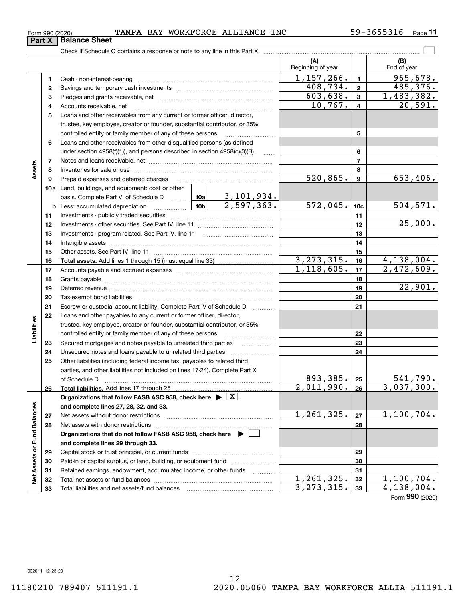| Form 990 (2020) | TAMPA BAY WORKFORCE ALLIANCE INC | 3655316<br>59–1<br>Page |
|-----------------|----------------------------------|-------------------------|
|-----------------|----------------------------------|-------------------------|

|                             |              |                                                                                                                                                                                                                                |              |                         | (A)<br>Beginning of year |                          | (B)<br>End of year |
|-----------------------------|--------------|--------------------------------------------------------------------------------------------------------------------------------------------------------------------------------------------------------------------------------|--------------|-------------------------|--------------------------|--------------------------|--------------------|
|                             | 1            |                                                                                                                                                                                                                                |              |                         | 1, 157, 266.             | $\blacksquare$           | 965,678.           |
|                             | $\mathbf{2}$ |                                                                                                                                                                                                                                | 408,734.     | $\mathbf{2}$            | 485,376.                 |                          |                    |
|                             | 3            |                                                                                                                                                                                                                                | 603,638.     | $\mathbf{3}$            | 1,483,382.               |                          |                    |
|                             | 4            |                                                                                                                                                                                                                                | 10,767.      | $\overline{4}$          | 20,591.                  |                          |                    |
|                             | 5            | Loans and other receivables from any current or former officer, director,                                                                                                                                                      |              |                         |                          |                          |                    |
|                             |              | trustee, key employee, creator or founder, substantial contributor, or 35%                                                                                                                                                     |              |                         |                          |                          |                    |
|                             |              |                                                                                                                                                                                                                                |              | 5                       |                          |                          |                    |
|                             | 6            | Loans and other receivables from other disqualified persons (as defined                                                                                                                                                        |              |                         |                          |                          |                    |
|                             |              | under section 4958(f)(1)), and persons described in section 4958(c)(3)(B)                                                                                                                                                      |              | 6                       |                          |                          |                    |
|                             | 7            |                                                                                                                                                                                                                                |              |                         |                          | $\overline{\phantom{a}}$ |                    |
| Assets                      | 8            |                                                                                                                                                                                                                                |              |                         |                          | 8                        |                    |
|                             | 9            | Prepaid expenses and deferred charges                                                                                                                                                                                          |              |                         | $\overline{520,865}$ .   | 9                        | 653,406.           |
|                             |              | 10a Land, buildings, and equipment: cost or other                                                                                                                                                                              |              |                         |                          |                          |                    |
|                             |              |                                                                                                                                                                                                                                |              |                         |                          |                          |                    |
|                             |              |                                                                                                                                                                                                                                |              |                         | 572,045.                 | 10 <sub>c</sub>          | 504, 571.          |
|                             | 11           |                                                                                                                                                                                                                                |              |                         | 11                       |                          |                    |
|                             | 12           |                                                                                                                                                                                                                                |              |                         |                          | 12                       | 25,000.            |
|                             | 13           |                                                                                                                                                                                                                                |              |                         |                          | 13                       |                    |
|                             | 14           |                                                                                                                                                                                                                                |              |                         | 14                       |                          |                    |
|                             | 15           |                                                                                                                                                                                                                                |              | 15                      |                          |                          |                    |
|                             | 16           |                                                                                                                                                                                                                                |              |                         | 3, 273, 315.             | 16                       | 4,138,004.         |
|                             | 17           |                                                                                                                                                                                                                                |              | 1,118,605.              | 17                       | 2,472,609.               |                    |
|                             | 18           |                                                                                                                                                                                                                                |              |                         |                          | 18                       |                    |
|                             | 19           | Deferred revenue manual contracts and contracts are contracted and contract and contract are contracted and contract are contracted and contract are contracted and contract are contracted and contract are contracted and co |              |                         | 19                       | 22,901.                  |                    |
|                             | 20           |                                                                                                                                                                                                                                |              |                         | 20                       |                          |                    |
|                             | 21           | Escrow or custodial account liability. Complete Part IV of Schedule D                                                                                                                                                          |              |                         |                          | 21                       |                    |
|                             | 22           | Loans and other payables to any current or former officer, director,                                                                                                                                                           |              |                         |                          |                          |                    |
| Liabilities                 |              | trustee, key employee, creator or founder, substantial contributor, or 35%                                                                                                                                                     |              |                         |                          |                          |                    |
|                             |              | controlled entity or family member of any of these persons                                                                                                                                                                     |              | 22                      |                          |                          |                    |
|                             | 23           | Secured mortgages and notes payable to unrelated third parties <i>manumum</i>                                                                                                                                                  |              |                         |                          | 23                       |                    |
|                             | 24           |                                                                                                                                                                                                                                |              |                         |                          | 24                       |                    |
|                             | 25           | Other liabilities (including federal income tax, payables to related third                                                                                                                                                     |              |                         |                          |                          |                    |
|                             |              | parties, and other liabilities not included on lines 17-24). Complete Part X                                                                                                                                                   |              |                         | 893,385.                 | 25                       | 541,790.           |
|                             | 26           | of Schedule D <b>www.communications.communications.com</b><br>Total liabilities. Add lines 17 through 25                                                                                                                       |              | $\overline{2,011,990.}$ | 26                       | 3,037,300.               |                    |
|                             |              | Organizations that follow FASB ASC 958, check here $\triangleright \lfloor X \rfloor$                                                                                                                                          |              |                         |                          |                          |                    |
|                             |              | and complete lines 27, 28, 32, and 33.                                                                                                                                                                                         |              |                         |                          |                          |                    |
|                             | 27           |                                                                                                                                                                                                                                |              |                         | 1, 261, 325.             | 27                       | 1,100,704.         |
|                             | 28           |                                                                                                                                                                                                                                |              |                         |                          | 28                       |                    |
|                             |              | Organizations that do not follow FASB ASC 958, check here $\blacktriangleright$                                                                                                                                                |              |                         |                          |                          |                    |
|                             |              | and complete lines 29 through 33.                                                                                                                                                                                              |              |                         |                          |                          |                    |
| Net Assets or Fund Balances | 29           |                                                                                                                                                                                                                                |              |                         |                          | 29                       |                    |
|                             | 30           | Paid-in or capital surplus, or land, building, or equipment fund                                                                                                                                                               |              |                         |                          | 30                       |                    |
|                             | 31           | Retained earnings, endowment, accumulated income, or other funds                                                                                                                                                               |              | .                       |                          | 31                       |                    |
|                             | 32           |                                                                                                                                                                                                                                |              |                         | 1, 261, 325.             | 32                       | 1,100,704.         |
|                             | 33           |                                                                                                                                                                                                                                | 3, 273, 315. | 33                      | $\overline{4,138,004}$ . |                          |                    |

Form (2020) **990**

 $\overline{\phantom{a}}$ 

 $\overline{\phantom{0}}$ 

**Part X Balance Sheet**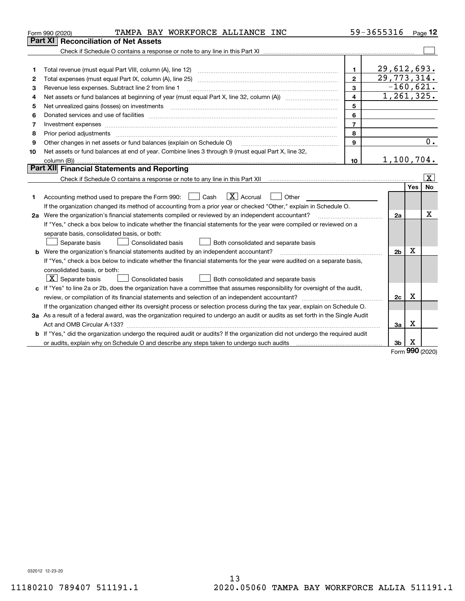|    | TAMPA BAY WORKFORCE ALLIANCE INC<br>Form 990 (2020)                                                                             |                | 59-3655316     |                     | Page 12           |  |  |  |
|----|---------------------------------------------------------------------------------------------------------------------------------|----------------|----------------|---------------------|-------------------|--|--|--|
|    | Part XI<br><b>Reconciliation of Net Assets</b>                                                                                  |                |                |                     |                   |  |  |  |
|    |                                                                                                                                 |                |                |                     |                   |  |  |  |
|    |                                                                                                                                 |                |                |                     |                   |  |  |  |
| 1  |                                                                                                                                 | 1              | 29,612,693.    |                     |                   |  |  |  |
| 2  | Total expenses (must equal Part IX, column (A), line 25)                                                                        | $\mathbf{2}$   | 29, 773, 314.  |                     |                   |  |  |  |
| З  | 3<br>Revenue less expenses. Subtract line 2 from line 1                                                                         |                |                |                     |                   |  |  |  |
| 4  |                                                                                                                                 | $\overline{4}$ | 1,261,325.     |                     |                   |  |  |  |
| 5  | Net unrealized gains (losses) on investments                                                                                    | 5              |                |                     |                   |  |  |  |
| 6  |                                                                                                                                 | 6              |                |                     |                   |  |  |  |
| 7  |                                                                                                                                 | $\overline{7}$ |                |                     |                   |  |  |  |
| 8  |                                                                                                                                 | 8              |                |                     |                   |  |  |  |
| 9  | Other changes in net assets or fund balances (explain on Schedule O)                                                            | 9              |                |                     | 0.                |  |  |  |
| 10 | Net assets or fund balances at end of year. Combine lines 3 through 9 (must equal Part X, line 32,                              |                |                |                     |                   |  |  |  |
|    |                                                                                                                                 | 10             | 1,100,704.     |                     |                   |  |  |  |
|    | <b>Part XII Financial Statements and Reporting</b>                                                                              |                |                |                     |                   |  |  |  |
|    |                                                                                                                                 |                |                |                     | $\vert$ X $\vert$ |  |  |  |
|    |                                                                                                                                 |                |                | Yes                 | <b>No</b>         |  |  |  |
| 1  | $\boxed{\mathbf{X}}$ Accrual<br>Accounting method used to prepare the Form 990: <u>I</u> Cash<br>Other                          |                |                |                     |                   |  |  |  |
|    | If the organization changed its method of accounting from a prior year or checked "Other," explain in Schedule O.               |                |                |                     |                   |  |  |  |
|    | 2a Were the organization's financial statements compiled or reviewed by an independent accountant?                              |                | 2a             |                     | x                 |  |  |  |
|    | If "Yes," check a box below to indicate whether the financial statements for the year were compiled or reviewed on a            |                |                |                     |                   |  |  |  |
|    | separate basis, consolidated basis, or both:                                                                                    |                |                |                     |                   |  |  |  |
|    | Separate basis<br>Both consolidated and separate basis<br>Consolidated basis                                                    |                |                |                     |                   |  |  |  |
|    | <b>b</b> Were the organization's financial statements audited by an independent accountant?                                     |                | 2 <sub>b</sub> | X                   |                   |  |  |  |
|    | If "Yes," check a box below to indicate whether the financial statements for the year were audited on a separate basis,         |                |                |                     |                   |  |  |  |
|    | consolidated basis, or both:                                                                                                    |                |                |                     |                   |  |  |  |
|    | $X$ Separate basis<br>Consolidated basis<br>Both consolidated and separate basis                                                |                |                |                     |                   |  |  |  |
|    | c If "Yes" to line 2a or 2b, does the organization have a committee that assumes responsibility for oversight of the audit,     |                |                |                     |                   |  |  |  |
|    |                                                                                                                                 |                | 2c             | X                   |                   |  |  |  |
|    | If the organization changed either its oversight process or selection process during the tax year, explain on Schedule O.       |                |                |                     |                   |  |  |  |
|    | 3a As a result of a federal award, was the organization required to undergo an audit or audits as set forth in the Single Audit |                |                |                     |                   |  |  |  |
|    |                                                                                                                                 |                | За             | Х                   |                   |  |  |  |
| b  | If "Yes," did the organization undergo the required audit or audits? If the organization did not undergo the required audit     |                |                |                     |                   |  |  |  |
|    |                                                                                                                                 |                | Зb             | х<br>$\overline{a}$ |                   |  |  |  |

Form (2020) **990**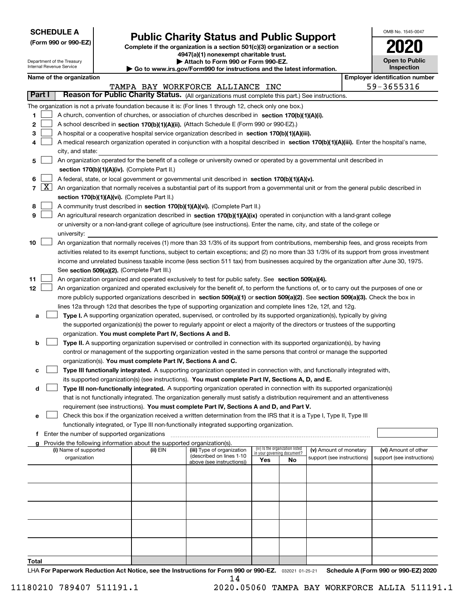| <b>SCHEDULE A</b> |
|-------------------|
|-------------------|

Department of the Treasury Internal Revenue Service

**(Form 990 or 990-EZ)**

# **Public Charity Status and Public Support**

**Complete if the organization is a section 501(c)(3) organization or a section 4947(a)(1) nonexempt charitable trust. | Attach to Form 990 or Form 990-EZ.** 

| $\triangleright$ Allach to Form occurred in the cool.                   |
|-------------------------------------------------------------------------|
| ▶ Go to www.irs.gov/Form990 for instructions and the latest information |

| OMB No. 1545-0047 |
|-------------------|
| 2020              |
| Open to Public    |

**Inspection**

|  | Name of the organization |
|--|--------------------------|
|--|--------------------------|

|            |                                                                                                                                            | Name of the organization                                                                                                                     |          |                                  |     |                                 |                                                      |  | <b>Employer identification number</b>              |  |  |  |
|------------|--------------------------------------------------------------------------------------------------------------------------------------------|----------------------------------------------------------------------------------------------------------------------------------------------|----------|----------------------------------|-----|---------------------------------|------------------------------------------------------|--|----------------------------------------------------|--|--|--|
|            |                                                                                                                                            |                                                                                                                                              |          | TAMPA BAY WORKFORCE ALLIANCE INC |     |                                 |                                                      |  | 59-3655316                                         |  |  |  |
| Part I     |                                                                                                                                            | Reason for Public Charity Status. (All organizations must complete this part.) See instructions.                                             |          |                                  |     |                                 |                                                      |  |                                                    |  |  |  |
|            |                                                                                                                                            | The organization is not a private foundation because it is: (For lines 1 through 12, check only one box.)                                    |          |                                  |     |                                 |                                                      |  |                                                    |  |  |  |
| 1          |                                                                                                                                            | A church, convention of churches, or association of churches described in section 170(b)(1)(A)(i).                                           |          |                                  |     |                                 |                                                      |  |                                                    |  |  |  |
| 2          |                                                                                                                                            | A school described in section 170(b)(1)(A)(ii). (Attach Schedule E (Form 990 or 990-EZ).)                                                    |          |                                  |     |                                 |                                                      |  |                                                    |  |  |  |
| з          |                                                                                                                                            | A hospital or a cooperative hospital service organization described in section 170(b)(1)(A)(iii).                                            |          |                                  |     |                                 |                                                      |  |                                                    |  |  |  |
| 4          | A medical research organization operated in conjunction with a hospital described in section 170(b)(1)(A)(iii). Enter the hospital's name, |                                                                                                                                              |          |                                  |     |                                 |                                                      |  |                                                    |  |  |  |
|            | city, and state:                                                                                                                           |                                                                                                                                              |          |                                  |     |                                 |                                                      |  |                                                    |  |  |  |
| 5          | An organization operated for the benefit of a college or university owned or operated by a governmental unit described in                  |                                                                                                                                              |          |                                  |     |                                 |                                                      |  |                                                    |  |  |  |
|            |                                                                                                                                            | section 170(b)(1)(A)(iv). (Complete Part II.)                                                                                                |          |                                  |     |                                 |                                                      |  |                                                    |  |  |  |
| 6          |                                                                                                                                            | A federal, state, or local government or governmental unit described in section 170(b)(1)(A)(v).                                             |          |                                  |     |                                 |                                                      |  |                                                    |  |  |  |
| $7 \times$ |                                                                                                                                            | An organization that normally receives a substantial part of its support from a governmental unit or from the general public described in    |          |                                  |     |                                 |                                                      |  |                                                    |  |  |  |
|            |                                                                                                                                            | section 170(b)(1)(A)(vi). (Complete Part II.)                                                                                                |          |                                  |     |                                 |                                                      |  |                                                    |  |  |  |
| 8          |                                                                                                                                            | A community trust described in section 170(b)(1)(A)(vi). (Complete Part II.)                                                                 |          |                                  |     |                                 |                                                      |  |                                                    |  |  |  |
| 9          |                                                                                                                                            | An agricultural research organization described in section 170(b)(1)(A)(ix) operated in conjunction with a land-grant college                |          |                                  |     |                                 |                                                      |  |                                                    |  |  |  |
|            |                                                                                                                                            | or university or a non-land-grant college of agriculture (see instructions). Enter the name, city, and state of the college or               |          |                                  |     |                                 |                                                      |  |                                                    |  |  |  |
|            |                                                                                                                                            | university:                                                                                                                                  |          |                                  |     |                                 |                                                      |  |                                                    |  |  |  |
| 10         |                                                                                                                                            | An organization that normally receives (1) more than 33 1/3% of its support from contributions, membership fees, and gross receipts from     |          |                                  |     |                                 |                                                      |  |                                                    |  |  |  |
|            |                                                                                                                                            | activities related to its exempt functions, subject to certain exceptions; and (2) no more than 33 1/3% of its support from gross investment |          |                                  |     |                                 |                                                      |  |                                                    |  |  |  |
|            |                                                                                                                                            | income and unrelated business taxable income (less section 511 tax) from businesses acquired by the organization after June 30, 1975.        |          |                                  |     |                                 |                                                      |  |                                                    |  |  |  |
|            |                                                                                                                                            | See section 509(a)(2). (Complete Part III.)                                                                                                  |          |                                  |     |                                 |                                                      |  |                                                    |  |  |  |
| 11         |                                                                                                                                            | An organization organized and operated exclusively to test for public safety. See section 509(a)(4).                                         |          |                                  |     |                                 |                                                      |  |                                                    |  |  |  |
| 12         |                                                                                                                                            | An organization organized and operated exclusively for the benefit of, to perform the functions of, or to carry out the purposes of one or   |          |                                  |     |                                 |                                                      |  |                                                    |  |  |  |
|            |                                                                                                                                            | more publicly supported organizations described in section 509(a)(1) or section 509(a)(2). See section 509(a)(3). Check the box in           |          |                                  |     |                                 |                                                      |  |                                                    |  |  |  |
|            |                                                                                                                                            | lines 12a through 12d that describes the type of supporting organization and complete lines 12e, 12f, and 12g.                               |          |                                  |     |                                 |                                                      |  |                                                    |  |  |  |
| а          |                                                                                                                                            | Type I. A supporting organization operated, supervised, or controlled by its supported organization(s), typically by giving                  |          |                                  |     |                                 |                                                      |  |                                                    |  |  |  |
|            |                                                                                                                                            | the supported organization(s) the power to regularly appoint or elect a majority of the directors or trustees of the supporting              |          |                                  |     |                                 |                                                      |  |                                                    |  |  |  |
|            |                                                                                                                                            | organization. You must complete Part IV, Sections A and B.                                                                                   |          |                                  |     |                                 |                                                      |  |                                                    |  |  |  |
| b          |                                                                                                                                            | Type II. A supporting organization supervised or controlled in connection with its supported organization(s), by having                      |          |                                  |     |                                 |                                                      |  |                                                    |  |  |  |
|            |                                                                                                                                            | control or management of the supporting organization vested in the same persons that control or manage the supported                         |          |                                  |     |                                 |                                                      |  |                                                    |  |  |  |
|            |                                                                                                                                            | organization(s). You must complete Part IV, Sections A and C.                                                                                |          |                                  |     |                                 |                                                      |  |                                                    |  |  |  |
| с          |                                                                                                                                            | Type III functionally integrated. A supporting organization operated in connection with, and functionally integrated with,                   |          |                                  |     |                                 |                                                      |  |                                                    |  |  |  |
|            |                                                                                                                                            | its supported organization(s) (see instructions). You must complete Part IV, Sections A, D, and E.                                           |          |                                  |     |                                 |                                                      |  |                                                    |  |  |  |
| d          |                                                                                                                                            | Type III non-functionally integrated. A supporting organization operated in connection with its supported organization(s)                    |          |                                  |     |                                 |                                                      |  |                                                    |  |  |  |
|            |                                                                                                                                            | that is not functionally integrated. The organization generally must satisfy a distribution requirement and an attentiveness                 |          |                                  |     |                                 |                                                      |  |                                                    |  |  |  |
|            |                                                                                                                                            | requirement (see instructions). You must complete Part IV, Sections A and D, and Part V.                                                     |          |                                  |     |                                 |                                                      |  |                                                    |  |  |  |
| е          |                                                                                                                                            | Check this box if the organization received a written determination from the IRS that it is a Type I, Type II, Type III                      |          |                                  |     |                                 |                                                      |  |                                                    |  |  |  |
|            |                                                                                                                                            | functionally integrated, or Type III non-functionally integrated supporting organization.                                                    |          |                                  |     |                                 |                                                      |  |                                                    |  |  |  |
|            |                                                                                                                                            | f Enter the number of supported organizations                                                                                                |          |                                  |     |                                 |                                                      |  |                                                    |  |  |  |
|            |                                                                                                                                            | Provide the following information about the supported organization(s).                                                                       |          | (iii) Type of organization       |     | (iv) Is the organization listed |                                                      |  |                                                    |  |  |  |
|            |                                                                                                                                            | (i) Name of supported<br>organization                                                                                                        | (ii) EIN | (described on lines 1-10         |     | in your governing document?     | (v) Amount of monetary<br>support (see instructions) |  | (vi) Amount of other<br>support (see instructions) |  |  |  |
|            |                                                                                                                                            |                                                                                                                                              |          | above (see instructions))        | Yes | No                              |                                                      |  |                                                    |  |  |  |
|            |                                                                                                                                            |                                                                                                                                              |          |                                  |     |                                 |                                                      |  |                                                    |  |  |  |
|            |                                                                                                                                            |                                                                                                                                              |          |                                  |     |                                 |                                                      |  |                                                    |  |  |  |
|            |                                                                                                                                            |                                                                                                                                              |          |                                  |     |                                 |                                                      |  |                                                    |  |  |  |
|            |                                                                                                                                            |                                                                                                                                              |          |                                  |     |                                 |                                                      |  |                                                    |  |  |  |
|            |                                                                                                                                            |                                                                                                                                              |          |                                  |     |                                 |                                                      |  |                                                    |  |  |  |
|            |                                                                                                                                            |                                                                                                                                              |          |                                  |     |                                 |                                                      |  |                                                    |  |  |  |
|            |                                                                                                                                            |                                                                                                                                              |          |                                  |     |                                 |                                                      |  |                                                    |  |  |  |
|            |                                                                                                                                            |                                                                                                                                              |          |                                  |     |                                 |                                                      |  |                                                    |  |  |  |
|            |                                                                                                                                            |                                                                                                                                              |          |                                  |     |                                 |                                                      |  |                                                    |  |  |  |
| Total      |                                                                                                                                            |                                                                                                                                              |          |                                  |     |                                 |                                                      |  |                                                    |  |  |  |

LHA For Paperwork Reduction Act Notice, see the Instructions for Form 990 or 990-EZ. <sub>032021</sub> o1-25-21 Schedule A (Form 990 or 990-EZ) 2020 14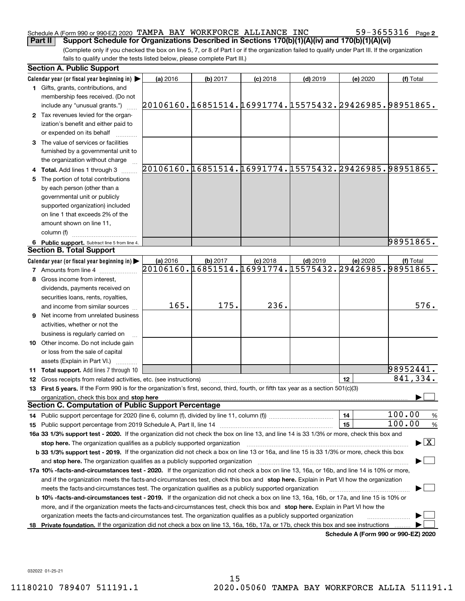#### Schedule A (Form 990 or 990-EZ) 2020 Page TAMPA BAY WORKFORCE ALLIANCE INC 59-3655316 **Part II Support Schedule for Organizations Described in Sections 170(b)(1)(A)(iv) and 170(b)(1)(A)(vi)**

(Complete only if you checked the box on line 5, 7, or 8 of Part I or if the organization failed to qualify under Part III. If the organization fails to qualify under the tests listed below, please complete Part III.)

|    | <b>Section A. Public Support</b>                                                                                                                                              |                                                        |          |            |            |          |                                          |  |  |
|----|-------------------------------------------------------------------------------------------------------------------------------------------------------------------------------|--------------------------------------------------------|----------|------------|------------|----------|------------------------------------------|--|--|
|    | Calendar year (or fiscal year beginning in) $\blacktriangleright$                                                                                                             | (a) 2016                                               | (b) 2017 | $(c)$ 2018 | $(d)$ 2019 | (e) 2020 | (f) Total                                |  |  |
|    | 1 Gifts, grants, contributions, and<br>membership fees received. (Do not                                                                                                      |                                                        |          |            |            |          |                                          |  |  |
|    | include any "unusual grants.")                                                                                                                                                | 20106160.16851514.16991774.15575432.29426985.98951865. |          |            |            |          |                                          |  |  |
|    | 2 Tax revenues levied for the organ-                                                                                                                                          |                                                        |          |            |            |          |                                          |  |  |
|    | ization's benefit and either paid to                                                                                                                                          |                                                        |          |            |            |          |                                          |  |  |
|    | or expended on its behalf                                                                                                                                                     |                                                        |          |            |            |          |                                          |  |  |
|    | 3 The value of services or facilities                                                                                                                                         |                                                        |          |            |            |          |                                          |  |  |
|    | furnished by a governmental unit to                                                                                                                                           |                                                        |          |            |            |          |                                          |  |  |
|    | the organization without charge                                                                                                                                               | 20106160.16851514.16991774.15575432.29426985.98951865. |          |            |            |          |                                          |  |  |
|    | 4 Total. Add lines 1 through 3                                                                                                                                                |                                                        |          |            |            |          |                                          |  |  |
| 5. | The portion of total contributions                                                                                                                                            |                                                        |          |            |            |          |                                          |  |  |
|    | by each person (other than a                                                                                                                                                  |                                                        |          |            |            |          |                                          |  |  |
|    | governmental unit or publicly                                                                                                                                                 |                                                        |          |            |            |          |                                          |  |  |
|    | supported organization) included<br>on line 1 that exceeds 2% of the                                                                                                          |                                                        |          |            |            |          |                                          |  |  |
|    | amount shown on line 11,                                                                                                                                                      |                                                        |          |            |            |          |                                          |  |  |
|    | column (f)                                                                                                                                                                    |                                                        |          |            |            |          |                                          |  |  |
|    | 6 Public support. Subtract line 5 from line 4.                                                                                                                                |                                                        |          |            |            |          | 98951865.                                |  |  |
|    | <b>Section B. Total Support</b>                                                                                                                                               |                                                        |          |            |            |          |                                          |  |  |
|    | Calendar year (or fiscal year beginning in)                                                                                                                                   | (a) 2016                                               | (b) 2017 | $(c)$ 2018 | $(d)$ 2019 | (e) 2020 | (f) Total                                |  |  |
|    | <b>7</b> Amounts from line 4                                                                                                                                                  | 20106160.16851514.16991774.15575432.29426985.98951865. |          |            |            |          |                                          |  |  |
|    | 8 Gross income from interest,                                                                                                                                                 |                                                        |          |            |            |          |                                          |  |  |
|    | dividends, payments received on                                                                                                                                               |                                                        |          |            |            |          |                                          |  |  |
|    | securities loans, rents, royalties,                                                                                                                                           |                                                        |          |            |            |          |                                          |  |  |
|    | and income from similar sources                                                                                                                                               | 165.                                                   | 175.     | 236.       |            |          | 576.                                     |  |  |
|    | <b>9</b> Net income from unrelated business                                                                                                                                   |                                                        |          |            |            |          |                                          |  |  |
|    | activities, whether or not the                                                                                                                                                |                                                        |          |            |            |          |                                          |  |  |
|    | business is regularly carried on                                                                                                                                              |                                                        |          |            |            |          |                                          |  |  |
|    | <b>10</b> Other income. Do not include gain                                                                                                                                   |                                                        |          |            |            |          |                                          |  |  |
|    | or loss from the sale of capital                                                                                                                                              |                                                        |          |            |            |          |                                          |  |  |
|    | assets (Explain in Part VI.)                                                                                                                                                  |                                                        |          |            |            |          |                                          |  |  |
|    | <b>11 Total support.</b> Add lines 7 through 10                                                                                                                               |                                                        |          |            |            |          | 98952441.                                |  |  |
|    | 12 Gross receipts from related activities, etc. (see instructions)                                                                                                            |                                                        |          |            |            | 12       | 841,334.                                 |  |  |
|    | 13 First 5 years. If the Form 990 is for the organization's first, second, third, fourth, or fifth tax year as a section 501(c)(3)                                            |                                                        |          |            |            |          |                                          |  |  |
|    | organization, check this box and stop here                                                                                                                                    |                                                        |          |            |            |          |                                          |  |  |
|    | <b>Section C. Computation of Public Support Percentage</b>                                                                                                                    |                                                        |          |            |            |          |                                          |  |  |
|    |                                                                                                                                                                               |                                                        |          |            |            | 14       | 100.00<br>$\frac{9}{6}$                  |  |  |
|    |                                                                                                                                                                               |                                                        |          |            |            | 15       | 100.00<br>%                              |  |  |
|    | 16a 33 1/3% support test - 2020. If the organization did not check the box on line 13, and line 14 is 33 1/3% or more, check this box and                                     |                                                        |          |            |            |          |                                          |  |  |
|    | stop here. The organization qualifies as a publicly supported organization                                                                                                    |                                                        |          |            |            |          | $\blacktriangleright$ $\boxed{\text{X}}$ |  |  |
|    | b 33 1/3% support test - 2019. If the organization did not check a box on line 13 or 16a, and line 15 is 33 1/3% or more, check this box                                      |                                                        |          |            |            |          |                                          |  |  |
|    | and stop here. The organization qualifies as a publicly supported organization                                                                                                |                                                        |          |            |            |          |                                          |  |  |
|    | 17a 10% -facts-and-circumstances test - 2020. If the organization did not check a box on line 13, 16a, or 16b, and line 14 is 10% or more,                                    |                                                        |          |            |            |          |                                          |  |  |
|    | and if the organization meets the facts-and-circumstances test, check this box and stop here. Explain in Part VI how the organization                                         |                                                        |          |            |            |          |                                          |  |  |
|    | meets the facts-and-circumstances test. The organization qualifies as a publicly supported organization                                                                       |                                                        |          |            |            |          |                                          |  |  |
|    | <b>b 10% -facts-and-circumstances test - 2019.</b> If the organization did not check a box on line 13, 16a, 16b, or 17a, and line 15 is 10% or                                |                                                        |          |            |            |          |                                          |  |  |
|    | more, and if the organization meets the facts-and-circumstances test, check this box and stop here. Explain in Part VI how the                                                |                                                        |          |            |            |          |                                          |  |  |
|    | organization meets the facts-and-circumstances test. The organization qualifies as a publicly supported organization                                                          |                                                        |          |            |            |          |                                          |  |  |
|    | 18 Private foundation. If the organization did not check a box on line 13, 16a, 16b, 17a, or 17b, check this box and see instructions<br>Schedule A (Form 990 or 990-EZ) 2020 |                                                        |          |            |            |          |                                          |  |  |

032022 01-25-21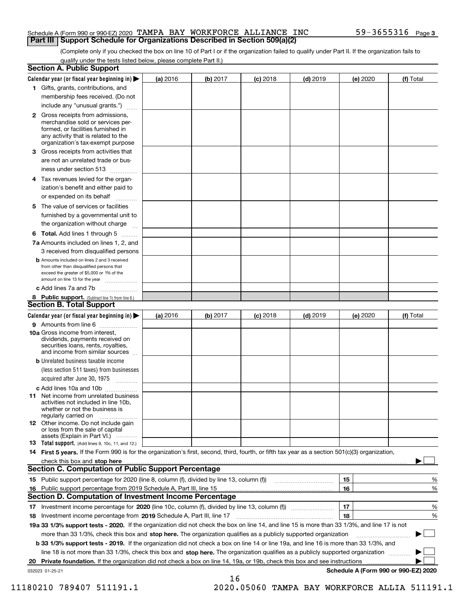#### Schedule A (Form 990 or 990-EZ) 2020 Page TAMPA BAY WORKFORCE ALLIANCE INC 59-3655316 **Part III Support Schedule for Organizations Described in Section 509(a)(2)**

(Complete only if you checked the box on line 10 of Part I or if the organization failed to qualify under Part II. If the organization fails to qualify under the tests listed below, please complete Part II.)

|    | <b>Section A. Public Support</b>                                                                                                                                                                                                    |          |          |            |            |          |                                      |
|----|-------------------------------------------------------------------------------------------------------------------------------------------------------------------------------------------------------------------------------------|----------|----------|------------|------------|----------|--------------------------------------|
|    | Calendar year (or fiscal year beginning in) $\blacktriangleright$                                                                                                                                                                   | (a) 2016 | (b) 2017 | $(c)$ 2018 | $(d)$ 2019 | (e) 2020 | (f) Total                            |
|    | 1 Gifts, grants, contributions, and                                                                                                                                                                                                 |          |          |            |            |          |                                      |
|    | membership fees received. (Do not                                                                                                                                                                                                   |          |          |            |            |          |                                      |
|    | include any "unusual grants.")                                                                                                                                                                                                      |          |          |            |            |          |                                      |
|    | <b>2</b> Gross receipts from admissions,<br>merchandise sold or services per-<br>formed, or facilities furnished in<br>any activity that is related to the<br>organization's tax-exempt purpose                                     |          |          |            |            |          |                                      |
|    | 3 Gross receipts from activities that<br>are not an unrelated trade or bus-                                                                                                                                                         |          |          |            |            |          |                                      |
|    | iness under section 513                                                                                                                                                                                                             |          |          |            |            |          |                                      |
|    | 4 Tax revenues levied for the organ-<br>ization's benefit and either paid to                                                                                                                                                        |          |          |            |            |          |                                      |
|    | or expended on its behalf                                                                                                                                                                                                           |          |          |            |            |          |                                      |
|    | 5 The value of services or facilities<br>furnished by a governmental unit to                                                                                                                                                        |          |          |            |            |          |                                      |
|    | the organization without charge                                                                                                                                                                                                     |          |          |            |            |          |                                      |
|    | <b>6 Total.</b> Add lines 1 through 5                                                                                                                                                                                               |          |          |            |            |          |                                      |
|    | 7a Amounts included on lines 1, 2, and<br>3 received from disqualified persons                                                                                                                                                      |          |          |            |            |          |                                      |
|    | <b>b</b> Amounts included on lines 2 and 3 received<br>from other than disqualified persons that<br>exceed the greater of \$5,000 or 1% of the<br>amount on line 13 for the year                                                    |          |          |            |            |          |                                      |
|    | c Add lines 7a and 7b                                                                                                                                                                                                               |          |          |            |            |          |                                      |
|    | 8 Public support. (Subtract line 7c from line 6.)<br><b>Section B. Total Support</b>                                                                                                                                                |          |          |            |            |          |                                      |
|    | Calendar year (or fiscal year beginning in)                                                                                                                                                                                         | (a) 2016 | (b) 2017 | $(c)$ 2018 | $(d)$ 2019 | (e) 2020 | (f) Total                            |
|    | 9 Amounts from line 6                                                                                                                                                                                                               |          |          |            |            |          |                                      |
|    | <b>10a</b> Gross income from interest,<br>dividends, payments received on<br>securities loans, rents, royalties,<br>and income from similar sources                                                                                 |          |          |            |            |          |                                      |
|    | <b>b</b> Unrelated business taxable income<br>(less section 511 taxes) from businesses                                                                                                                                              |          |          |            |            |          |                                      |
|    | acquired after June 30, 1975                                                                                                                                                                                                        |          |          |            |            |          |                                      |
|    | c Add lines 10a and 10b<br>11 Net income from unrelated business<br>activities not included in line 10b,<br>whether or not the business is<br>regularly carried on                                                                  |          |          |            |            |          |                                      |
|    | <b>12</b> Other income. Do not include gain<br>or loss from the sale of capital<br>assets (Explain in Part VI.)                                                                                                                     |          |          |            |            |          |                                      |
|    | 13 Total support. (Add lines 9, 10c, 11, and 12.)                                                                                                                                                                                   |          |          |            |            |          |                                      |
|    | 14 First 5 years. If the Form 990 is for the organization's first, second, third, fourth, or fifth tax year as a section 501(c)(3) organization,                                                                                    |          |          |            |            |          |                                      |
|    | check this box and <b>stop here</b> with the continuum continuum continuum continuum continuum continuum continuum continuum continuum continuum continuum continuum continuum continuum continuum continuum continuum continuum co |          |          |            |            |          |                                      |
|    | <b>Section C. Computation of Public Support Percentage</b>                                                                                                                                                                          |          |          |            |            |          |                                      |
|    |                                                                                                                                                                                                                                     |          |          |            |            | 15       | %                                    |
| 16 | Public support percentage from 2019 Schedule A, Part III, line 15                                                                                                                                                                   |          |          |            |            | 16       | %                                    |
|    | Section D. Computation of Investment Income Percentage                                                                                                                                                                              |          |          |            |            |          |                                      |
|    | 17 Investment income percentage for 2020 (line 10c, column (f), divided by line 13, column (f))<br>18 Investment income percentage from 2019 Schedule A, Part III, line 17                                                          |          |          |            |            | 17<br>18 | %<br>%                               |
|    | 19a 33 1/3% support tests - 2020. If the organization did not check the box on line 14, and line 15 is more than 33 1/3%, and line 17 is not                                                                                        |          |          |            |            |          |                                      |
|    | more than 33 1/3%, check this box and stop here. The organization qualifies as a publicly supported organization                                                                                                                    |          |          |            |            |          |                                      |
|    | b 33 1/3% support tests - 2019. If the organization did not check a box on line 14 or line 19a, and line 16 is more than 33 1/3%, and                                                                                               |          |          |            |            |          |                                      |
|    | line 18 is not more than 33 1/3%, check this box and stop here. The organization qualifies as a publicly supported organization                                                                                                     |          |          |            |            |          |                                      |
| 20 | <b>Private foundation.</b> If the organization did not check a box on line 14, 19a, or 19b, check this box and see instructions                                                                                                     |          |          |            |            |          | .                                    |
|    | 032023 01-25-21                                                                                                                                                                                                                     |          |          |            |            |          | Schedule A (Form 990 or 990-EZ) 2020 |
|    |                                                                                                                                                                                                                                     |          | 16       |            |            |          |                                      |

11180210 789407 511191.1 2020.05060 TAMPA BAY WORKFORCE ALLIA 511191.1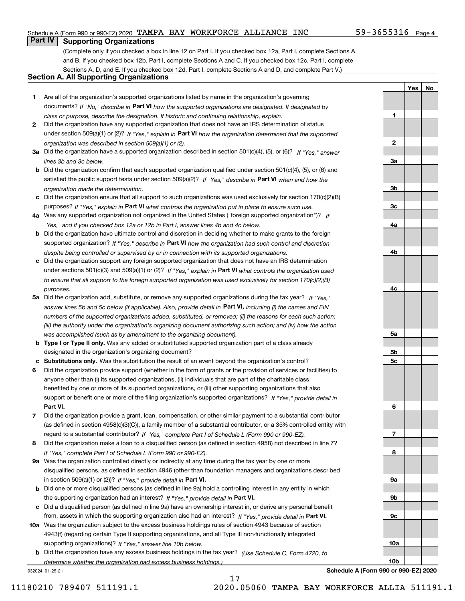#### Schedule A (Form 990 or 990-EZ) 2020 Page TAMPA BAY WORKFORCE ALLIANCE INC 59-3655316

#### $59 - 3655316$  Page 4

**1**

**2**

**3a**

**3b**

**3c**

**4a**

**4b**

**4c**

**5a**

**5b5c**

**6**

**7**

**8**

**9a**

**9b**

**9c**

**10a**

**10b**

**YesNo**

### **Part IV Supporting Organizations**

(Complete only if you checked a box in line 12 on Part I. If you checked box 12a, Part I, complete Sections A and B. If you checked box 12b, Part I, complete Sections A and C. If you checked box 12c, Part I, complete Sections A, D, and E. If you checked box 12d, Part I, complete Sections A and D, and complete Part V.)

#### **Section A. All Supporting Organizations**

- **1** Are all of the organization's supported organizations listed by name in the organization's governing documents? If "No," describe in **Part VI** how the supported organizations are designated. If designated by *class or purpose, describe the designation. If historic and continuing relationship, explain.*
- **2** Did the organization have any supported organization that does not have an IRS determination of status under section 509(a)(1) or (2)? If "Yes," explain in Part VI how the organization determined that the supported *organization was described in section 509(a)(1) or (2).*
- **3a** Did the organization have a supported organization described in section 501(c)(4), (5), or (6)? If "Yes," answer *lines 3b and 3c below.*
- **b** Did the organization confirm that each supported organization qualified under section 501(c)(4), (5), or (6) and satisfied the public support tests under section 509(a)(2)? If "Yes," describe in **Part VI** when and how the *organization made the determination.*
- **c**Did the organization ensure that all support to such organizations was used exclusively for section 170(c)(2)(B) purposes? If "Yes," explain in **Part VI** what controls the organization put in place to ensure such use.
- **4a***If* Was any supported organization not organized in the United States ("foreign supported organization")? *"Yes," and if you checked box 12a or 12b in Part I, answer lines 4b and 4c below.*
- **b** Did the organization have ultimate control and discretion in deciding whether to make grants to the foreign supported organization? If "Yes," describe in **Part VI** how the organization had such control and discretion *despite being controlled or supervised by or in connection with its supported organizations.*
- **c** Did the organization support any foreign supported organization that does not have an IRS determination under sections 501(c)(3) and 509(a)(1) or (2)? If "Yes," explain in **Part VI** what controls the organization used *to ensure that all support to the foreign supported organization was used exclusively for section 170(c)(2)(B) purposes.*
- **5a** Did the organization add, substitute, or remove any supported organizations during the tax year? If "Yes," answer lines 5b and 5c below (if applicable). Also, provide detail in **Part VI,** including (i) the names and EIN *numbers of the supported organizations added, substituted, or removed; (ii) the reasons for each such action; (iii) the authority under the organization's organizing document authorizing such action; and (iv) how the action was accomplished (such as by amendment to the organizing document).*
- **b** Type I or Type II only. Was any added or substituted supported organization part of a class already designated in the organization's organizing document?
- **cSubstitutions only.**  Was the substitution the result of an event beyond the organization's control?
- **6** Did the organization provide support (whether in the form of grants or the provision of services or facilities) to **Part VI.** *If "Yes," provide detail in* support or benefit one or more of the filing organization's supported organizations? anyone other than (i) its supported organizations, (ii) individuals that are part of the charitable class benefited by one or more of its supported organizations, or (iii) other supporting organizations that also
- **7**Did the organization provide a grant, loan, compensation, or other similar payment to a substantial contributor *If "Yes," complete Part I of Schedule L (Form 990 or 990-EZ).* regard to a substantial contributor? (as defined in section 4958(c)(3)(C)), a family member of a substantial contributor, or a 35% controlled entity with
- **8** Did the organization make a loan to a disqualified person (as defined in section 4958) not described in line 7? *If "Yes," complete Part I of Schedule L (Form 990 or 990-EZ).*
- **9a** Was the organization controlled directly or indirectly at any time during the tax year by one or more in section 509(a)(1) or (2))? If "Yes," *provide detail in* <code>Part VI.</code> disqualified persons, as defined in section 4946 (other than foundation managers and organizations described
- **b** Did one or more disqualified persons (as defined in line 9a) hold a controlling interest in any entity in which the supporting organization had an interest? If "Yes," provide detail in P**art VI**.
- **c**Did a disqualified person (as defined in line 9a) have an ownership interest in, or derive any personal benefit from, assets in which the supporting organization also had an interest? If "Yes," provide detail in P**art VI.**
- **10a** Was the organization subject to the excess business holdings rules of section 4943 because of section supporting organizations)? If "Yes," answer line 10b below. 4943(f) (regarding certain Type II supporting organizations, and all Type III non-functionally integrated
- **b** Did the organization have any excess business holdings in the tax year? (Use Schedule C, Form 4720, to *determine whether the organization had excess business holdings.)*

17

032024 01-25-21

**Schedule A (Form 990 or 990-EZ) 2020**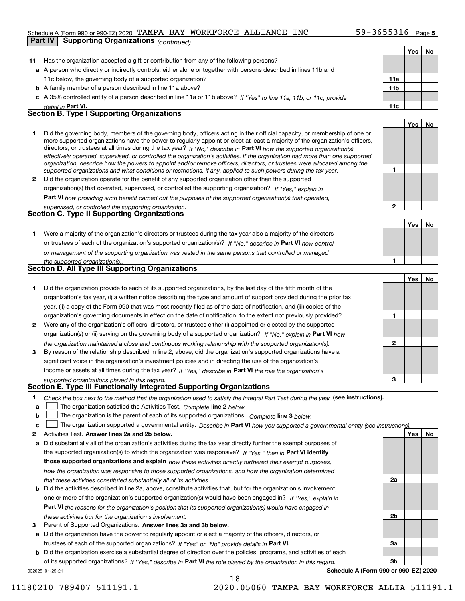#### Schedule A (Form 990 or 990-EZ) 2020 Page TAMPA BAY WORKFORCE ALLIANCE INC 59-3655316 **Part IV Supporting Organizations** *(continued)*

|    |                                                                                                                                                                                                                                                            |              | Yes   No |    |
|----|------------------------------------------------------------------------------------------------------------------------------------------------------------------------------------------------------------------------------------------------------------|--------------|----------|----|
| 11 | Has the organization accepted a gift or contribution from any of the following persons?                                                                                                                                                                    |              |          |    |
|    | a A person who directly or indirectly controls, either alone or together with persons described in lines 11b and                                                                                                                                           |              |          |    |
|    | 11c below, the governing body of a supported organization?                                                                                                                                                                                                 | 11a          |          |    |
|    | <b>b</b> A family member of a person described in line 11a above?                                                                                                                                                                                          | 11b          |          |    |
|    | c A 35% controlled entity of a person described in line 11a or 11b above? If "Yes" to line 11a, 11b, or 11c, provide                                                                                                                                       |              |          |    |
|    | detail in Part VI.                                                                                                                                                                                                                                         | 11c          |          |    |
|    | <b>Section B. Type I Supporting Organizations</b>                                                                                                                                                                                                          |              |          |    |
|    |                                                                                                                                                                                                                                                            |              | Yes      | No |
| 1. | Did the governing body, members of the governing body, officers acting in their official capacity, or membership of one or                                                                                                                                 |              |          |    |
|    | more supported organizations have the power to regularly appoint or elect at least a majority of the organization's officers,                                                                                                                              |              |          |    |
|    | directors, or trustees at all times during the tax year? If "No," describe in Part VI how the supported organization(s)                                                                                                                                    |              |          |    |
|    | effectively operated, supervised, or controlled the organization's activities. If the organization had more than one supported<br>organization, describe how the powers to appoint and/or remove officers, directors, or trustees were allocated among the |              |          |    |
|    | supported organizations and what conditions or restrictions, if any, applied to such powers during the tax year.                                                                                                                                           | 1            |          |    |
| 2  | Did the organization operate for the benefit of any supported organization other than the supported                                                                                                                                                        |              |          |    |
|    | organization(s) that operated, supervised, or controlled the supporting organization? If "Yes," explain in                                                                                                                                                 |              |          |    |
|    | Part VI how providing such benefit carried out the purposes of the supported organization(s) that operated,                                                                                                                                                |              |          |    |
|    | supervised, or controlled the supporting organization.                                                                                                                                                                                                     | $\mathbf{2}$ |          |    |
|    | <b>Section C. Type II Supporting Organizations</b>                                                                                                                                                                                                         |              |          |    |
|    |                                                                                                                                                                                                                                                            |              | Yes      | No |
| 1. | Were a majority of the organization's directors or trustees during the tax year also a majority of the directors                                                                                                                                           |              |          |    |
|    | or trustees of each of the organization's supported organization(s)? If "No," describe in Part VI how control                                                                                                                                              |              |          |    |
|    | or management of the supporting organization was vested in the same persons that controlled or managed                                                                                                                                                     |              |          |    |
|    | the supported organization(s).                                                                                                                                                                                                                             | 1            |          |    |
|    | <b>Section D. All Type III Supporting Organizations</b>                                                                                                                                                                                                    |              |          |    |
|    |                                                                                                                                                                                                                                                            |              | Yes      | No |
| 1  | Did the organization provide to each of its supported organizations, by the last day of the fifth month of the                                                                                                                                             |              |          |    |
|    | organization's tax year, (i) a written notice describing the type and amount of support provided during the prior tax                                                                                                                                      |              |          |    |
|    | year, (ii) a copy of the Form 990 that was most recently filed as of the date of notification, and (iii) copies of the                                                                                                                                     |              |          |    |
|    | organization's governing documents in effect on the date of notification, to the extent not previously provided?                                                                                                                                           | 1            |          |    |
| 2  | Were any of the organization's officers, directors, or trustees either (i) appointed or elected by the supported                                                                                                                                           |              |          |    |
|    | organization(s) or (ii) serving on the governing body of a supported organization? If "No," explain in Part VI how                                                                                                                                         |              |          |    |
|    | the organization maintained a close and continuous working relationship with the supported organization(s).                                                                                                                                                | $\mathbf{2}$ |          |    |
| 3  | By reason of the relationship described in line 2, above, did the organization's supported organizations have a                                                                                                                                            |              |          |    |
|    | significant voice in the organization's investment policies and in directing the use of the organization's                                                                                                                                                 |              |          |    |
|    | income or assets at all times during the tax year? If "Yes," describe in Part VI the role the organization's                                                                                                                                               |              |          |    |
|    | supported organizations played in this regard.                                                                                                                                                                                                             | 3            |          |    |
|    | <b>Section E. Type III Functionally Integrated Supporting Organizations</b>                                                                                                                                                                                |              |          |    |
| 1  | Check the box next to the method that the organization used to satisfy the Integral Part Test during the year (see instructions).                                                                                                                          |              |          |    |
| a  | The organization satisfied the Activities Test. Complete line 2 below.                                                                                                                                                                                     |              |          |    |
| b  | The organization is the parent of each of its supported organizations. Complete line 3 below.                                                                                                                                                              |              |          |    |
| c  | The organization supported a governmental entity. Describe in Part VI how you supported a governmental entity (see instructions).                                                                                                                          |              |          |    |
| 2  | Activities Test. Answer lines 2a and 2b below.                                                                                                                                                                                                             |              | Yes      | No |
| a  | Did substantially all of the organization's activities during the tax year directly further the exempt purposes of                                                                                                                                         |              |          |    |
|    | the supported organization(s) to which the organization was responsive? If "Yes." then in Part VI identify                                                                                                                                                 |              |          |    |
|    | those supported organizations and explain how these activities directly furthered their exempt purposes,                                                                                                                                                   |              |          |    |
|    | how the organization was responsive to those supported organizations, and how the organization determined                                                                                                                                                  |              |          |    |
|    | that these activities constituted substantially all of its activities.                                                                                                                                                                                     | 2a           |          |    |
|    | <b>b</b> Did the activities described in line 2a, above, constitute activities that, but for the organization's involvement,                                                                                                                               |              |          |    |
|    | one or more of the organization's supported organization(s) would have been engaged in? If "Yes," explain in                                                                                                                                               |              |          |    |
|    | <b>Part VI</b> the reasons for the organization's position that its supported organization(s) would have engaged in                                                                                                                                        |              |          |    |
|    | these activities but for the organization's involvement.                                                                                                                                                                                                   | 2b           |          |    |
| 3  | Parent of Supported Organizations. Answer lines 3a and 3b below.                                                                                                                                                                                           |              |          |    |
|    | a Did the organization have the power to regularly appoint or elect a majority of the officers, directors, or                                                                                                                                              |              |          |    |
|    | trustees of each of the supported organizations? If "Yes" or "No" provide details in Part VI.                                                                                                                                                              | За           |          |    |
|    | <b>b</b> Did the organization exercise a substantial degree of direction over the policies, programs, and activities of each                                                                                                                               |              |          |    |
|    | of its supported organizations? If "Yes." describe in Part VI the role played by the organization in this regard.                                                                                                                                          | 3b           |          |    |

18

032025 01-25-21

**Schedule A (Form 990 or 990-EZ) 2020**

11180210 789407 511191.1 2020.05060 TAMPA BAY WORKFORCE ALLIA 511191.1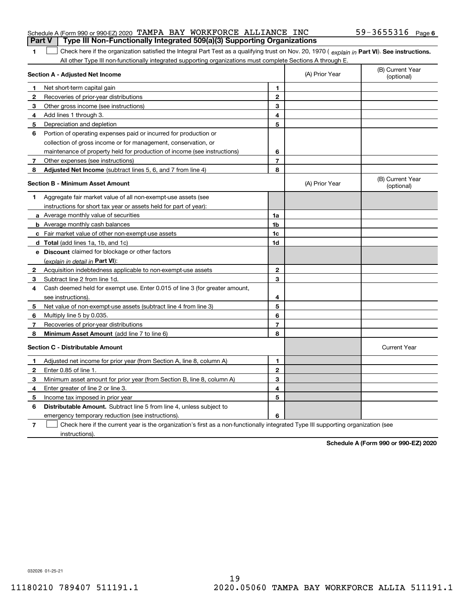|              | Schedule A (Form 990 or 990-EZ) 2020 TAMPA BAY WORKFORCE ALLIANCE INC                                                                          |                |                | 59-3655316 Page 6              |
|--------------|------------------------------------------------------------------------------------------------------------------------------------------------|----------------|----------------|--------------------------------|
|              | Type III Non-Functionally Integrated 509(a)(3) Supporting Organizations<br><b>Part V</b>                                                       |                |                |                                |
| 1.           | Check here if the organization satisfied the Integral Part Test as a qualifying trust on Nov. 20, 1970 (explain in Part VI). See instructions. |                |                |                                |
|              | All other Type III non-functionally integrated supporting organizations must complete Sections A through E.                                    |                |                |                                |
|              | Section A - Adjusted Net Income                                                                                                                |                | (A) Prior Year | (B) Current Year<br>(optional) |
| 1            | Net short-term capital gain                                                                                                                    | 1              |                |                                |
| $\mathbf{2}$ | Recoveries of prior-year distributions                                                                                                         | $\mathbf{2}$   |                |                                |
| 3            | Other gross income (see instructions)                                                                                                          | 3              |                |                                |
| 4            | Add lines 1 through 3.                                                                                                                         | 4              |                |                                |
| 5            | Depreciation and depletion                                                                                                                     | 5              |                |                                |
| 6            | Portion of operating expenses paid or incurred for production or                                                                               |                |                |                                |
|              | collection of gross income or for management, conservation, or                                                                                 |                |                |                                |
|              | maintenance of property held for production of income (see instructions)                                                                       | 6              |                |                                |
| 7            | Other expenses (see instructions)                                                                                                              | $\overline{7}$ |                |                                |
| 8            | <b>Adjusted Net Income</b> (subtract lines 5, 6, and 7 from line 4)                                                                            | 8              |                |                                |
|              | <b>Section B - Minimum Asset Amount</b>                                                                                                        |                | (A) Prior Year | (B) Current Year<br>(optional) |
| 1            | Aggregate fair market value of all non-exempt-use assets (see                                                                                  |                |                |                                |
|              | instructions for short tax year or assets held for part of year):                                                                              |                |                |                                |
|              | a Average monthly value of securities                                                                                                          | 1a             |                |                                |
|              | <b>b</b> Average monthly cash balances                                                                                                         | 1b             |                |                                |
|              | c Fair market value of other non-exempt-use assets                                                                                             | 1c             |                |                                |
|              | <b>d</b> Total (add lines 1a, 1b, and 1c)                                                                                                      | 1d             |                |                                |
|              | <b>e</b> Discount claimed for blockage or other factors                                                                                        |                |                |                                |
|              | (explain in detail in <b>Part VI</b> ):                                                                                                        |                |                |                                |
|              | 2 Acquisition indebtedness applicable to non-exempt-use assets                                                                                 | $\mathbf{2}$   |                |                                |
| 3            | Subtract line 2 from line 1d.                                                                                                                  | 3              |                |                                |
| 4            | Cash deemed held for exempt use. Enter 0.015 of line 3 (for greater amount,                                                                    |                |                |                                |
|              | see instructions).                                                                                                                             | 4              |                |                                |
| 5.           | Net value of non-exempt-use assets (subtract line 4 from line 3)                                                                               | 5              |                |                                |
| 6            | Multiply line 5 by 0.035.                                                                                                                      | 6              |                |                                |
| 7            | Recoveries of prior-year distributions                                                                                                         | $\overline{7}$ |                |                                |
| 8            | Minimum Asset Amount (add line 7 to line 6)                                                                                                    | 8              |                |                                |
|              | <b>Section C - Distributable Amount</b>                                                                                                        |                |                | <b>Current Year</b>            |
| 1            | Adjusted net income for prior year (from Section A, line 8, column A)                                                                          | 1              |                |                                |
| $\mathbf{2}$ | Enter 0.85 of line 1.                                                                                                                          | $\mathbf{2}$   |                |                                |
| 3            | Minimum asset amount for prior year (from Section B, line 8, column A)                                                                         | 3              |                |                                |
| 4            | Enter greater of line 2 or line 3.                                                                                                             | 4              |                |                                |
| 5            | Income tax imposed in prior year                                                                                                               | 5              |                |                                |
|              |                                                                                                                                                |                |                |                                |

**6** Distributable Amount. Subtract line 5 from line 4, unless subject to emergency temporary reduction (see instructions).

**7**Check here if the current year is the organization's first as a non-functionally integrated Type III supporting organization (see instructions).

**6**

**Schedule A (Form 990 or 990-EZ) 2020**

032026 01-25-21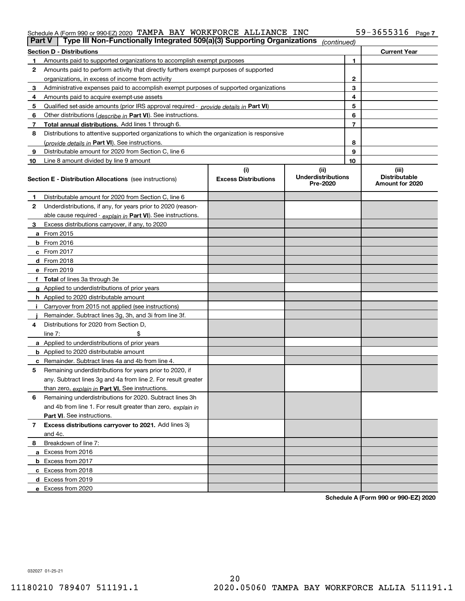#### Schedule A (Form 990 or 990-EZ) 2020 Page TAMPA BAY WORKFORCE ALLIANCE INC 59-3655316

| Part V | Type III Non-Functionally Integrated 509(a)(3) Supporting Organizations                    |                             | (continued)                           |    |                                         |  |  |  |  |
|--------|--------------------------------------------------------------------------------------------|-----------------------------|---------------------------------------|----|-----------------------------------------|--|--|--|--|
|        | <b>Section D - Distributions</b><br><b>Current Year</b>                                    |                             |                                       |    |                                         |  |  |  |  |
|        | Amounts paid to supported organizations to accomplish exempt purposes                      |                             | 1                                     |    |                                         |  |  |  |  |
| 2      | Amounts paid to perform activity that directly furthers exempt purposes of supported       |                             |                                       |    |                                         |  |  |  |  |
|        | organizations, in excess of income from activity                                           |                             |                                       | 2  |                                         |  |  |  |  |
| 3      | Administrative expenses paid to accomplish exempt purposes of supported organizations      |                             |                                       | 3  |                                         |  |  |  |  |
| 4      | Amounts paid to acquire exempt-use assets                                                  |                             |                                       | 4  |                                         |  |  |  |  |
| 5      | Qualified set aside amounts (prior IRS approval required - provide details in Part VI)     |                             |                                       | 5  |                                         |  |  |  |  |
| 6      | Other distributions ( <i>describe in</i> Part VI). See instructions.                       |                             |                                       | 6  |                                         |  |  |  |  |
| 7      | Total annual distributions. Add lines 1 through 6.                                         |                             |                                       | 7  |                                         |  |  |  |  |
| 8      | Distributions to attentive supported organizations to which the organization is responsive |                             |                                       |    |                                         |  |  |  |  |
|        | (provide details in Part VI). See instructions.                                            |                             |                                       | 8  |                                         |  |  |  |  |
| 9      | Distributable amount for 2020 from Section C, line 6                                       |                             |                                       | 9  |                                         |  |  |  |  |
| 10     | Line 8 amount divided by line 9 amount                                                     |                             |                                       | 10 |                                         |  |  |  |  |
|        |                                                                                            | (i)                         | (ii)                                  |    | (iii)                                   |  |  |  |  |
|        | <b>Section E - Distribution Allocations</b> (see instructions)                             | <b>Excess Distributions</b> | <b>Underdistributions</b><br>Pre-2020 |    | <b>Distributable</b><br>Amount for 2020 |  |  |  |  |
| 1      | Distributable amount for 2020 from Section C, line 6                                       |                             |                                       |    |                                         |  |  |  |  |
| 2      | Underdistributions, if any, for years prior to 2020 (reason-                               |                             |                                       |    |                                         |  |  |  |  |
|        | able cause required - explain in Part VI). See instructions.                               |                             |                                       |    |                                         |  |  |  |  |
| 3      | Excess distributions carryover, if any, to 2020                                            |                             |                                       |    |                                         |  |  |  |  |
|        | a From 2015                                                                                |                             |                                       |    |                                         |  |  |  |  |
|        | $b$ From 2016                                                                              |                             |                                       |    |                                         |  |  |  |  |
|        | c From $2017$                                                                              |                             |                                       |    |                                         |  |  |  |  |
|        | <b>d</b> From 2018                                                                         |                             |                                       |    |                                         |  |  |  |  |
|        | e From 2019                                                                                |                             |                                       |    |                                         |  |  |  |  |
|        | f Total of lines 3a through 3e                                                             |                             |                                       |    |                                         |  |  |  |  |
|        | g Applied to underdistributions of prior years                                             |                             |                                       |    |                                         |  |  |  |  |
|        | <b>h</b> Applied to 2020 distributable amount                                              |                             |                                       |    |                                         |  |  |  |  |
|        | Carryover from 2015 not applied (see instructions)                                         |                             |                                       |    |                                         |  |  |  |  |
|        | Remainder. Subtract lines 3g, 3h, and 3i from line 3f.                                     |                             |                                       |    |                                         |  |  |  |  |
| 4      | Distributions for 2020 from Section D.                                                     |                             |                                       |    |                                         |  |  |  |  |
|        | line $7:$                                                                                  |                             |                                       |    |                                         |  |  |  |  |
|        | a Applied to underdistributions of prior years                                             |                             |                                       |    |                                         |  |  |  |  |
|        | <b>b</b> Applied to 2020 distributable amount                                              |                             |                                       |    |                                         |  |  |  |  |
|        | <b>c</b> Remainder. Subtract lines 4a and 4b from line 4.                                  |                             |                                       |    |                                         |  |  |  |  |
| 5      | Remaining underdistributions for years prior to 2020, if                                   |                             |                                       |    |                                         |  |  |  |  |
|        | any. Subtract lines 3g and 4a from line 2. For result greater                              |                             |                                       |    |                                         |  |  |  |  |
|        | than zero, explain in Part VI. See instructions.                                           |                             |                                       |    |                                         |  |  |  |  |
| 6      | Remaining underdistributions for 2020. Subtract lines 3h                                   |                             |                                       |    |                                         |  |  |  |  |
|        | and 4b from line 1. For result greater than zero, explain in                               |                             |                                       |    |                                         |  |  |  |  |
|        | <b>Part VI.</b> See instructions.                                                          |                             |                                       |    |                                         |  |  |  |  |
| 7      | Excess distributions carryover to 2021. Add lines 3j                                       |                             |                                       |    |                                         |  |  |  |  |
|        | and 4c.                                                                                    |                             |                                       |    |                                         |  |  |  |  |
| 8      | Breakdown of line 7:                                                                       |                             |                                       |    |                                         |  |  |  |  |
|        | a Excess from 2016                                                                         |                             |                                       |    |                                         |  |  |  |  |
|        |                                                                                            |                             |                                       |    |                                         |  |  |  |  |
|        | <b>b</b> Excess from 2017                                                                  |                             |                                       |    |                                         |  |  |  |  |
|        | c Excess from 2018                                                                         |                             |                                       |    |                                         |  |  |  |  |
|        | d Excess from 2019                                                                         |                             |                                       |    |                                         |  |  |  |  |
|        | e Excess from 2020                                                                         |                             |                                       |    |                                         |  |  |  |  |

**Schedule A (Form 990 or 990-EZ) 2020**

032027 01-25-21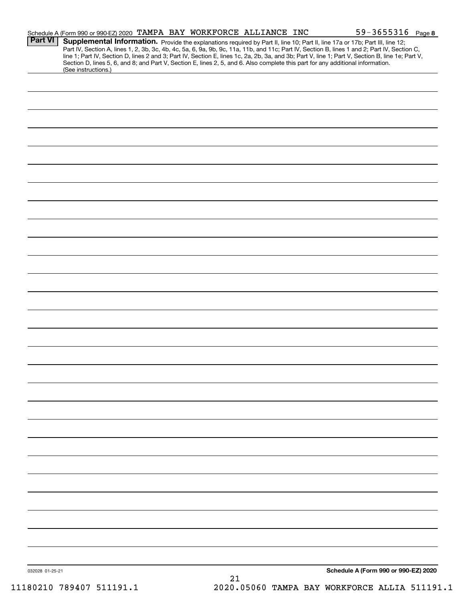| <b>Part VI</b> | Schedule A (Form 990 or 990-EZ) 2020 TAMPA BAY WORKFORCE ALLIANCE INC<br><b>Supplemental Information.</b> Provide the explanations required by Part II, line 10; Part II, line 17a or 17b; Part III, line 12;<br>Part IV, Section A, lines 1, 2, 3b, 3c, 4b, 4c, 5a, 6, 9a, 9b, 9c, 11a, 11b, and 11c; Part IV, |  |  | $59 - 3655316$ Page 8 |  |
|----------------|-----------------------------------------------------------------------------------------------------------------------------------------------------------------------------------------------------------------------------------------------------------------------------------------------------------------|--|--|-----------------------|--|
|                | line 1; Part IV, Section D, lines 2 and 3; Part IV, Section E, lines 1c, 2a, 2b, 3a, and 3b; Part V, line 1; Part V, Section B, line 1e; Part V,<br>Section D, lines 5, 6, and 8; and Part V, Section E, lines 2, 5, and 6. Also complete this part for any additional information.<br>(See instructions.)      |  |  |                       |  |
|                |                                                                                                                                                                                                                                                                                                                 |  |  |                       |  |
|                |                                                                                                                                                                                                                                                                                                                 |  |  |                       |  |
|                |                                                                                                                                                                                                                                                                                                                 |  |  |                       |  |
|                |                                                                                                                                                                                                                                                                                                                 |  |  |                       |  |
|                |                                                                                                                                                                                                                                                                                                                 |  |  |                       |  |
|                |                                                                                                                                                                                                                                                                                                                 |  |  |                       |  |
|                |                                                                                                                                                                                                                                                                                                                 |  |  |                       |  |
|                |                                                                                                                                                                                                                                                                                                                 |  |  |                       |  |
|                |                                                                                                                                                                                                                                                                                                                 |  |  |                       |  |
|                |                                                                                                                                                                                                                                                                                                                 |  |  |                       |  |
|                |                                                                                                                                                                                                                                                                                                                 |  |  |                       |  |
|                |                                                                                                                                                                                                                                                                                                                 |  |  |                       |  |
|                |                                                                                                                                                                                                                                                                                                                 |  |  |                       |  |
|                |                                                                                                                                                                                                                                                                                                                 |  |  |                       |  |
|                |                                                                                                                                                                                                                                                                                                                 |  |  |                       |  |
|                |                                                                                                                                                                                                                                                                                                                 |  |  |                       |  |
|                |                                                                                                                                                                                                                                                                                                                 |  |  |                       |  |
|                |                                                                                                                                                                                                                                                                                                                 |  |  |                       |  |
|                |                                                                                                                                                                                                                                                                                                                 |  |  |                       |  |
|                |                                                                                                                                                                                                                                                                                                                 |  |  |                       |  |
|                |                                                                                                                                                                                                                                                                                                                 |  |  |                       |  |
|                |                                                                                                                                                                                                                                                                                                                 |  |  |                       |  |
|                |                                                                                                                                                                                                                                                                                                                 |  |  |                       |  |
|                |                                                                                                                                                                                                                                                                                                                 |  |  |                       |  |
|                |                                                                                                                                                                                                                                                                                                                 |  |  |                       |  |
|                |                                                                                                                                                                                                                                                                                                                 |  |  |                       |  |
|                |                                                                                                                                                                                                                                                                                                                 |  |  |                       |  |
|                |                                                                                                                                                                                                                                                                                                                 |  |  |                       |  |
|                |                                                                                                                                                                                                                                                                                                                 |  |  |                       |  |
|                |                                                                                                                                                                                                                                                                                                                 |  |  |                       |  |
|                |                                                                                                                                                                                                                                                                                                                 |  |  |                       |  |
|                |                                                                                                                                                                                                                                                                                                                 |  |  |                       |  |
|                |                                                                                                                                                                                                                                                                                                                 |  |  |                       |  |
|                |                                                                                                                                                                                                                                                                                                                 |  |  |                       |  |
|                |                                                                                                                                                                                                                                                                                                                 |  |  |                       |  |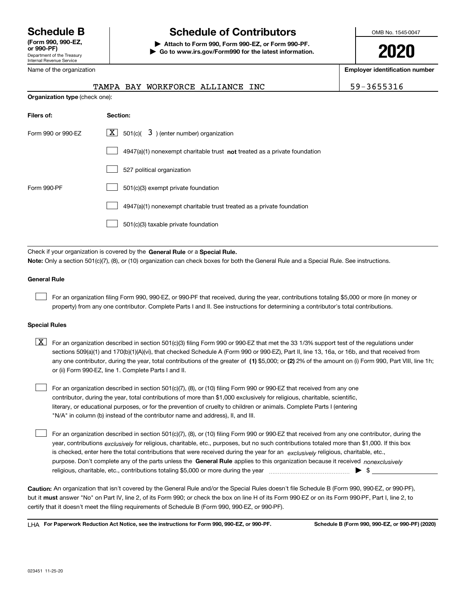Department of the Treasury Internal Revenue Service **(Form 990, 990-EZ, or 990-PF)**

Name of the organization

# **Schedule B Schedule of Contributors**

**| Attach to Form 990, Form 990-EZ, or Form 990-PF. | Go to www.irs.gov/Form990 for the latest information.** OMB No. 1545-0047

**2020**

**Employer identification number**

|                                       |  | TAMPA BAY WORKFORCE ALLIANCE INC |  |  |
|---------------------------------------|--|----------------------------------|--|--|
| <b>Organization type</b> (check one): |  |                                  |  |  |

59-3655316

| Filers of:         | <b>Section:</b>                                                             |
|--------------------|-----------------------------------------------------------------------------|
| Form 990 or 990-EZ | X  <br>$3$ ) (enter number) organization<br>501(c)(                         |
|                    | $4947(a)(1)$ nonexempt charitable trust not treated as a private foundation |
|                    | 527 political organization                                                  |
| Form 990-PF        | 501(c)(3) exempt private foundation                                         |
|                    | 4947(a)(1) nonexempt charitable trust treated as a private foundation       |
|                    | 501(c)(3) taxable private foundation                                        |

Check if your organization is covered by the **General Rule** or a **Special Rule. Note:**  Only a section 501(c)(7), (8), or (10) organization can check boxes for both the General Rule and a Special Rule. See instructions.

#### **General Rule**

 $\mathcal{L}^{\text{max}}$ 

For an organization filing Form 990, 990-EZ, or 990-PF that received, during the year, contributions totaling \$5,000 or more (in money or property) from any one contributor. Complete Parts I and II. See instructions for determining a contributor's total contributions.

#### **Special Rules**

any one contributor, during the year, total contributions of the greater of  $\,$  (1) \$5,000; or **(2)** 2% of the amount on (i) Form 990, Part VIII, line 1h;  $\boxed{\textbf{X}}$  For an organization described in section 501(c)(3) filing Form 990 or 990-EZ that met the 33 1/3% support test of the regulations under sections 509(a)(1) and 170(b)(1)(A)(vi), that checked Schedule A (Form 990 or 990-EZ), Part II, line 13, 16a, or 16b, and that received from or (ii) Form 990-EZ, line 1. Complete Parts I and II.

For an organization described in section 501(c)(7), (8), or (10) filing Form 990 or 990-EZ that received from any one contributor, during the year, total contributions of more than \$1,000 exclusively for religious, charitable, scientific, literary, or educational purposes, or for the prevention of cruelty to children or animals. Complete Parts I (entering "N/A" in column (b) instead of the contributor name and address), II, and III.  $\mathcal{L}^{\text{max}}$ 

purpose. Don't complete any of the parts unless the **General Rule** applies to this organization because it received *nonexclusively* year, contributions <sub>exclusively</sub> for religious, charitable, etc., purposes, but no such contributions totaled more than \$1,000. If this box is checked, enter here the total contributions that were received during the year for an  $\;$ exclusively religious, charitable, etc., For an organization described in section 501(c)(7), (8), or (10) filing Form 990 or 990-EZ that received from any one contributor, during the religious, charitable, etc., contributions totaling \$5,000 or more during the year  $\Box$ — $\Box$   $\Box$  $\mathcal{L}^{\text{max}}$ 

**Caution:**  An organization that isn't covered by the General Rule and/or the Special Rules doesn't file Schedule B (Form 990, 990-EZ, or 990-PF),  **must** but it answer "No" on Part IV, line 2, of its Form 990; or check the box on line H of its Form 990-EZ or on its Form 990-PF, Part I, line 2, to certify that it doesn't meet the filing requirements of Schedule B (Form 990, 990-EZ, or 990-PF).

**For Paperwork Reduction Act Notice, see the instructions for Form 990, 990-EZ, or 990-PF. Schedule B (Form 990, 990-EZ, or 990-PF) (2020)** LHA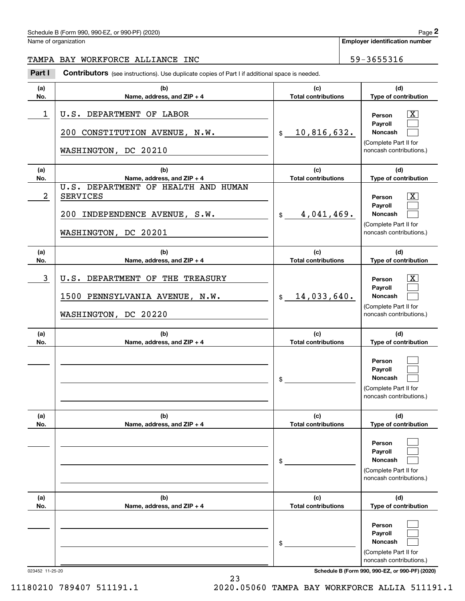| Schedule B (Form 990, 990-EZ, or 990-PF) (2020)<br>$\blacksquare$ | Page |
|-------------------------------------------------------------------|------|
|-------------------------------------------------------------------|------|

Name of organization

**Employer identification number**

### TAMPA BAY WORKFORCE ALLIANCE INC<br>
59-3655316

(schedule B (Form 990, 990-EZ, or 990-PF) (2020)<br>
lame of organization<br> **2PAMPA BAY WORKFORCE ALLIANCE INC**<br> **2Part I Contributors** (see instructions). Use duplicate copies of Part I if additional space is needed.

| (a)<br>No. | (b)<br>Name, address, and ZIP + 4                                                                               | (c)<br><b>Total contributions</b> | (d)<br>Type of contribution                                                                  |
|------------|-----------------------------------------------------------------------------------------------------------------|-----------------------------------|----------------------------------------------------------------------------------------------|
| 1          | U.S. DEPARTMENT OF LABOR<br>200 CONSTITUTION AVENUE, N.W.<br>WASHINGTON, DC 20210                               | 10,816,632.<br>$\mathsf{s}$       | x<br>Person<br>Payroll<br><b>Noncash</b><br>(Complete Part II for<br>noncash contributions.) |
| (a)<br>No. | (b)<br>Name, address, and ZIP + 4                                                                               | (c)<br><b>Total contributions</b> | (d)<br>Type of contribution                                                                  |
| 2          | U.S. DEPARTMENT OF HEALTH AND HUMAN<br><b>SERVICES</b><br>200 INDEPENDENCE AVENUE, S.W.<br>WASHINGTON, DC 20201 | 4,041,469.<br>\$                  | x<br>Person<br>Payroll<br><b>Noncash</b><br>(Complete Part II for<br>noncash contributions.) |
| (a)<br>No. | (b)<br>Name, address, and ZIP + 4                                                                               | (c)<br><b>Total contributions</b> | (d)<br>Type of contribution                                                                  |
| 3          | U.S. DEPARTMENT OF THE TREASURY<br>1500 PENNSYLVANIA AVENUE, N.W.<br>WASHINGTON, DC 20220                       | 14,033,640.<br>$\mathsf{\$}$      | x<br>Person<br>Payroll<br><b>Noncash</b><br>(Complete Part II for<br>noncash contributions.) |
| (a)<br>No. | (b)<br>Name, address, and ZIP + 4                                                                               | (c)<br><b>Total contributions</b> | (d)<br>Type of contribution                                                                  |
|            |                                                                                                                 | \$                                | Person<br>Payroll<br>Noncash<br>(Complete Part II for<br>noncash contributions.)             |
| (a)<br>No. | (b)<br>Name, address, and ZIP + 4                                                                               | (c)<br><b>Total contributions</b> | (d)<br>Type of contribution                                                                  |
|            |                                                                                                                 | \$                                | Person<br>Payroll<br>Noncash<br>(Complete Part II for<br>noncash contributions.)             |
| (a)<br>No. | (b)<br>Name, address, and ZIP + 4                                                                               | (c)<br><b>Total contributions</b> | (d)<br>Type of contribution                                                                  |
|            |                                                                                                                 | \$                                | Person<br>Payroll<br>Noncash<br>(Complete Part II for<br>noncash contributions.)             |

023452 11-25-20 **Schedule B (Form 990, 990-EZ, or 990-PF) (2020)**

11180210 789407 511191.1 2020.05060 TAMPA BAY WORKFORCE ALLIA 511191.1

23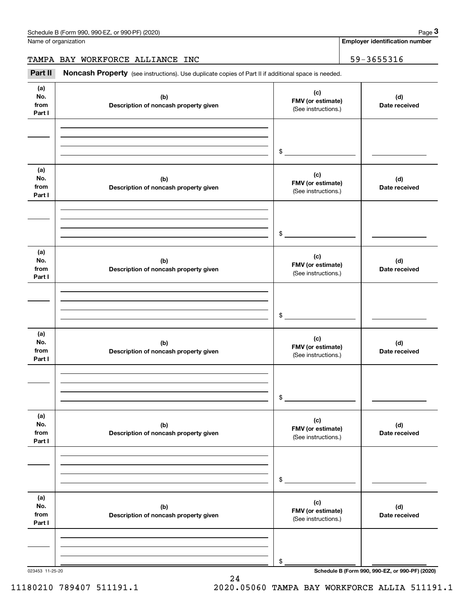Name of organization

**Employer identification number**

TAMPA BAY WORKFORCE ALLIANCE INC<br>
59-3655316

(see instructions). Use duplicate copies of Part II if additional space is needed.<br> **2Part II Noncash Property** (see instructions). Use duplicate copies of Part II if additional space is needed.<br> **3Part II Noncash Prop** 

| (a)<br>No.<br>from<br>Part I | (b)<br>Description of noncash property given | (c)<br>FMV (or estimate)<br>(See instructions.) | (d)<br>Date received |
|------------------------------|----------------------------------------------|-------------------------------------------------|----------------------|
|                              |                                              |                                                 |                      |
|                              |                                              |                                                 |                      |
|                              |                                              | $$\overbrace{\hspace{2.5cm}}$                   |                      |
| (a)<br>No.<br>from<br>Part I | (b)<br>Description of noncash property given | (c)<br>FMV (or estimate)<br>(See instructions.) | (d)<br>Date received |
|                              |                                              |                                                 |                      |
|                              |                                              |                                                 |                      |
|                              |                                              |                                                 |                      |
| (a)<br>No.<br>from<br>Part I | (b)<br>Description of noncash property given | (c)<br>FMV (or estimate)<br>(See instructions.) | (d)<br>Date received |
|                              |                                              |                                                 |                      |
|                              |                                              |                                                 |                      |
|                              |                                              | $\frac{1}{2}$                                   |                      |
| (a)<br>No.<br>from<br>Part I | (b)<br>Description of noncash property given | (c)<br>FMV (or estimate)<br>(See instructions.) | (d)<br>Date received |
|                              |                                              |                                                 |                      |
|                              |                                              |                                                 |                      |
|                              |                                              | $\frac{1}{2}$                                   |                      |
| (a)<br>No.<br>from<br>Part I | (b)<br>Description of noncash property given | (c)<br>FMV (or estimate)<br>(See instructions.) | (d)<br>Date received |
|                              |                                              |                                                 |                      |
|                              |                                              |                                                 |                      |
|                              |                                              | \$                                              |                      |
| (a)<br>No.<br>from<br>Part I | (b)<br>Description of noncash property given | (c)<br>FMV (or estimate)<br>(See instructions.) | (d)<br>Date received |
|                              |                                              |                                                 |                      |
|                              |                                              |                                                 |                      |
|                              |                                              | \$                                              |                      |

24

023453 11-25-20 **Schedule B (Form 990, 990-EZ, or 990-PF) (2020)**

11180210 789407 511191.1 2020.05060 TAMPA BAY WORKFORCE ALLIA 511191.1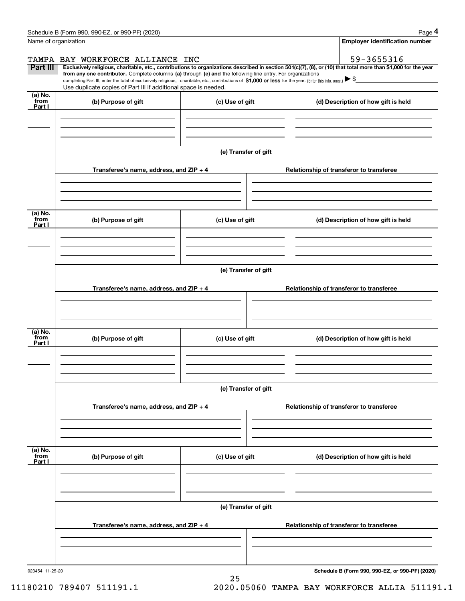|                           | Schedule B (Form 990, 990-EZ, or 990-PF) (2020)                                                                                                                                                                                                                                                                                                                                                                                                                   |                      |                                          |                                     | Page 4                                   |  |  |  |
|---------------------------|-------------------------------------------------------------------------------------------------------------------------------------------------------------------------------------------------------------------------------------------------------------------------------------------------------------------------------------------------------------------------------------------------------------------------------------------------------------------|----------------------|------------------------------------------|-------------------------------------|------------------------------------------|--|--|--|
| Name of organization      |                                                                                                                                                                                                                                                                                                                                                                                                                                                                   |                      |                                          |                                     | <b>Employer identification number</b>    |  |  |  |
|                           | TAMPA BAY WORKFORCE ALLIANCE INC                                                                                                                                                                                                                                                                                                                                                                                                                                  |                      |                                          |                                     | 59-3655316                               |  |  |  |
| Part III                  | Exclusively religious, charitable, etc., contributions to organizations described in section 501(c)(7), (8), or (10) that total more than \$1,000 for the year<br>from any one contributor. Complete columns (a) through (e) and the following line entry. For organizations<br>completing Part III, enter the total of exclusively religious, charitable, etc., contributions of \$1,000 or less for the year. (Enter this info. once.) $\blacktriangleright$ \$ |                      |                                          |                                     |                                          |  |  |  |
|                           | Use duplicate copies of Part III if additional space is needed.                                                                                                                                                                                                                                                                                                                                                                                                   |                      |                                          |                                     |                                          |  |  |  |
| (a) No.<br>from<br>Part I | (b) Purpose of gift                                                                                                                                                                                                                                                                                                                                                                                                                                               | (c) Use of gift      |                                          |                                     | (d) Description of how gift is held      |  |  |  |
|                           |                                                                                                                                                                                                                                                                                                                                                                                                                                                                   |                      |                                          |                                     |                                          |  |  |  |
|                           |                                                                                                                                                                                                                                                                                                                                                                                                                                                                   |                      |                                          |                                     |                                          |  |  |  |
|                           |                                                                                                                                                                                                                                                                                                                                                                                                                                                                   | (e) Transfer of gift |                                          |                                     |                                          |  |  |  |
|                           | Transferee's name, address, and ZIP + 4                                                                                                                                                                                                                                                                                                                                                                                                                           |                      |                                          |                                     | Relationship of transferor to transferee |  |  |  |
|                           |                                                                                                                                                                                                                                                                                                                                                                                                                                                                   |                      |                                          |                                     |                                          |  |  |  |
| (a) No.<br>from<br>Part I | (b) Purpose of gift                                                                                                                                                                                                                                                                                                                                                                                                                                               | (c) Use of gift      |                                          | (d) Description of how gift is held |                                          |  |  |  |
|                           |                                                                                                                                                                                                                                                                                                                                                                                                                                                                   |                      |                                          |                                     |                                          |  |  |  |
|                           |                                                                                                                                                                                                                                                                                                                                                                                                                                                                   |                      |                                          |                                     |                                          |  |  |  |
|                           | (e) Transfer of gift                                                                                                                                                                                                                                                                                                                                                                                                                                              |                      |                                          |                                     |                                          |  |  |  |
|                           | Transferee's name, address, and ZIP + 4                                                                                                                                                                                                                                                                                                                                                                                                                           |                      | Relationship of transferor to transferee |                                     |                                          |  |  |  |
|                           |                                                                                                                                                                                                                                                                                                                                                                                                                                                                   |                      |                                          |                                     |                                          |  |  |  |
|                           |                                                                                                                                                                                                                                                                                                                                                                                                                                                                   |                      |                                          |                                     |                                          |  |  |  |
| (a) No.<br>from<br>Part I | (b) Purpose of gift<br>(c) Use of gift                                                                                                                                                                                                                                                                                                                                                                                                                            |                      |                                          |                                     | (d) Description of how gift is held      |  |  |  |
|                           |                                                                                                                                                                                                                                                                                                                                                                                                                                                                   |                      |                                          |                                     |                                          |  |  |  |
|                           |                                                                                                                                                                                                                                                                                                                                                                                                                                                                   |                      |                                          |                                     |                                          |  |  |  |
|                           |                                                                                                                                                                                                                                                                                                                                                                                                                                                                   | (e) Transfer of gift |                                          |                                     |                                          |  |  |  |
|                           | Transferee's name, address, and ZIP + 4                                                                                                                                                                                                                                                                                                                                                                                                                           |                      |                                          |                                     | Relationship of transferor to transferee |  |  |  |
|                           |                                                                                                                                                                                                                                                                                                                                                                                                                                                                   |                      |                                          |                                     |                                          |  |  |  |
|                           |                                                                                                                                                                                                                                                                                                                                                                                                                                                                   |                      |                                          |                                     |                                          |  |  |  |
| (a) No.<br>from<br>Part I | (b) Purpose of gift                                                                                                                                                                                                                                                                                                                                                                                                                                               | (c) Use of gift      |                                          |                                     | (d) Description of how gift is held      |  |  |  |
|                           |                                                                                                                                                                                                                                                                                                                                                                                                                                                                   |                      |                                          |                                     |                                          |  |  |  |
|                           |                                                                                                                                                                                                                                                                                                                                                                                                                                                                   |                      |                                          |                                     |                                          |  |  |  |
|                           |                                                                                                                                                                                                                                                                                                                                                                                                                                                                   |                      |                                          |                                     |                                          |  |  |  |
|                           | Transferee's name, address, and ZIP + 4                                                                                                                                                                                                                                                                                                                                                                                                                           |                      | Relationship of transferor to transferee |                                     |                                          |  |  |  |
|                           |                                                                                                                                                                                                                                                                                                                                                                                                                                                                   |                      |                                          |                                     |                                          |  |  |  |
|                           |                                                                                                                                                                                                                                                                                                                                                                                                                                                                   |                      |                                          |                                     |                                          |  |  |  |

25

023454 11-25-20

**Schedule B (Form 990, 990-EZ, or 990-PF) (2020)**

11180210 789407 511191.1 2020.05060 TAMPA BAY WORKFORCE ALLIA 511191.1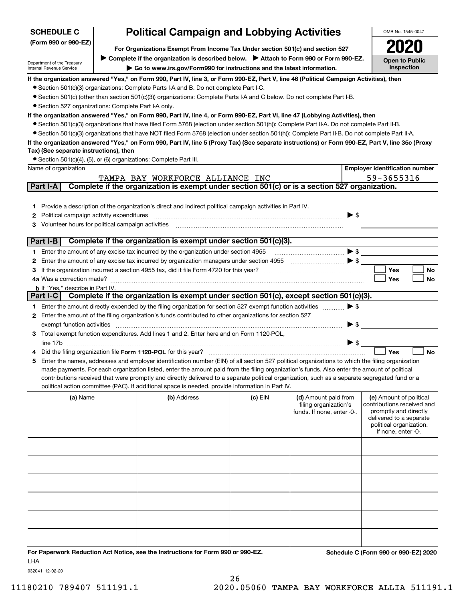| <b>SCHEDULE C</b>                                      |                                                                                                                                                                                                           | <b>Political Campaign and Lobbying Activities</b>                                                                                                                                                                                                                                              |         |                            |                          | OMB No. 1545-0047                                |
|--------------------------------------------------------|-----------------------------------------------------------------------------------------------------------------------------------------------------------------------------------------------------------|------------------------------------------------------------------------------------------------------------------------------------------------------------------------------------------------------------------------------------------------------------------------------------------------|---------|----------------------------|--------------------------|--------------------------------------------------|
| (Form 990 or 990-EZ)                                   | For Organizations Exempt From Income Tax Under section 501(c) and section 527                                                                                                                             |                                                                                                                                                                                                                                                                                                |         |                            |                          |                                                  |
|                                                        |                                                                                                                                                                                                           |                                                                                                                                                                                                                                                                                                |         |                            |                          |                                                  |
| Department of the Treasury<br>Internal Revenue Service | Complete if the organization is described below.<br>> Attach to Form 990 or Form 990-EZ.<br><b>Open to Public</b><br>Inspection<br>Go to www.irs.gov/Form990 for instructions and the latest information. |                                                                                                                                                                                                                                                                                                |         |                            |                          |                                                  |
|                                                        |                                                                                                                                                                                                           | If the organization answered "Yes," on Form 990, Part IV, line 3, or Form 990-EZ, Part V, line 46 (Political Campaign Activities), then                                                                                                                                                        |         |                            |                          |                                                  |
|                                                        |                                                                                                                                                                                                           | • Section 501(c)(3) organizations: Complete Parts I-A and B. Do not complete Part I-C.                                                                                                                                                                                                         |         |                            |                          |                                                  |
|                                                        |                                                                                                                                                                                                           | • Section 501(c) (other than section 501(c)(3)) organizations: Complete Parts I-A and C below. Do not complete Part I-B.                                                                                                                                                                       |         |                            |                          |                                                  |
| • Section 527 organizations: Complete Part I-A only.   |                                                                                                                                                                                                           |                                                                                                                                                                                                                                                                                                |         |                            |                          |                                                  |
|                                                        |                                                                                                                                                                                                           | If the organization answered "Yes," on Form 990, Part IV, line 4, or Form 990-EZ, Part VI, line 47 (Lobbying Activities), then                                                                                                                                                                 |         |                            |                          |                                                  |
|                                                        |                                                                                                                                                                                                           | • Section 501(c)(3) organizations that have filed Form 5768 (election under section 501(h)): Complete Part II-A. Do not complete Part II-B.<br>• Section 501(c)(3) organizations that have NOT filed Form 5768 (election under section 501(h)): Complete Part II-B. Do not complete Part II-A. |         |                            |                          |                                                  |
|                                                        |                                                                                                                                                                                                           | If the organization answered "Yes," on Form 990, Part IV, line 5 (Proxy Tax) (See separate instructions) or Form 990-EZ, Part V, line 35c (Proxy                                                                                                                                               |         |                            |                          |                                                  |
| Tax) (See separate instructions), then                 |                                                                                                                                                                                                           |                                                                                                                                                                                                                                                                                                |         |                            |                          |                                                  |
|                                                        |                                                                                                                                                                                                           | • Section 501(c)(4), (5), or (6) organizations: Complete Part III.                                                                                                                                                                                                                             |         |                            |                          |                                                  |
| Name of organization                                   |                                                                                                                                                                                                           |                                                                                                                                                                                                                                                                                                |         |                            |                          | <b>Employer identification number</b>            |
|                                                        |                                                                                                                                                                                                           | TAMPA BAY WORKFORCE ALLIANCE INC                                                                                                                                                                                                                                                               |         |                            |                          | 59-3655316                                       |
| Part I-A                                               |                                                                                                                                                                                                           | Complete if the organization is exempt under section 501(c) or is a section 527 organization.                                                                                                                                                                                                  |         |                            |                          |                                                  |
|                                                        |                                                                                                                                                                                                           |                                                                                                                                                                                                                                                                                                |         |                            |                          |                                                  |
| 1.                                                     |                                                                                                                                                                                                           | Provide a description of the organization's direct and indirect political campaign activities in Part IV.                                                                                                                                                                                      |         |                            |                          |                                                  |
| Political campaign activity expenditures<br>2          |                                                                                                                                                                                                           |                                                                                                                                                                                                                                                                                                |         |                            | $\blacktriangleright$ \$ |                                                  |
| Volunteer hours for political campaign activities      |                                                                                                                                                                                                           |                                                                                                                                                                                                                                                                                                |         |                            |                          |                                                  |
| Part I-B                                               |                                                                                                                                                                                                           | Complete if the organization is exempt under section 501(c)(3).                                                                                                                                                                                                                                |         |                            |                          |                                                  |
|                                                        |                                                                                                                                                                                                           |                                                                                                                                                                                                                                                                                                |         |                            |                          |                                                  |
|                                                        |                                                                                                                                                                                                           | 1 Enter the amount of any excise tax incurred by the organization under section 4955                                                                                                                                                                                                           |         |                            | $\blacktriangleright$ \$ |                                                  |
| 2                                                      |                                                                                                                                                                                                           | Enter the amount of any excise tax incurred by organization managers under section 4955 [1001] [1001] \$                                                                                                                                                                                       |         |                            |                          | Yes<br>No                                        |
| 4a Was a correction made?                              |                                                                                                                                                                                                           |                                                                                                                                                                                                                                                                                                |         |                            |                          | Yes<br>No                                        |
| <b>b</b> If "Yes," describe in Part IV.                |                                                                                                                                                                                                           |                                                                                                                                                                                                                                                                                                |         |                            |                          |                                                  |
| Part I-C                                               |                                                                                                                                                                                                           | Complete if the organization is exempt under section 501(c), except section 501(c)(3).                                                                                                                                                                                                         |         |                            |                          |                                                  |
|                                                        |                                                                                                                                                                                                           | 1 Enter the amount directly expended by the filing organization for section 527 exempt function activities                                                                                                                                                                                     |         |                            | $\blacktriangleright$ \$ |                                                  |
|                                                        |                                                                                                                                                                                                           | 2 Enter the amount of the filing organization's funds contributed to other organizations for section 527                                                                                                                                                                                       |         |                            |                          |                                                  |
| exempt function activities                             |                                                                                                                                                                                                           |                                                                                                                                                                                                                                                                                                |         |                            | $\blacktriangleright$ \$ |                                                  |
|                                                        |                                                                                                                                                                                                           | 3 Total exempt function expenditures. Add lines 1 and 2. Enter here and on Form 1120-POL,                                                                                                                                                                                                      |         |                            |                          |                                                  |
|                                                        |                                                                                                                                                                                                           |                                                                                                                                                                                                                                                                                                |         |                            | $\triangleright$ \$      |                                                  |
|                                                        |                                                                                                                                                                                                           | Did the filing organization file Form 1120-POL for this year?                                                                                                                                                                                                                                  |         |                            |                          | Yes<br><b>No</b>                                 |
| 5                                                      |                                                                                                                                                                                                           | Enter the names, addresses and employer identification number (EIN) of all section 527 political organizations to which the filing organization                                                                                                                                                |         |                            |                          |                                                  |
|                                                        |                                                                                                                                                                                                           | made payments. For each organization listed, enter the amount paid from the filing organization's funds. Also enter the amount of political<br>contributions received that were promptly and directly delivered to a separate political organization, such as a separate segregated fund or a  |         |                            |                          |                                                  |
|                                                        |                                                                                                                                                                                                           | political action committee (PAC). If additional space is needed, provide information in Part IV.                                                                                                                                                                                               |         |                            |                          |                                                  |
| (a) Name                                               |                                                                                                                                                                                                           | (b) Address                                                                                                                                                                                                                                                                                    | (c) EIN | (d) Amount paid from       |                          | (e) Amount of political                          |
|                                                        |                                                                                                                                                                                                           |                                                                                                                                                                                                                                                                                                |         | filing organization's      |                          | contributions received and                       |
|                                                        |                                                                                                                                                                                                           |                                                                                                                                                                                                                                                                                                |         | funds. If none, enter -0-. |                          | promptly and directly<br>delivered to a separate |
|                                                        |                                                                                                                                                                                                           |                                                                                                                                                                                                                                                                                                |         |                            |                          | political organization.                          |
|                                                        |                                                                                                                                                                                                           |                                                                                                                                                                                                                                                                                                |         |                            |                          | If none, enter -0-.                              |
|                                                        |                                                                                                                                                                                                           |                                                                                                                                                                                                                                                                                                |         |                            |                          |                                                  |
|                                                        |                                                                                                                                                                                                           |                                                                                                                                                                                                                                                                                                |         |                            |                          |                                                  |
|                                                        |                                                                                                                                                                                                           |                                                                                                                                                                                                                                                                                                |         |                            |                          |                                                  |
|                                                        |                                                                                                                                                                                                           |                                                                                                                                                                                                                                                                                                |         |                            |                          |                                                  |
|                                                        |                                                                                                                                                                                                           |                                                                                                                                                                                                                                                                                                |         |                            |                          |                                                  |
|                                                        |                                                                                                                                                                                                           |                                                                                                                                                                                                                                                                                                |         |                            |                          |                                                  |
|                                                        |                                                                                                                                                                                                           |                                                                                                                                                                                                                                                                                                |         |                            |                          |                                                  |
|                                                        |                                                                                                                                                                                                           |                                                                                                                                                                                                                                                                                                |         |                            |                          |                                                  |
|                                                        |                                                                                                                                                                                                           |                                                                                                                                                                                                                                                                                                |         |                            |                          |                                                  |
|                                                        |                                                                                                                                                                                                           |                                                                                                                                                                                                                                                                                                |         |                            |                          |                                                  |
|                                                        |                                                                                                                                                                                                           |                                                                                                                                                                                                                                                                                                |         |                            |                          |                                                  |
|                                                        |                                                                                                                                                                                                           | For Paperwork Reduction Act Notice, see the Instructions for Form 990 or 990-EZ.                                                                                                                                                                                                               |         |                            |                          | Schedule C (Form 990 or 990-EZ) 2020             |

LHA

032041 12-02-20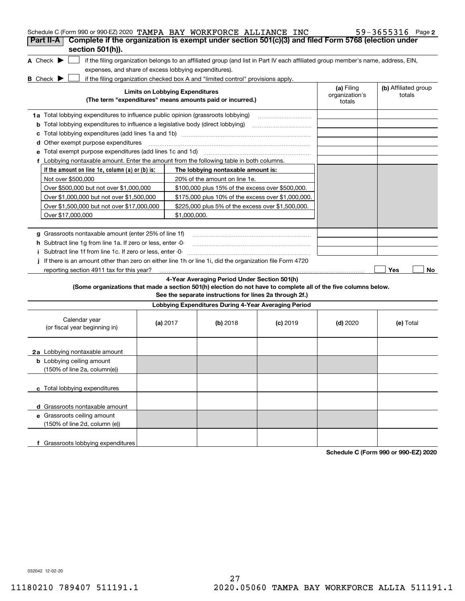| Schedule C (Form 990 or 990-EZ) 2020 TAMPA BAY WORKFORCE ALLIANCE INC<br>Complete if the organization is exempt under section 501(c)(3) and filed Form 5768 (election under<br>Part II-A |                                        |                                                                                                                                   |            |                                        | 59-3655316 Page 2              |
|------------------------------------------------------------------------------------------------------------------------------------------------------------------------------------------|----------------------------------------|-----------------------------------------------------------------------------------------------------------------------------------|------------|----------------------------------------|--------------------------------|
| section 501(h)).                                                                                                                                                                         |                                        |                                                                                                                                   |            |                                        |                                |
| A Check $\blacktriangleright$                                                                                                                                                            |                                        | if the filing organization belongs to an affiliated group (and list in Part IV each affiliated group member's name, address, EIN, |            |                                        |                                |
| expenses, and share of excess lobbying expenditures).                                                                                                                                    |                                        |                                                                                                                                   |            |                                        |                                |
| <b>B</b> Check $\blacktriangleright$                                                                                                                                                     |                                        | if the filing organization checked box A and "limited control" provisions apply.                                                  |            |                                        |                                |
|                                                                                                                                                                                          | <b>Limits on Lobbying Expenditures</b> | (The term "expenditures" means amounts paid or incurred.)                                                                         |            | (a) Filing<br>organization's<br>totals | (b) Affiliated group<br>totals |
| <b>1a</b> Total lobbying expenditures to influence public opinion (grassroots lobbying)                                                                                                  |                                        |                                                                                                                                   |            |                                        |                                |
| <b>b</b> Total lobbying expenditures to influence a legislative body (direct lobbying)                                                                                                   |                                        |                                                                                                                                   |            |                                        |                                |
| с                                                                                                                                                                                        |                                        |                                                                                                                                   |            |                                        |                                |
| Other exempt purpose expenditures<br>d                                                                                                                                                   |                                        |                                                                                                                                   |            |                                        |                                |
|                                                                                                                                                                                          |                                        |                                                                                                                                   |            |                                        |                                |
| f Lobbying nontaxable amount. Enter the amount from the following table in both columns.                                                                                                 |                                        |                                                                                                                                   |            |                                        |                                |
| If the amount on line 1e, column (a) or (b) is:                                                                                                                                          |                                        | The lobbying nontaxable amount is:                                                                                                |            |                                        |                                |
| Not over \$500,000                                                                                                                                                                       |                                        | 20% of the amount on line 1e.                                                                                                     |            |                                        |                                |
| Over \$500,000 but not over \$1,000,000                                                                                                                                                  |                                        | \$100,000 plus 15% of the excess over \$500,000.                                                                                  |            |                                        |                                |
| Over \$1,000,000 but not over \$1,500,000                                                                                                                                                |                                        | \$175,000 plus 10% of the excess over \$1,000,000.                                                                                |            |                                        |                                |
| Over \$1,500,000 but not over \$17,000,000                                                                                                                                               |                                        | \$225,000 plus 5% of the excess over \$1,500,000.                                                                                 |            |                                        |                                |
| Over \$17,000,000                                                                                                                                                                        | \$1.000.000.                           |                                                                                                                                   |            |                                        |                                |
|                                                                                                                                                                                          |                                        |                                                                                                                                   |            |                                        |                                |
| g Grassroots nontaxable amount (enter 25% of line 1f)                                                                                                                                    |                                        |                                                                                                                                   |            |                                        |                                |
| <b>h</b> Subtract line 1g from line 1a. If zero or less, enter 0-                                                                                                                        |                                        |                                                                                                                                   |            |                                        |                                |
| i Subtract line 1f from line 1c. If zero or less, enter -0-                                                                                                                              |                                        |                                                                                                                                   |            |                                        |                                |
| If there is an amount other than zero on either line 1h or line 1i, did the organization file Form 4720                                                                                  |                                        |                                                                                                                                   |            |                                        |                                |
| reporting section 4911 tax for this year?                                                                                                                                                |                                        |                                                                                                                                   |            |                                        | Yes<br>No                      |
|                                                                                                                                                                                          |                                        | 4-Year Averaging Period Under Section 501(h)                                                                                      |            |                                        |                                |
| (Some organizations that made a section 501(h) election do not have to complete all of the five columns below.                                                                           |                                        | See the separate instructions for lines 2a through 2f.)                                                                           |            |                                        |                                |
|                                                                                                                                                                                          |                                        | Lobbying Expenditures During 4-Year Averaging Period                                                                              |            |                                        |                                |
| Calendar year<br>(or fiscal year beginning in)                                                                                                                                           | (a) $2017$                             | (b) 2018                                                                                                                          | $(c)$ 2019 | $(d)$ 2020                             | (e) Total                      |
| 2a Lobbying nontaxable amount                                                                                                                                                            |                                        |                                                                                                                                   |            |                                        |                                |
| <b>b</b> Lobbying ceiling amount<br>(150% of line 2a, column(e))                                                                                                                         |                                        |                                                                                                                                   |            |                                        |                                |
| c Total lobbying expenditures                                                                                                                                                            |                                        |                                                                                                                                   |            |                                        |                                |
| d Grassroots nontaxable amount                                                                                                                                                           |                                        |                                                                                                                                   |            |                                        |                                |
| e Grassroots ceiling amount                                                                                                                                                              |                                        |                                                                                                                                   |            |                                        |                                |
| (150% of line 2d, column (e))                                                                                                                                                            |                                        |                                                                                                                                   |            |                                        |                                |
| f Grassroots lobbying expenditures                                                                                                                                                       |                                        |                                                                                                                                   |            |                                        |                                |

**Schedule C (Form 990 or 990-EZ) 2020**

032042 12-02-20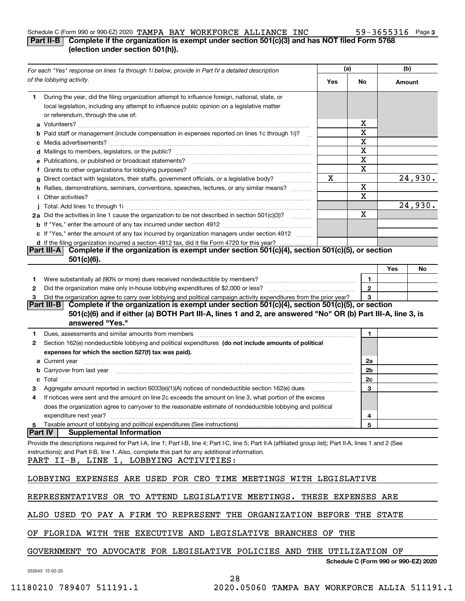#### Schedule C (Form 990 or 990-EZ) 2020 Page TAMPA BAY WORKFORCE ALLIANCE INC 59-3655316

### **Part II-B Complete if the organization is exempt under section 501(c)(3) and has NOT filed Form 5768 (election under section 501(h)).**

|    | For each "Yes" response on lines 1a through 1i below, provide in Part IV a detailed description                                                                                                                                     |     | (a)                                  | (b)    |         |
|----|-------------------------------------------------------------------------------------------------------------------------------------------------------------------------------------------------------------------------------------|-----|--------------------------------------|--------|---------|
|    | of the lobbying activity.                                                                                                                                                                                                           | Yes | No                                   | Amount |         |
| 1. | During the year, did the filing organization attempt to influence foreign, national, state, or                                                                                                                                      |     |                                      |        |         |
|    | local legislation, including any attempt to influence public opinion on a legislative matter                                                                                                                                        |     |                                      |        |         |
|    | or referendum, through the use of:                                                                                                                                                                                                  |     |                                      |        |         |
|    |                                                                                                                                                                                                                                     |     | х                                    |        |         |
|    | <b>b</b> Paid staff or management (include compensation in expenses reported on lines 1c through 1i)?                                                                                                                               |     | X                                    |        |         |
|    |                                                                                                                                                                                                                                     |     | X                                    |        |         |
|    |                                                                                                                                                                                                                                     |     | X                                    |        |         |
|    | e Publications, or published or broadcast statements?                                                                                                                                                                               |     | X                                    |        |         |
|    | f Grants to other organizations for lobbying purposes?                                                                                                                                                                              |     | X                                    |        |         |
|    | g Direct contact with legislators, their staffs, government officials, or a legislative body?                                                                                                                                       | Х   |                                      |        | 24,930. |
|    | h Rallies, demonstrations, seminars, conventions, speeches, lectures, or any similar means?                                                                                                                                         |     | X<br>X                               |        |         |
|    | <i>i</i> Other activities?                                                                                                                                                                                                          |     |                                      |        |         |
|    |                                                                                                                                                                                                                                     |     | X                                    |        | 24,930. |
|    | 2a Did the activities in line 1 cause the organization to be not described in section 501(c)(3)?                                                                                                                                    |     |                                      |        |         |
|    |                                                                                                                                                                                                                                     |     |                                      |        |         |
|    | c If "Yes," enter the amount of any tax incurred by organization managers under section 4912                                                                                                                                        |     |                                      |        |         |
|    | d If the filing organization incurred a section 4912 tax, did it file Form 4720 for this year?<br>Complete if the organization is exempt under section 501(c)(4), section 501(c)(5), or section<br><b>Part III-AI</b>               |     |                                      |        |         |
|    | $501(c)(6)$ .                                                                                                                                                                                                                       |     |                                      |        |         |
|    |                                                                                                                                                                                                                                     |     |                                      | Yes    | No      |
| 1  |                                                                                                                                                                                                                                     |     | 1                                    |        |         |
| 2  |                                                                                                                                                                                                                                     |     | $\mathbf{2}$                         |        |         |
| З  | Did the organization agree to carry over lobbying and political campaign activity expenditures from the prior year?                                                                                                                 |     | 3                                    |        |         |
|    | Complete if the organization is exempt under section 501(c)(4), section 501(c)(5), or section<br><b>Part III-B</b>                                                                                                                  |     |                                      |        |         |
|    | 501(c)(6) and if either (a) BOTH Part III-A, lines 1 and 2, are answered "No" OR (b) Part III-A, line 3, is                                                                                                                         |     |                                      |        |         |
|    | answered "Yes."                                                                                                                                                                                                                     |     |                                      |        |         |
| 1  | Dues, assessments and similar amounts from members [11] matter contracts and similar amounts from members [11] matter and similar amounts from members [11] matter and similar amounts from members [11] matter and similar am      |     | 1.                                   |        |         |
| 2  | Section 162(e) nondeductible lobbying and political expenditures (do not include amounts of political                                                                                                                               |     |                                      |        |         |
|    | expenses for which the section 527(f) tax was paid).                                                                                                                                                                                |     |                                      |        |         |
|    |                                                                                                                                                                                                                                     |     | 2a                                   |        |         |
|    | <b>b</b> Carryover from last year manufactured and content to content the content of the content of the content of the content of the content of the content of the content of the content of the content of the content of the con |     | 2b                                   |        |         |
|    |                                                                                                                                                                                                                                     |     | 2c                                   |        |         |
| з  | Aggregate amount reported in section 6033(e)(1)(A) notices of nondeductible section 162(e) dues                                                                                                                                     |     | 3                                    |        |         |
| 4  | If notices were sent and the amount on line 2c exceeds the amount on line 3, what portion of the excess                                                                                                                             |     |                                      |        |         |
|    | does the organization agree to carryover to the reasonable estimate of nondeductible lobbying and political                                                                                                                         |     |                                      |        |         |
|    | expenditure next year?                                                                                                                                                                                                              |     | 4                                    |        |         |
|    | 5 Taxable amount of lobbying and political expenditures (See instructions)                                                                                                                                                          |     | 5                                    |        |         |
|    | <b>Part IV</b><br><b>Supplemental Information</b>                                                                                                                                                                                   |     |                                      |        |         |
|    | Provide the descriptions required for Part I-A, line 1; Part I-B, line 4; Part I-C, line 5; Part II-A (affiliated group list); Part II-A, lines 1 and 2 (See                                                                        |     |                                      |        |         |
|    | instructions); and Part II-B, line 1. Also, complete this part for any additional information.                                                                                                                                      |     |                                      |        |         |
|    | PART II-B, LINE 1, LOBBYING ACTIVITIES:                                                                                                                                                                                             |     |                                      |        |         |
|    | LOBBYING EXPENSES ARE USED FOR CEO TIME MEETINGS WITH LEGISLATIVE                                                                                                                                                                   |     |                                      |        |         |
|    |                                                                                                                                                                                                                                     |     |                                      |        |         |
|    | REPRESENTATIVES OR TO ATTEND LEGISLATIVE MEETINGS. THESE EXPENSES ARE                                                                                                                                                               |     |                                      |        |         |
|    |                                                                                                                                                                                                                                     |     |                                      |        |         |
|    | ALSO USED TO PAY A FIRM TO REPRESENT THE ORGANIZATION BEFORE THE STATE                                                                                                                                                              |     |                                      |        |         |
|    |                                                                                                                                                                                                                                     |     |                                      |        |         |
|    | OF FLORIDA WITH THE EXECUTIVE AND LEGISLATIVE BRANCHES OF THE                                                                                                                                                                       |     |                                      |        |         |
|    |                                                                                                                                                                                                                                     |     |                                      |        |         |
|    | GOVERNMENT TO ADVOCATE FOR LEGISLATIVE POLICIES AND THE UTILIZATION OF                                                                                                                                                              |     |                                      |        |         |
|    |                                                                                                                                                                                                                                     |     | Schedule C (Form 990 or 990-EZ) 2020 |        |         |
|    | 032043 12-02-20                                                                                                                                                                                                                     |     |                                      |        |         |

28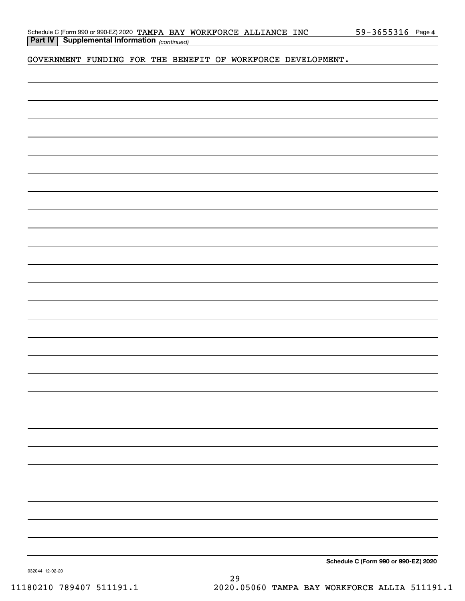|  | Schedule C (Form 990 or 990-EZ) 2020 TAMPA BAY WORKFORCE ALLIANCE INC |  |  | $59 - 3655316$ Page 4 |  |
|--|-----------------------------------------------------------------------|--|--|-----------------------|--|
|  | <b>Part IV</b>   Supplemental Information $_{(continued)}$            |  |  |                       |  |

GOVERNMENT FUNDING FOR THE BENEFIT OF WORKFORCE DEVELOPMENT.

**Schedule C (Form 990 or 990-EZ) 2020**

032044 12-02-20

29 11180210 789407 511191.1 2020.05060 TAMPA BAY WORKFORCE ALLIA 511191.1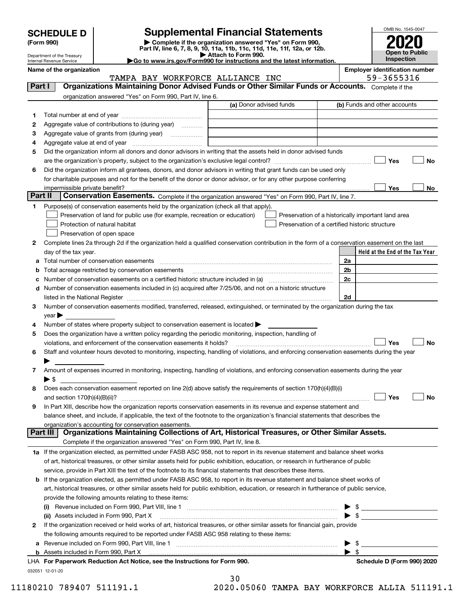| <b>SCHEDULE D</b> |  |
|-------------------|--|
|-------------------|--|

| (Form 990) |  |
|------------|--|
|------------|--|

# **Supplemental Financial Statements**

(Form 990)<br>
Pepartment of the Treasury<br>
Department of the Treasury<br>
Department of the Treasury<br>
Department of the Treasury<br> **Co to www.irs.gov/Form990 for instructions and the latest information.**<br> **Co to www.irs.gov/Form9** 



Department of the Treasury Internal Revenue Service

**Name of the organization Employer identification number**

|          | TAMPA BAY WORKFORCE ALLIANCE INC                                                                                                               |                         |                          | 59-3655316                                         |           |
|----------|------------------------------------------------------------------------------------------------------------------------------------------------|-------------------------|--------------------------|----------------------------------------------------|-----------|
| Part I   | Organizations Maintaining Donor Advised Funds or Other Similar Funds or Accounts. Complete if the                                              |                         |                          |                                                    |           |
|          | organization answered "Yes" on Form 990, Part IV, line 6.                                                                                      |                         |                          |                                                    |           |
|          |                                                                                                                                                | (a) Donor advised funds |                          | (b) Funds and other accounts                       |           |
| 1        |                                                                                                                                                |                         |                          |                                                    |           |
| 2        | Aggregate value of contributions to (during year)                                                                                              |                         |                          |                                                    |           |
| з        | Aggregate value of grants from (during year)                                                                                                   |                         |                          |                                                    |           |
| 4        |                                                                                                                                                |                         |                          |                                                    |           |
| 5        | Did the organization inform all donors and donor advisors in writing that the assets held in donor advised funds                               |                         |                          |                                                    |           |
|          |                                                                                                                                                |                         |                          | Yes                                                | No        |
|          |                                                                                                                                                |                         |                          |                                                    |           |
| 6        | Did the organization inform all grantees, donors, and donor advisors in writing that grant funds can be used only                              |                         |                          |                                                    |           |
|          | for charitable purposes and not for the benefit of the donor or donor advisor, or for any other purpose conferring                             |                         |                          |                                                    |           |
| Part II  | impermissible private benefit?<br>Conservation Easements. Complete if the organization answered "Yes" on Form 990, Part IV, line 7.            |                         |                          | Yes                                                | No        |
|          |                                                                                                                                                |                         |                          |                                                    |           |
| 1        | Purpose(s) of conservation easements held by the organization (check all that apply).                                                          |                         |                          |                                                    |           |
|          | Preservation of land for public use (for example, recreation or education)                                                                     |                         |                          | Preservation of a historically important land area |           |
|          | Protection of natural habitat                                                                                                                  |                         |                          | Preservation of a certified historic structure     |           |
|          | Preservation of open space                                                                                                                     |                         |                          |                                                    |           |
| 2        | Complete lines 2a through 2d if the organization held a qualified conservation contribution in the form of a conservation easement on the last |                         |                          |                                                    |           |
|          | day of the tax year.                                                                                                                           |                         |                          | Held at the End of the Tax Year                    |           |
|          |                                                                                                                                                |                         | 2a                       |                                                    |           |
|          | <b>b</b> Total acreage restricted by conservation easements                                                                                    |                         | 2b                       |                                                    |           |
|          |                                                                                                                                                |                         | 2c                       |                                                    |           |
|          | d Number of conservation easements included in (c) acquired after 7/25/06, and not on a historic structure                                     |                         |                          |                                                    |           |
|          |                                                                                                                                                |                         | 2d                       |                                                    |           |
| 3        | Number of conservation easements modified, transferred, released, extinguished, or terminated by the organization during the tax               |                         |                          |                                                    |           |
|          | $year \blacktriangleright$                                                                                                                     |                         |                          |                                                    |           |
| 4        | Number of states where property subject to conservation easement is located >                                                                  |                         |                          |                                                    |           |
| 5        | Does the organization have a written policy regarding the periodic monitoring, inspection, handling of                                         |                         |                          |                                                    |           |
|          | violations, and enforcement of the conservation easements it holds?                                                                            |                         |                          | Yes                                                | <b>No</b> |
| 6        | Staff and volunteer hours devoted to monitoring, inspecting, handling of violations, and enforcing conservation easements during the year      |                         |                          |                                                    |           |
|          |                                                                                                                                                |                         |                          |                                                    |           |
| 7        | Amount of expenses incurred in monitoring, inspecting, handling of violations, and enforcing conservation easements during the year            |                         |                          |                                                    |           |
|          | ▶ \$                                                                                                                                           |                         |                          |                                                    |           |
| 8        | Does each conservation easement reported on line 2(d) above satisfy the requirements of section 170(h)(4)(B)(i)                                |                         |                          |                                                    |           |
|          |                                                                                                                                                |                         |                          | Yes                                                | No        |
| 9        | In Part XIII, describe how the organization reports conservation easements in its revenue and expense statement and                            |                         |                          |                                                    |           |
|          | balance sheet, and include, if applicable, the text of the footnote to the organization's financial statements that describes the              |                         |                          |                                                    |           |
|          | organization's accounting for conservation easements.                                                                                          |                         |                          |                                                    |           |
| Part III | Organizations Maintaining Collections of Art, Historical Treasures, or Other Similar Assets.                                                   |                         |                          |                                                    |           |
|          | Complete if the organization answered "Yes" on Form 990, Part IV, line 8.                                                                      |                         |                          |                                                    |           |
|          | 1a If the organization elected, as permitted under FASB ASC 958, not to report in its revenue statement and balance sheet works                |                         |                          |                                                    |           |
|          | of art, historical treasures, or other similar assets held for public exhibition, education, or research in furtherance of public              |                         |                          |                                                    |           |
|          | service, provide in Part XIII the text of the footnote to its financial statements that describes these items.                                 |                         |                          |                                                    |           |
|          | b If the organization elected, as permitted under FASB ASC 958, to report in its revenue statement and balance sheet works of                  |                         |                          |                                                    |           |
|          | art, historical treasures, or other similar assets held for public exhibition, education, or research in furtherance of public service,        |                         |                          |                                                    |           |
|          |                                                                                                                                                |                         |                          |                                                    |           |
|          | provide the following amounts relating to these items:                                                                                         |                         |                          |                                                    |           |
|          |                                                                                                                                                |                         |                          | $\frac{1}{2}$                                      |           |
|          | (ii) Assets included in Form 990, Part X                                                                                                       |                         |                          | $\triangleright$ \$                                |           |
| 2        | If the organization received or held works of art, historical treasures, or other similar assets for financial gain, provide                   |                         |                          |                                                    |           |
|          | the following amounts required to be reported under FASB ASC 958 relating to these items:                                                      |                         |                          |                                                    |           |
| а        |                                                                                                                                                |                         |                          | $\blacktriangleright$ \$                           |           |
|          |                                                                                                                                                |                         | $\blacktriangleright$ \$ |                                                    |           |

| LHA For Paperwork Reduction Act Notice, see the Instructions for Form 990. |
|----------------------------------------------------------------------------|
| 032051 12-01-20                                                            |

30

11180210 789407 511191.1 2020.05060 TAMPA BAY WORKFORCE ALLIA 511191.1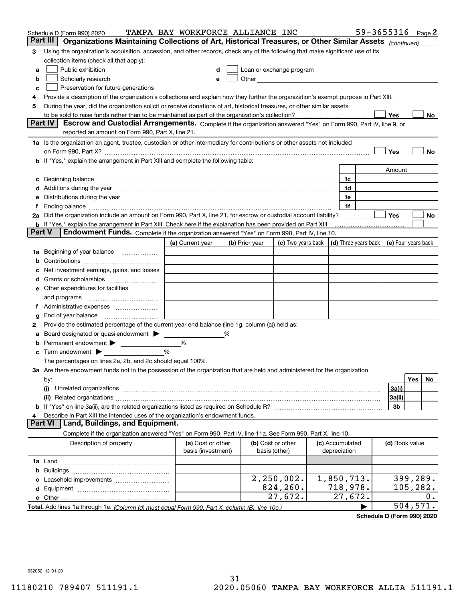|        | Schedule D (Form 990) 2020                                                                                                                                                                                                     | TAMPA BAY WORKFORCE ALLIANCE INC |   |                |                                                                                                                                                                                                                               |                 | 59-3655316 Page 2    |                     |           |     |
|--------|--------------------------------------------------------------------------------------------------------------------------------------------------------------------------------------------------------------------------------|----------------------------------|---|----------------|-------------------------------------------------------------------------------------------------------------------------------------------------------------------------------------------------------------------------------|-----------------|----------------------|---------------------|-----------|-----|
|        | Part III<br>Organizations Maintaining Collections of Art, Historical Treasures, or Other Similar Assets (continued)                                                                                                            |                                  |   |                |                                                                                                                                                                                                                               |                 |                      |                     |           |     |
| 3      | Using the organization's acquisition, accession, and other records, check any of the following that make significant use of its                                                                                                |                                  |   |                |                                                                                                                                                                                                                               |                 |                      |                     |           |     |
|        | collection items (check all that apply):                                                                                                                                                                                       |                                  |   |                |                                                                                                                                                                                                                               |                 |                      |                     |           |     |
| a      | Public exhibition                                                                                                                                                                                                              |                                  |   |                | Loan or exchange program                                                                                                                                                                                                      |                 |                      |                     |           |     |
| b      | Scholarly research                                                                                                                                                                                                             |                                  | е |                | Other and the contract of the contract of the contract of the contract of the contract of the contract of the contract of the contract of the contract of the contract of the contract of the contract of the contract of the |                 |                      |                     |           |     |
| с      | Preservation for future generations                                                                                                                                                                                            |                                  |   |                |                                                                                                                                                                                                                               |                 |                      |                     |           |     |
| 4      | Provide a description of the organization's collections and explain how they further the organization's exempt purpose in Part XIII.                                                                                           |                                  |   |                |                                                                                                                                                                                                                               |                 |                      |                     |           |     |
| 5      | During the year, did the organization solicit or receive donations of art, historical treasures, or other similar assets                                                                                                       |                                  |   |                |                                                                                                                                                                                                                               |                 |                      |                     |           |     |
|        | to be sold to raise funds rather than to be maintained as part of the organization's collection?                                                                                                                               |                                  |   |                |                                                                                                                                                                                                                               |                 |                      | Yes                 |           | No  |
|        | <b>Part IV</b><br>Escrow and Custodial Arrangements. Complete if the organization answered "Yes" on Form 990, Part IV, line 9, or                                                                                              |                                  |   |                |                                                                                                                                                                                                                               |                 |                      |                     |           |     |
|        | reported an amount on Form 990, Part X, line 21.                                                                                                                                                                               |                                  |   |                |                                                                                                                                                                                                                               |                 |                      |                     |           |     |
|        | 1a Is the organization an agent, trustee, custodian or other intermediary for contributions or other assets not included                                                                                                       |                                  |   |                |                                                                                                                                                                                                                               |                 |                      |                     |           |     |
|        | on Form 990, Part X? [11] matter contracts and contracts and contracts are contracted as a form 990, Part X?                                                                                                                   |                                  |   |                |                                                                                                                                                                                                                               |                 |                      | Yes                 |           | No  |
|        | b If "Yes," explain the arrangement in Part XIII and complete the following table:                                                                                                                                             |                                  |   |                |                                                                                                                                                                                                                               |                 |                      |                     |           |     |
|        |                                                                                                                                                                                                                                |                                  |   |                |                                                                                                                                                                                                                               |                 |                      | Amount              |           |     |
| c      | Beginning balance measurements and contain a series of the series of the series of the series of the series of                                                                                                                 |                                  |   |                |                                                                                                                                                                                                                               | 1c              |                      |                     |           |     |
|        | Additions during the year manufactured and an annual contract of the year manufactured and all the year manufactured and all the year manufactured and all the year manufactured and all the year manufactured and all the yea |                                  |   |                |                                                                                                                                                                                                                               | 1d              |                      |                     |           |     |
|        | Distributions during the year manufactured and an account of the state of the state of the state of the state o                                                                                                                |                                  |   |                |                                                                                                                                                                                                                               | 1e              |                      |                     |           |     |
| Ť.,    |                                                                                                                                                                                                                                |                                  |   |                |                                                                                                                                                                                                                               | 1f              |                      |                     |           |     |
|        | 2a Did the organization include an amount on Form 990, Part X, line 21, for escrow or custodial account liability?                                                                                                             |                                  |   |                |                                                                                                                                                                                                                               |                 | .                    | Yes                 |           | No  |
| Part V | <b>b</b> If "Yes," explain the arrangement in Part XIII. Check here if the explanation has been provided on Part XIII                                                                                                          |                                  |   |                |                                                                                                                                                                                                                               |                 |                      |                     |           |     |
|        | Endowment Funds. Complete if the organization answered "Yes" on Form 990, Part IV, line 10.                                                                                                                                    |                                  |   |                |                                                                                                                                                                                                                               |                 |                      |                     |           |     |
|        |                                                                                                                                                                                                                                | (a) Current year                 |   | (b) Prior year | (c) Two years back                                                                                                                                                                                                            |                 | (d) Three years back | (e) Four years back |           |     |
| 1a     | Beginning of year balance                                                                                                                                                                                                      |                                  |   |                |                                                                                                                                                                                                                               |                 |                      |                     |           |     |
|        |                                                                                                                                                                                                                                |                                  |   |                |                                                                                                                                                                                                                               |                 |                      |                     |           |     |
|        | Net investment earnings, gains, and losses                                                                                                                                                                                     |                                  |   |                |                                                                                                                                                                                                                               |                 |                      |                     |           |     |
| d      |                                                                                                                                                                                                                                |                                  |   |                |                                                                                                                                                                                                                               |                 |                      |                     |           |     |
|        | e Other expenditures for facilities                                                                                                                                                                                            |                                  |   |                |                                                                                                                                                                                                                               |                 |                      |                     |           |     |
|        | and programs                                                                                                                                                                                                                   |                                  |   |                |                                                                                                                                                                                                                               |                 |                      |                     |           |     |
|        |                                                                                                                                                                                                                                |                                  |   |                |                                                                                                                                                                                                                               |                 |                      |                     |           |     |
| g      | End of year balance                                                                                                                                                                                                            |                                  |   |                |                                                                                                                                                                                                                               |                 |                      |                     |           |     |
| 2      | Provide the estimated percentage of the current year end balance (line 1g, column (a)) held as:                                                                                                                                |                                  |   |                |                                                                                                                                                                                                                               |                 |                      |                     |           |     |
| а      | Board designated or quasi-endowment<br>Permanent endowment > <u>example</u>                                                                                                                                                    | %                                | ℅ |                |                                                                                                                                                                                                                               |                 |                      |                     |           |     |
|        | Term endowment $\blacktriangleright$                                                                                                                                                                                           | %                                |   |                |                                                                                                                                                                                                                               |                 |                      |                     |           |     |
|        | The percentages on lines 2a, 2b, and 2c should equal 100%.                                                                                                                                                                     |                                  |   |                |                                                                                                                                                                                                                               |                 |                      |                     |           |     |
|        | 3a Are there endowment funds not in the possession of the organization that are held and administered for the organization                                                                                                     |                                  |   |                |                                                                                                                                                                                                                               |                 |                      |                     |           |     |
|        |                                                                                                                                                                                                                                |                                  |   |                |                                                                                                                                                                                                                               |                 |                      |                     | Yes       | No. |
|        | by:<br>(i)                                                                                                                                                                                                                     |                                  |   |                |                                                                                                                                                                                                                               |                 |                      | 3a(i)               |           |     |
|        |                                                                                                                                                                                                                                |                                  |   |                |                                                                                                                                                                                                                               |                 |                      | 3a(ii)              |           |     |
|        |                                                                                                                                                                                                                                |                                  |   |                |                                                                                                                                                                                                                               |                 |                      | 3b                  |           |     |
|        | Describe in Part XIII the intended uses of the organization's endowment funds.                                                                                                                                                 |                                  |   |                |                                                                                                                                                                                                                               |                 |                      |                     |           |     |
|        | Land, Buildings, and Equipment.<br>Part VI                                                                                                                                                                                     |                                  |   |                |                                                                                                                                                                                                                               |                 |                      |                     |           |     |
|        | Complete if the organization answered "Yes" on Form 990, Part IV, line 11a. See Form 990, Part X, line 10.                                                                                                                     |                                  |   |                |                                                                                                                                                                                                                               |                 |                      |                     |           |     |
|        | Description of property                                                                                                                                                                                                        | (a) Cost or other                |   |                | (b) Cost or other                                                                                                                                                                                                             | (c) Accumulated |                      | (d) Book value      |           |     |
|        |                                                                                                                                                                                                                                | basis (investment)               |   |                | basis (other)                                                                                                                                                                                                                 | depreciation    |                      |                     |           |     |
|        |                                                                                                                                                                                                                                |                                  |   |                |                                                                                                                                                                                                                               |                 |                      |                     |           |     |
| b      |                                                                                                                                                                                                                                |                                  |   |                |                                                                                                                                                                                                                               |                 |                      |                     |           |     |
|        |                                                                                                                                                                                                                                |                                  |   |                | $2,250,002$ .                                                                                                                                                                                                                 | 1,850,713.      |                      |                     | 399, 289. |     |
|        |                                                                                                                                                                                                                                |                                  |   |                | 824, 260.                                                                                                                                                                                                                     | 718,978.        |                      |                     | 105,282.  |     |
|        |                                                                                                                                                                                                                                |                                  |   |                | 27,672.                                                                                                                                                                                                                       | 27,672.         |                      |                     |           | 0.  |
|        |                                                                                                                                                                                                                                |                                  |   |                |                                                                                                                                                                                                                               |                 |                      |                     | 504, 571. |     |

**Schedule D (Form 990) 2020**

032052 12-01-20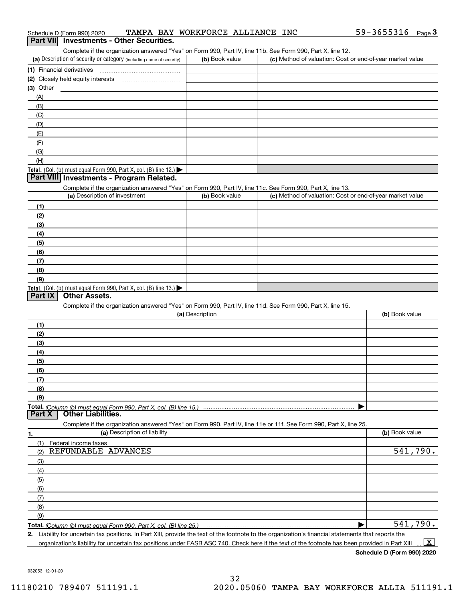| (a) Description of security or category (including name of security)                                                                                                                                                                                      | (b) Book value  | (c) Method of valuation: Cost or end-of-year market value |                |
|-----------------------------------------------------------------------------------------------------------------------------------------------------------------------------------------------------------------------------------------------------------|-----------------|-----------------------------------------------------------|----------------|
| (1) Financial derivatives                                                                                                                                                                                                                                 |                 |                                                           |                |
| (2) Closely held equity interests [11] [12] Closely held equity interests                                                                                                                                                                                 |                 |                                                           |                |
| (3) Other                                                                                                                                                                                                                                                 |                 |                                                           |                |
| (A)                                                                                                                                                                                                                                                       |                 |                                                           |                |
| (B)                                                                                                                                                                                                                                                       |                 |                                                           |                |
| (C)                                                                                                                                                                                                                                                       |                 |                                                           |                |
| (D)                                                                                                                                                                                                                                                       |                 |                                                           |                |
| (E)                                                                                                                                                                                                                                                       |                 |                                                           |                |
| (F)                                                                                                                                                                                                                                                       |                 |                                                           |                |
| (G)                                                                                                                                                                                                                                                       |                 |                                                           |                |
| (H)                                                                                                                                                                                                                                                       |                 |                                                           |                |
| Total. (Col. (b) must equal Form 990, Part X, col. (B) line 12.)                                                                                                                                                                                          |                 |                                                           |                |
| Part VIII Investments - Program Related.                                                                                                                                                                                                                  |                 |                                                           |                |
| Complete if the organization answered "Yes" on Form 990, Part IV, line 11c. See Form 990, Part X, line 13.                                                                                                                                                |                 |                                                           |                |
| (a) Description of investment                                                                                                                                                                                                                             | (b) Book value  | (c) Method of valuation: Cost or end-of-year market value |                |
| (1)                                                                                                                                                                                                                                                       |                 |                                                           |                |
| (2)                                                                                                                                                                                                                                                       |                 |                                                           |                |
| (3)                                                                                                                                                                                                                                                       |                 |                                                           |                |
| (4)                                                                                                                                                                                                                                                       |                 |                                                           |                |
| (5)                                                                                                                                                                                                                                                       |                 |                                                           |                |
| (6)                                                                                                                                                                                                                                                       |                 |                                                           |                |
|                                                                                                                                                                                                                                                           |                 |                                                           |                |
| (7)<br>(8)                                                                                                                                                                                                                                                |                 |                                                           |                |
| (9)                                                                                                                                                                                                                                                       |                 |                                                           |                |
| Total. (Col. (b) must equal Form 990, Part X, col. (B) line 13.)                                                                                                                                                                                          |                 |                                                           |                |
| <b>Other Assets.</b><br>Part IX<br>Complete if the organization answered "Yes" on Form 990, Part IV, line 11d. See Form 990, Part X, line 15.                                                                                                             |                 |                                                           |                |
|                                                                                                                                                                                                                                                           | (a) Description |                                                           | (b) Book value |
| (1)                                                                                                                                                                                                                                                       |                 |                                                           |                |
| (2)                                                                                                                                                                                                                                                       |                 |                                                           |                |
| (3)                                                                                                                                                                                                                                                       |                 |                                                           |                |
| (4)                                                                                                                                                                                                                                                       |                 |                                                           |                |
| (5)                                                                                                                                                                                                                                                       |                 |                                                           |                |
| (6)                                                                                                                                                                                                                                                       |                 |                                                           |                |
| (7)                                                                                                                                                                                                                                                       |                 |                                                           |                |
| (8)                                                                                                                                                                                                                                                       |                 |                                                           |                |
| (9)                                                                                                                                                                                                                                                       |                 |                                                           |                |
| <b>Total.</b> (Column (b) must equal Form 990. Part X, col. (B) line 15.) …………………………………………………<br>Part X<br><b>Other Liabilities.</b><br>Complete if the organization answered "Yes" on Form 990, Part IV, line 11e or 11f. See Form 990, Part X, line 25. |                 |                                                           |                |
| (a) Description of liability<br>1.                                                                                                                                                                                                                        |                 |                                                           | (b) Book value |
| (1)<br>Federal income taxes                                                                                                                                                                                                                               |                 |                                                           |                |
| REFUNDABLE ADVANCES<br>(2)                                                                                                                                                                                                                                |                 |                                                           | 541,790.       |
|                                                                                                                                                                                                                                                           |                 |                                                           |                |
|                                                                                                                                                                                                                                                           |                 |                                                           |                |
| (3)                                                                                                                                                                                                                                                       |                 |                                                           |                |
| (4)                                                                                                                                                                                                                                                       |                 |                                                           |                |
| (5)                                                                                                                                                                                                                                                       |                 |                                                           |                |
| (6)                                                                                                                                                                                                                                                       |                 |                                                           |                |
| (7)                                                                                                                                                                                                                                                       |                 |                                                           |                |
| (8)                                                                                                                                                                                                                                                       |                 |                                                           |                |
| (9)                                                                                                                                                                                                                                                       |                 |                                                           | 541,790.       |

Complete if the organization answered "Yes" on Form 990, Part IV, line 11b. See Form 990, Part X, line 12.

Schedule D (Form 990) 2020 TAMPA BAY WORKFORCE ALLIANCE INC 59-3655316 <sub>Page</sub> 3<br>| **Part VII** | Investments - Other Securities. 59-3655316 Page 3

**Schedule D (Form 990) 2020**

032053 12-01-20

## 32 11180210 789407 511191.1 2020.05060 TAMPA BAY WORKFORCE ALLIA 511191.1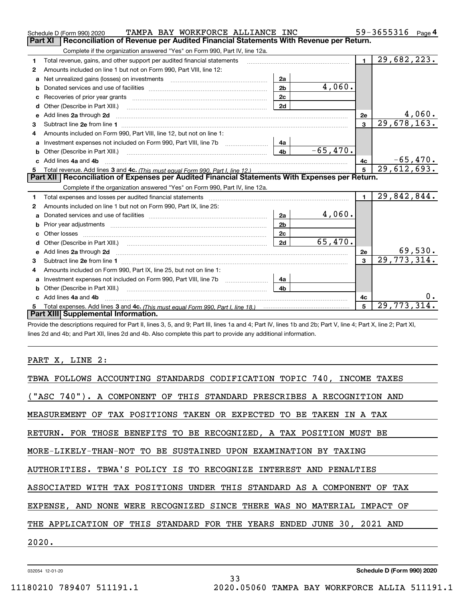|    | TAMPA BAY WORKFORCE ALLIANCE INC<br>Schedule D (Form 990) 2020                                                                                                                                                                      |                |            |                | 59-3655316<br>Page 4     |
|----|-------------------------------------------------------------------------------------------------------------------------------------------------------------------------------------------------------------------------------------|----------------|------------|----------------|--------------------------|
|    | Reconciliation of Revenue per Audited Financial Statements With Revenue per Return.<br>Part XI                                                                                                                                      |                |            |                |                          |
|    | Complete if the organization answered "Yes" on Form 990, Part IV, line 12a.                                                                                                                                                         |                |            |                |                          |
| 1  | Total revenue, gains, and other support per audited financial statements                                                                                                                                                            |                |            | $\blacksquare$ | 29,682,223.              |
| 2  | Amounts included on line 1 but not on Form 990, Part VIII, line 12:                                                                                                                                                                 |                |            |                |                          |
| a  | Net unrealized gains (losses) on investments [11] matter contracts and the unrealized gains (losses) on investments                                                                                                                 | 2a             |            |                |                          |
| b  |                                                                                                                                                                                                                                     | 2 <sub>b</sub> | 4,060.     |                |                          |
|    |                                                                                                                                                                                                                                     | 2c             |            |                |                          |
| d  |                                                                                                                                                                                                                                     | 2d             |            |                |                          |
| е  | Add lines 2a through 2d                                                                                                                                                                                                             |                |            | <b>2e</b>      | 4,060.                   |
| 3  |                                                                                                                                                                                                                                     |                |            | 3              | $\overline{29,678,163.}$ |
| 4  | Amounts included on Form 990, Part VIII, line 12, but not on line 1:                                                                                                                                                                |                |            |                |                          |
| a  |                                                                                                                                                                                                                                     | 4a             |            |                |                          |
|    |                                                                                                                                                                                                                                     | 4 <sub>b</sub> | $-65,470.$ |                |                          |
|    | c Add lines 4a and 4b                                                                                                                                                                                                               |                |            | 4с             | $-65, 470.$              |
|    |                                                                                                                                                                                                                                     |                |            | 5              | $\overline{29,612,693.}$ |
|    |                                                                                                                                                                                                                                     |                |            |                |                          |
|    | Part XII   Reconciliation of Expenses per Audited Financial Statements With Expenses per Return.                                                                                                                                    |                |            |                |                          |
|    | Complete if the organization answered "Yes" on Form 990, Part IV, line 12a.                                                                                                                                                         |                |            |                |                          |
| 1  |                                                                                                                                                                                                                                     |                |            | $\blacksquare$ | 29,842,844.              |
| 2  | Amounts included on line 1 but not on Form 990, Part IX, line 25:                                                                                                                                                                   |                |            |                |                          |
| a  |                                                                                                                                                                                                                                     | 2a             | 4,060.     |                |                          |
| b  |                                                                                                                                                                                                                                     | 2 <sub>b</sub> |            |                |                          |
|    |                                                                                                                                                                                                                                     | 2c             |            |                |                          |
| d  |                                                                                                                                                                                                                                     | 2d             | 65,470.    |                |                          |
| е  | Add lines 2a through 2d <b>contained a contained a contained a contained a</b> contained a contained a contained a contained a contained a contained a contained a contained a contained a contained a contained a contained a cont |                |            | 2e             | 69,530.                  |
| 3  | Subtract line 2e from line 1 <b>manufacture in the contract of the 2e</b> from line 1                                                                                                                                               |                |            | $\mathbf{3}$   | 29,773,314.              |
| 4  | Amounts included on Form 990, Part IX, line 25, but not on line 1:                                                                                                                                                                  |                |            |                |                          |
| a  |                                                                                                                                                                                                                                     | 4a             |            |                |                          |
|    | Other (Describe in Part XIII.)                                                                                                                                                                                                      | 4b             |            |                |                          |
| c. | Add lines 4a and 4b                                                                                                                                                                                                                 |                |            | 4с             |                          |
|    | Part XIII Supplemental Information.                                                                                                                                                                                                 |                |            | 5              | 29, 773, 314.            |

Provide the descriptions required for Part II, lines 3, 5, and 9; Part III, lines 1a and 4; Part IV, lines 1b and 2b; Part V, line 4; Part X, line 2; Part XI, lines 2d and 4b; and Part XII, lines 2d and 4b. Also complete this part to provide any additional information.

#### PART X, LINE 2:

| TBWA FOLLOWS ACCOUNTING STANDARDS CODIFICATION TOPIC 740, INCOME TAXES  |
|-------------------------------------------------------------------------|
| ("ASC 740"). A COMPONENT OF THIS STANDARD PRESCRIBES A RECOGNITION AND  |
| MEASUREMENT OF TAX POSITIONS TAKEN OR EXPECTED TO BE TAKEN IN A TAX     |
| RETURN. FOR THOSE BENEFITS TO BE RECOGNIZED, A TAX POSITION MUST BE     |
| MORE-LIKELY-THAN-NOT TO BE SUSTAINED UPON EXAMINATION BY TAXING         |
| AUTHORITIES. TBWA'S POLICY IS TO RECOGNIZE INTEREST AND PENALTIES       |
| ASSOCIATED WITH TAX POSITIONS UNDER THIS STANDARD AS A COMPONENT OF TAX |
| EXPENSE, AND NONE WERE RECOGNIZED SINCE THERE WAS NO MATERIAL IMPACT OF |
| THE APPLICATION OF THIS STANDARD FOR THE YEARS ENDED JUNE 30, 2021 AND  |
| 2020.                                                                   |
|                                                                         |

33

032054 12-01-20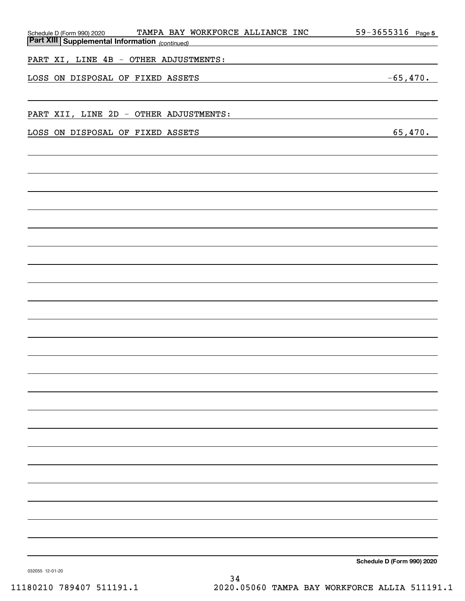| Schedule D (Form 990) 2020 TAMPA BAY V<br>Part XIII Supplemental Information (continued) | TAMPA BAY WORKFORCE ALLIANCE INC       | 59-3655316 Page 5          |
|------------------------------------------------------------------------------------------|----------------------------------------|----------------------------|
|                                                                                          |                                        |                            |
| PART XI, LINE 4B - OTHER ADJUSTMENTS:                                                    |                                        |                            |
| LOSS ON DISPOSAL OF FIXED ASSETS                                                         |                                        | $-65,470.$                 |
|                                                                                          |                                        |                            |
|                                                                                          |                                        |                            |
|                                                                                          | PART XII, LINE 2D - OTHER ADJUSTMENTS: |                            |
| LOSS ON DISPOSAL OF FIXED ASSETS                                                         |                                        | 65,470.                    |
|                                                                                          |                                        |                            |
|                                                                                          |                                        |                            |
|                                                                                          |                                        |                            |
|                                                                                          |                                        |                            |
|                                                                                          |                                        |                            |
|                                                                                          |                                        |                            |
|                                                                                          |                                        |                            |
|                                                                                          |                                        |                            |
|                                                                                          |                                        |                            |
|                                                                                          |                                        |                            |
|                                                                                          |                                        |                            |
|                                                                                          |                                        |                            |
|                                                                                          |                                        |                            |
|                                                                                          |                                        |                            |
|                                                                                          |                                        |                            |
|                                                                                          |                                        |                            |
|                                                                                          |                                        |                            |
|                                                                                          |                                        |                            |
|                                                                                          |                                        |                            |
|                                                                                          |                                        |                            |
|                                                                                          |                                        |                            |
|                                                                                          |                                        |                            |
|                                                                                          |                                        |                            |
|                                                                                          |                                        |                            |
|                                                                                          |                                        |                            |
|                                                                                          |                                        |                            |
|                                                                                          |                                        |                            |
|                                                                                          |                                        |                            |
|                                                                                          |                                        |                            |
|                                                                                          |                                        | Schedule D (Form 990) 2020 |
| 032055 12-01-20                                                                          |                                        |                            |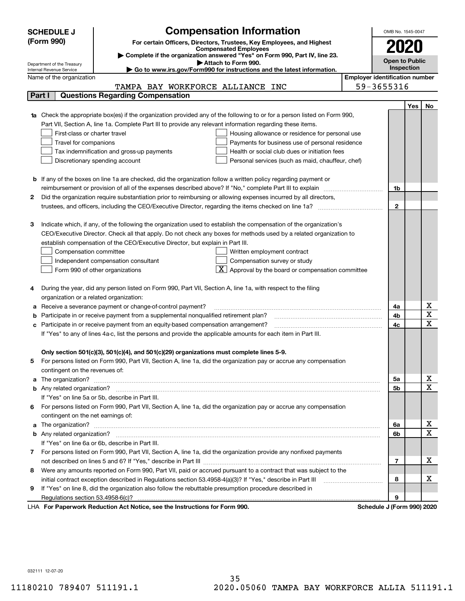|        | <b>Compensation Information</b><br><b>SCHEDULE J</b>                                                                                                                  | OMB No. 1545-0047     |            |                              |  |  |  |  |  |
|--------|-----------------------------------------------------------------------------------------------------------------------------------------------------------------------|-----------------------|------------|------------------------------|--|--|--|--|--|
|        | (Form 990)<br>For certain Officers, Directors, Trustees, Key Employees, and Highest                                                                                   |                       |            |                              |  |  |  |  |  |
|        | 2020<br><b>Compensated Employees</b>                                                                                                                                  |                       |            |                              |  |  |  |  |  |
|        | Complete if the organization answered "Yes" on Form 990, Part IV, line 23.                                                                                            | <b>Open to Public</b> |            |                              |  |  |  |  |  |
|        | Attach to Form 990.<br>Department of the Treasury<br>Inspection<br>Go to www.irs.gov/Form990 for instructions and the latest information.<br>Internal Revenue Service |                       |            |                              |  |  |  |  |  |
|        | <b>Employer identification number</b><br>Name of the organization                                                                                                     |                       |            |                              |  |  |  |  |  |
|        | TAMPA BAY WORKFORCE ALLIANCE INC                                                                                                                                      | 59-3655316            |            |                              |  |  |  |  |  |
| Part I | <b>Questions Regarding Compensation</b>                                                                                                                               |                       |            |                              |  |  |  |  |  |
|        |                                                                                                                                                                       |                       | <b>Yes</b> | No                           |  |  |  |  |  |
|        | <b>1a</b> Check the appropriate box(es) if the organization provided any of the following to or for a person listed on Form 990,                                      |                       |            |                              |  |  |  |  |  |
|        | Part VII, Section A, line 1a. Complete Part III to provide any relevant information regarding these items.                                                            |                       |            |                              |  |  |  |  |  |
|        | First-class or charter travel<br>Housing allowance or residence for personal use                                                                                      |                       |            |                              |  |  |  |  |  |
|        | Travel for companions<br>Payments for business use of personal residence                                                                                              |                       |            |                              |  |  |  |  |  |
|        | Tax indemnification and gross-up payments<br>Health or social club dues or initiation fees                                                                            |                       |            |                              |  |  |  |  |  |
|        | Discretionary spending account<br>Personal services (such as maid, chauffeur, chef)                                                                                   |                       |            |                              |  |  |  |  |  |
|        |                                                                                                                                                                       |                       |            |                              |  |  |  |  |  |
|        | <b>b</b> If any of the boxes on line 1a are checked, did the organization follow a written policy regarding payment or                                                |                       |            |                              |  |  |  |  |  |
|        | reimbursement or provision of all of the expenses described above? If "No," complete Part III to explain                                                              | 1b                    |            |                              |  |  |  |  |  |
| 2      | Did the organization require substantiation prior to reimbursing or allowing expenses incurred by all directors,                                                      |                       |            |                              |  |  |  |  |  |
|        |                                                                                                                                                                       | $\mathbf{2}$          |            |                              |  |  |  |  |  |
|        |                                                                                                                                                                       |                       |            |                              |  |  |  |  |  |
| з      | Indicate which, if any, of the following the organization used to establish the compensation of the organization's                                                    |                       |            |                              |  |  |  |  |  |
|        | CEO/Executive Director. Check all that apply. Do not check any boxes for methods used by a related organization to                                                    |                       |            |                              |  |  |  |  |  |
|        | establish compensation of the CEO/Executive Director, but explain in Part III.                                                                                        |                       |            |                              |  |  |  |  |  |
|        | Compensation committee<br>Written employment contract                                                                                                                 |                       |            |                              |  |  |  |  |  |
|        | Compensation survey or study<br>Independent compensation consultant                                                                                                   |                       |            |                              |  |  |  |  |  |
|        | $\boxed{\textbf{X}}$ Approval by the board or compensation committee<br>Form 990 of other organizations                                                               |                       |            |                              |  |  |  |  |  |
|        |                                                                                                                                                                       |                       |            |                              |  |  |  |  |  |
|        | During the year, did any person listed on Form 990, Part VII, Section A, line 1a, with respect to the filing                                                          |                       |            |                              |  |  |  |  |  |
|        | organization or a related organization:                                                                                                                               |                       |            |                              |  |  |  |  |  |
| а      | Receive a severance payment or change-of-control payment?                                                                                                             | 4a                    |            | х                            |  |  |  |  |  |
| b      | Participate in or receive payment from a supplemental nonqualified retirement plan?                                                                                   | 4b                    |            | $\overline{\mathbf{x}}$      |  |  |  |  |  |
| c      | Participate in or receive payment from an equity-based compensation arrangement?                                                                                      | 4c                    |            | $\overline{\mathbf{x}}$      |  |  |  |  |  |
|        | If "Yes" to any of lines 4a-c, list the persons and provide the applicable amounts for each item in Part III.                                                         |                       |            |                              |  |  |  |  |  |
|        |                                                                                                                                                                       |                       |            |                              |  |  |  |  |  |
|        | Only section 501(c)(3), 501(c)(4), and 501(c)(29) organizations must complete lines 5-9.                                                                              |                       |            |                              |  |  |  |  |  |
|        | For persons listed on Form 990, Part VII, Section A, line 1a, did the organization pay or accrue any compensation                                                     |                       |            |                              |  |  |  |  |  |
|        | contingent on the revenues of:                                                                                                                                        |                       |            |                              |  |  |  |  |  |
| a      |                                                                                                                                                                       | 5a                    |            | х<br>$\overline{\mathbf{x}}$ |  |  |  |  |  |
|        |                                                                                                                                                                       | 5b                    |            |                              |  |  |  |  |  |
|        | If "Yes" on line 5a or 5b, describe in Part III.                                                                                                                      |                       |            |                              |  |  |  |  |  |
| 6.     | For persons listed on Form 990, Part VII, Section A, line 1a, did the organization pay or accrue any compensation                                                     |                       |            |                              |  |  |  |  |  |
|        | contingent on the net earnings of:                                                                                                                                    | 6a                    |            | х                            |  |  |  |  |  |
|        | a                                                                                                                                                                     |                       |            |                              |  |  |  |  |  |
|        |                                                                                                                                                                       | 6b                    |            | $\overline{\mathbf{x}}$      |  |  |  |  |  |
|        | If "Yes" on line 6a or 6b, describe in Part III.                                                                                                                      |                       |            |                              |  |  |  |  |  |
|        | 7 For persons listed on Form 990, Part VII, Section A, line 1a, did the organization provide any nonfixed payments                                                    |                       |            | х                            |  |  |  |  |  |
|        |                                                                                                                                                                       | 7                     |            |                              |  |  |  |  |  |
| 8      | Were any amounts reported on Form 990, Part VII, paid or accrued pursuant to a contract that was subject to the                                                       |                       |            | х                            |  |  |  |  |  |
|        | initial contract exception described in Regulations section 53.4958-4(a)(3)? If "Yes," describe in Part III                                                           | 8                     |            |                              |  |  |  |  |  |
| 9      | If "Yes" on line 8, did the organization also follow the rebuttable presumption procedure described in                                                                |                       |            |                              |  |  |  |  |  |
|        | successive Deptation of the Netting and the Instructions for Form 000.                                                                                                | 9<br>Calcadola 1/Ca   |            |                              |  |  |  |  |  |

LHA For Paperwork Reduction Act Notice, see the Instructions for Form 990. Schedule J (Form 990) 2020

032111 12-07-20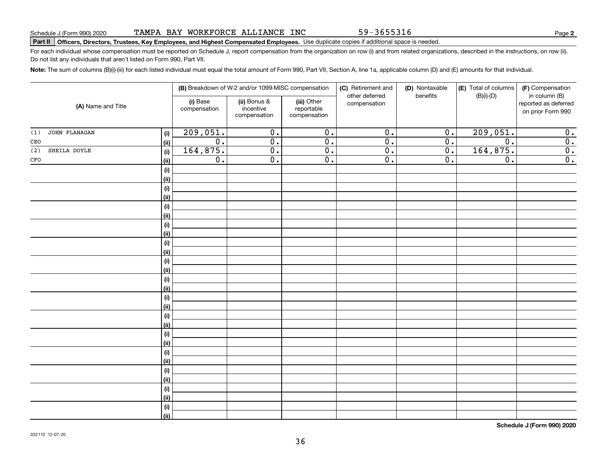032112 12-07-20

**Note:**  The sum of columns (B)(i)-(iii) for each listed individual must equal the total amount of Form 990, Part VII, Section A, line 1a, applicable column (D) and (E) amounts for that individual. **(B)** Breakdown of W-2 and/or 1099-MISC compensation | **(C)** Retirement and | **(D)** Nontaxable |**(E)** Total of columns | **(F) (i)** Base **| (ii)** Bonus & **| (iii) (A)**  Name and Title **(i) (ii) (i) (ii)(i)(ii)(i)(ii)(i)(ii)(i)(ii)(i)(ii)(i)(ii)(i)(ii)(i)(ii)(i)(ii)(i)**other deferred compensation(D) Nontaxable benefits(E) Total of columns (B)(i)-(D)(i) Base compensationincentive compensation(iii) Other reportable compensation $209,051.$  0. 0. 0. 0. 0. 209,051. 0. CEO 0. 0. 0. 0. 0. 0. 0.  $164,875.$  0. 0. 0. 0. 0. 164,875. 0. CFO(1) JOHN FLANAGAN (2) SHEILA DOYLE

#### TAMPA BAY WORKFORCE ALLIANCE INC

# **Part II Officers, Directors, Trustees, Key Employees, and Highest Compensated Employees.**  Schedule J (Form 990) 2020 Page Use duplicate copies if additional space is needed.

For each individual whose compensation must be reported on Schedule J, report compensation from the organization on row (i) and from related organizations, described in the instructions, on row (ii). Do not list any individuals that aren't listed on Form 990, Part VII.

| FO | $\overline{\textbf{(ii)}}$ | $0$ . | $0$ . | 0. | 0. | $0 \cdot$ | $0$ . | 0.                         |
|----|----------------------------|-------|-------|----|----|-----------|-------|----------------------------|
|    | (i)                        |       |       |    |    |           |       |                            |
|    | (ii)                       |       |       |    |    |           |       |                            |
|    | (i)                        |       |       |    |    |           |       |                            |
|    | (ii)                       |       |       |    |    |           |       |                            |
|    | (i)                        |       |       |    |    |           |       |                            |
|    | (ii)                       |       |       |    |    |           |       |                            |
|    | (i)                        |       |       |    |    |           |       |                            |
|    | (ii)                       |       |       |    |    |           |       |                            |
|    | (i)                        |       |       |    |    |           |       |                            |
|    | (ii)                       |       |       |    |    |           |       |                            |
|    | (i)                        |       |       |    |    |           |       |                            |
|    | (ii)                       |       |       |    |    |           |       |                            |
|    | (i)                        |       |       |    |    |           |       |                            |
|    | (ii)                       |       |       |    |    |           |       |                            |
|    | (i)                        |       |       |    |    |           |       |                            |
|    | (ii)                       |       |       |    |    |           |       |                            |
|    | (i)                        |       |       |    |    |           |       |                            |
|    | (ii)                       |       |       |    |    |           |       |                            |
|    | (i)                        |       |       |    |    |           |       |                            |
|    | $\vert$ (ii)               |       |       |    |    |           |       |                            |
|    | (i)                        |       |       |    |    |           |       |                            |
|    | (ii)                       |       |       |    |    |           |       |                            |
|    | (i)                        |       |       |    |    |           |       |                            |
|    | $\vert$ (ii)               |       |       |    |    |           |       |                            |
|    | (i)                        |       |       |    |    |           |       |                            |
|    | <u>(ii)</u>                |       |       |    |    |           |       |                            |
|    | (i)                        |       |       |    |    |           |       |                            |
|    | (ii)                       |       |       |    |    |           |       |                            |
|    |                            |       |       |    |    |           |       | Schedule J (Form 990) 2020 |

36

(F) Compensation in column (B) reported as deferred on prior Form 990

59-3655316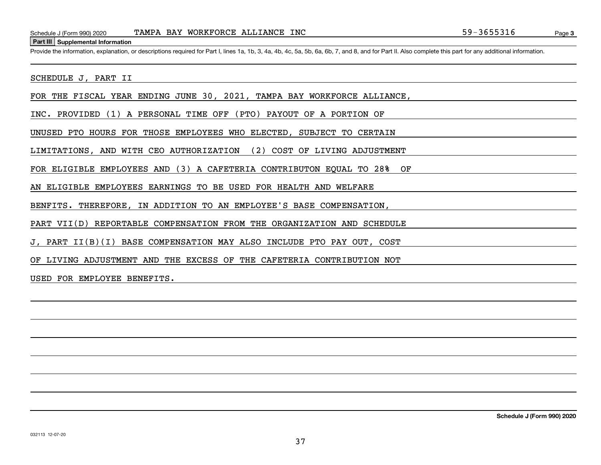#### **Part III Supplemental Information**

Schedule J (Form 990) 2020 TAMPA BAY WORKFORCE ALLIANCE INC<br>Part III Supplemental Information<br>Provide the information, explanation, or descriptions required for Part I, lines 1a, 1b, 3, 4a, 4b, 4c, 5a, 5b, 6a, 6b, 7, and 8

SCHEDULE J, PART II

FOR THE FISCAL YEAR ENDING JUNE 30, 2021, TAMPA BAY WORKFORCE ALLIANCE,

INC. PROVIDED (1) A PERSONAL TIME OFF (PTO) PAYOUT OF A PORTION OF

UNUSED PTO HOURS FOR THOSE EMPLOYEES WHO ELECTED, SUBJECT TO CERTAIN

LIMITATIONS, AND WITH CEO AUTHORIZATION (2) COST OF LIVING ADJUSTMENT

FOR ELIGIBLE EMPLOYEES AND (3) A CAFETERIA CONTRIBUTON EQUAL TO 28% OF

AN ELIGIBLE EMPLOYEES EARNINGS TO BE USED FOR HEALTH AND WELFARE

BENFITS. THEREFORE, IN ADDITION TO AN EMPLOYEE'S BASE COMPENSATION,

PART VII(D) REPORTABLE COMPENSATION FROM THE ORGANIZATION AND SCHEDULE

J, PART II(B)(I) BASE COMPENSATION MAY ALSO INCLUDE PTO PAY OUT, COST

OF LIVING ADJUSTMENT AND THE EXCESS OF THE CAFETERIA CONTRIBUTION NOT

USED FOR EMPLOYEE BENEFITS.

**Schedule J (Form 990) 2020**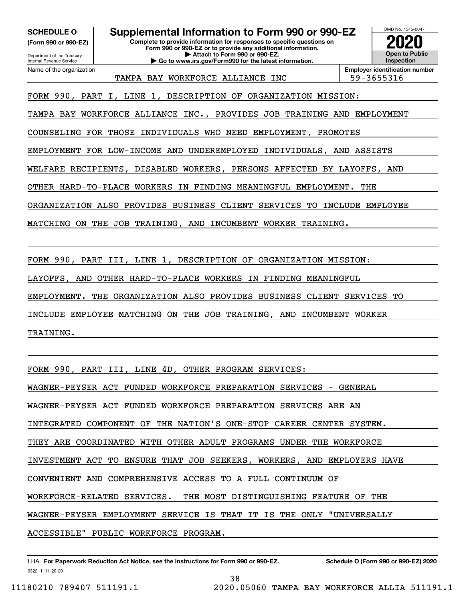Department of the Treasury **(Form 990 or 990-EZ)**

Name of the organization

Internal Revenue Service

### **SCHEDULE O Supplemental Information to Form 990 or 990-EZ**

**Complete to provide information for responses to specific questions on Form 990 or 990-EZ or to provide any additional information. | Attach to Form 990 or 990-EZ. | Go to www.irs.gov/Form990 for the latest information.**



TAMPA BAY WORKFORCE ALLIANCE INC | 59-3655316

**Employer identification number**

FORM 990, PART I, LINE 1, DESCRIPTION OF ORGANIZATION MISSION:

TAMPA BAY WORKFORCE ALLIANCE INC., PROVIDES JOB TRAINING AND EMPLOYMENT

COUNSELING FOR THOSE INDIVIDUALS WHO NEED EMPLOYMENT, PROMOTES

EMPLOYMENT FOR LOW-INCOME AND UNDEREMPLOYED INDIVIDUALS, AND ASSISTS

WELFARE RECIPIENTS, DISABLED WORKERS, PERSONS AFFECTED BY LAYOFFS, AND

OTHER HARD-TO-PLACE WORKERS IN FINDING MEANINGFUL EMPLOYMENT. THE

ORGANIZATION ALSO PROVIDES BUSINESS CLIENT SERVICES TO INCLUDE EMPLOYEE

MATCHING ON THE JOB TRAINING, AND INCUMBENT WORKER TRAINING.

FORM 990, PART III, LINE 1, DESCRIPTION OF ORGANIZATION MISSION:

LAYOFFS, AND OTHER HARD-TO-PLACE WORKERS IN FINDING MEANINGFUL

EMPLOYMENT. THE ORGANIZATION ALSO PROVIDES BUSINESS CLIENT SERVICES TO

INCLUDE EMPLOYEE MATCHING ON THE JOB TRAINING, AND INCUMBENT WORKER

TRAINING.

FORM 990, PART III, LINE 4D, OTHER PROGRAM SERVICES:

WAGNER-PEYSER ACT FUNDED WORKFORCE PREPARATION SERVICES - GENERAL

WAGNER-PEYSER ACT FUNDED WORKFORCE PREPARATION SERVICES ARE AN

INTEGRATED COMPONENT OF THE NATION'S ONE-STOP CAREER CENTER SYSTEM.

THEY ARE COORDINATED WITH OTHER ADULT PROGRAMS UNDER THE WORKFORCE

INVESTMENT ACT TO ENSURE THAT JOB SEEKERS, WORKERS, AND EMPLOYERS HAVE

CONVENIENT AND COMPREHENSIVE ACCESS TO A FULL CONTINUUM OF

WORKFORCE-RELATED SERVICES. THE MOST DISTINGUISHING FEATURE OF THE

WAGNER-PEYSER EMPLOYMENT SERVICE IS THAT IT IS THE ONLY "UNIVERSALLY

ACCESSIBLE" PUBLIC WORKFORCE PROGRAM.

032211 11-20-20 LHA For Paperwork Reduction Act Notice, see the Instructions for Form 990 or 990-EZ. Schedule O (Form 990 or 990-EZ) 2020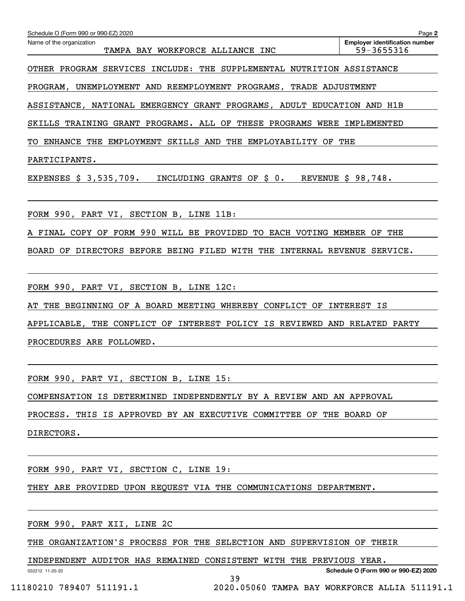| Schedule O (Form 990 or 990-EZ) 2020<br>Name of the organization                                     | Page 2<br><b>Employer identification number</b> |
|------------------------------------------------------------------------------------------------------|-------------------------------------------------|
| TAMPA BAY WORKFORCE ALLIANCE INC                                                                     | 59-3655316                                      |
| OTHER PROGRAM SERVICES INCLUDE: THE SUPPLEMENTAL NUTRITION ASSISTANCE                                |                                                 |
| PROGRAM, UNEMPLOYMENT AND REEMPLOYMENT PROGRAMS, TRADE ADJUSTMENT                                    |                                                 |
| ASSISTANCE, NATIONAL EMERGENCY GRANT PROGRAMS, ADULT EDUCATION AND H1B                               |                                                 |
| SKILLS TRAINING GRANT PROGRAMS. ALL OF THESE PROGRAMS WERE IMPLEMENTED                               |                                                 |
| TO ENHANCE THE EMPLOYMENT SKILLS AND THE EMPLOYABILITY OF THE                                        |                                                 |
| PARTICIPANTS.                                                                                        |                                                 |
| EXPENSES $\frac{1}{5}$ 3,535,709. INCLUDING GRANTS OF $\frac{1}{5}$ 0. REVENUE $\frac{1}{5}$ 98,748. |                                                 |
|                                                                                                      |                                                 |
| FORM 990, PART VI, SECTION B, LINE 11B:                                                              |                                                 |
| A FINAL COPY OF FORM 990 WILL BE PROVIDED TO EACH VOTING MEMBER OF THE                               |                                                 |
| BOARD OF DIRECTORS BEFORE BEING FILED WITH THE INTERNAL REVENUE SERVICE.                             |                                                 |
|                                                                                                      |                                                 |
| FORM 990, PART VI, SECTION B, LINE 12C:                                                              |                                                 |
| AT THE BEGINNING OF A BOARD MEETING WHEREBY CONFLICT OF INTEREST IS                                  |                                                 |
| APPLICABLE, THE CONFLICT OF INTEREST POLICY IS REVIEWED AND RELATED PARTY                            |                                                 |
| PROCEDURES ARE FOLLOWED.                                                                             |                                                 |
|                                                                                                      |                                                 |
| FORM 990, PART VI, SECTION B, LINE 15:                                                               |                                                 |
| COMPENSATION IS DETERMINED INDEPENDENTLY BY A REVIEW AND AN APPROVAL                                 |                                                 |
| PROCESS. THIS IS APPROVED BY AN EXECUTIVE COMMITTEE OF THE BOARD OF                                  |                                                 |
| DIRECTORS.                                                                                           |                                                 |

FORM 990, PART VI, SECTION C, LINE 19:

THEY ARE PROVIDED UPON REQUEST VIA THE COMMUNICATIONS DEPARTMENT.

FORM 990, PART XII, LINE 2C

THE ORGANIZATION'S PROCESS FOR THE SELECTION AND SUPERVISION OF THEIR

39

INDEPENDENT AUDITOR HAS REMAINED CONSISTENT WITH THE PREVIOUS YEAR.

032212 11-20-20

**Schedule O (Form 990 or 990-EZ) 2020**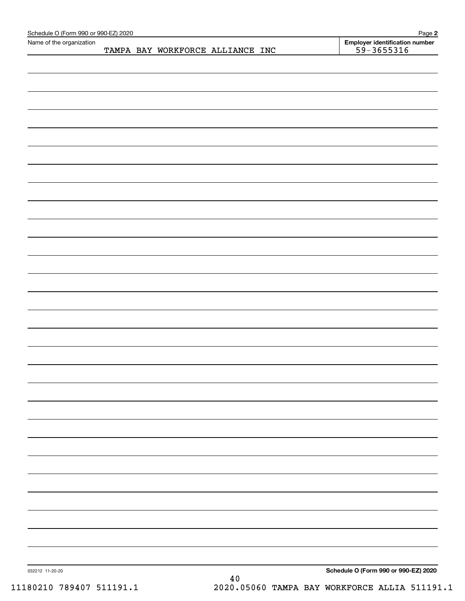| Name of the organization |                                  |      | <b>Employer identification number</b> |
|--------------------------|----------------------------------|------|---------------------------------------|
|                          | TAMPA BAY WORKFORCE ALLIANCE INC |      | $59 - 3655316$                        |
|                          |                                  |      |                                       |
|                          |                                  |      |                                       |
|                          |                                  |      |                                       |
|                          |                                  |      |                                       |
|                          |                                  |      |                                       |
|                          |                                  |      |                                       |
|                          |                                  |      |                                       |
|                          |                                  |      |                                       |
|                          |                                  |      |                                       |
|                          |                                  |      |                                       |
|                          |                                  |      |                                       |
|                          |                                  |      |                                       |
|                          |                                  |      |                                       |
|                          |                                  |      |                                       |
|                          |                                  |      |                                       |
|                          |                                  |      |                                       |
|                          |                                  |      |                                       |
|                          |                                  |      |                                       |
|                          |                                  |      |                                       |
|                          |                                  |      |                                       |
|                          |                                  |      |                                       |
|                          |                                  |      |                                       |
|                          |                                  |      |                                       |
|                          |                                  |      |                                       |
|                          |                                  |      |                                       |
|                          |                                  |      |                                       |
|                          |                                  |      |                                       |
|                          |                                  |      |                                       |
|                          |                                  |      |                                       |
|                          |                                  |      |                                       |
|                          |                                  |      |                                       |
|                          |                                  |      |                                       |
|                          |                                  |      |                                       |
|                          |                                  |      |                                       |
|                          |                                  |      |                                       |
|                          |                                  |      |                                       |
|                          |                                  |      |                                       |
|                          |                                  |      |                                       |
|                          |                                  |      |                                       |
|                          |                                  |      |                                       |
|                          |                                  |      |                                       |
|                          |                                  |      |                                       |
|                          |                                  |      |                                       |
|                          |                                  |      |                                       |
|                          |                                  |      |                                       |
|                          |                                  |      |                                       |
|                          |                                  |      |                                       |
|                          |                                  |      |                                       |
|                          |                                  |      |                                       |
|                          |                                  |      |                                       |
|                          |                                  |      |                                       |
|                          |                                  |      |                                       |
|                          |                                  |      |                                       |
| 032212 11-20-20          |                                  | $40$ | Schedule O (Form 990 or 990-EZ) 2020  |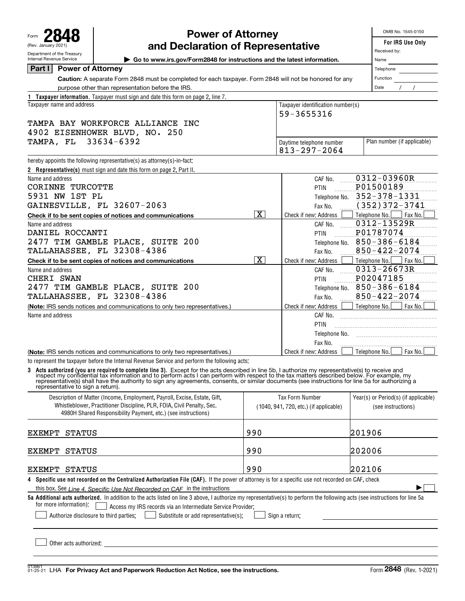Form **2848** (Rev. January 2021) Department of the Treasury

# **Power of Attorney**

OMB No. 1545-0150

|  | For IRS Use Or |  |
|--|----------------|--|
|  |                |  |

| (Rev. January 2021)                                    | and Declaration of Representative                                                                                                                                                                                                                                                                                                                                                   | For IRS Use Only        |                                        |                                         |  |  |  |  |
|--------------------------------------------------------|-------------------------------------------------------------------------------------------------------------------------------------------------------------------------------------------------------------------------------------------------------------------------------------------------------------------------------------------------------------------------------------|-------------------------|----------------------------------------|-----------------------------------------|--|--|--|--|
| Department of the Treasury<br>Internal Revenue Service | ► Go to www.irs.gov/Form2848 for instructions and the latest information.                                                                                                                                                                                                                                                                                                           | Received by:<br>Name    |                                        |                                         |  |  |  |  |
| <b>Power of Attorney</b><br>Part I                     |                                                                                                                                                                                                                                                                                                                                                                                     |                         |                                        | Telephone                               |  |  |  |  |
|                                                        | Caution: A separate Form 2848 must be completed for each taxpayer. Form 2848 will not be honored for any                                                                                                                                                                                                                                                                            |                         |                                        |                                         |  |  |  |  |
| purpose other than representation before the IRS.      | Date                                                                                                                                                                                                                                                                                                                                                                                |                         |                                        |                                         |  |  |  |  |
|                                                        | 1 Taxpayer information. Taxpayer must sign and date this form on page 2, line 7.                                                                                                                                                                                                                                                                                                    |                         |                                        |                                         |  |  |  |  |
| Taxpayer name and address                              | Taxpayer identification number(s)                                                                                                                                                                                                                                                                                                                                                   |                         |                                        |                                         |  |  |  |  |
|                                                        |                                                                                                                                                                                                                                                                                                                                                                                     |                         |                                        |                                         |  |  |  |  |
| TAMPA BAY WORKFORCE ALLIANCE INC                       |                                                                                                                                                                                                                                                                                                                                                                                     |                         |                                        |                                         |  |  |  |  |
| 4902 EISENHOWER BLVD, NO. 250                          |                                                                                                                                                                                                                                                                                                                                                                                     |                         |                                        |                                         |  |  |  |  |
| TAMPA, FL                                              | 33634-6392                                                                                                                                                                                                                                                                                                                                                                          |                         | Daytime telephone number               | Plan number (if applicable)             |  |  |  |  |
|                                                        |                                                                                                                                                                                                                                                                                                                                                                                     |                         | $813 - 297 - 2064$                     |                                         |  |  |  |  |
|                                                        | hereby appoints the following representative(s) as attorney(s)-in-fact:                                                                                                                                                                                                                                                                                                             |                         |                                        |                                         |  |  |  |  |
|                                                        | 2 Representative(s) must sign and date this form on page 2, Part II.                                                                                                                                                                                                                                                                                                                |                         |                                        |                                         |  |  |  |  |
| Name and address                                       |                                                                                                                                                                                                                                                                                                                                                                                     |                         | CAF No.                                | 0312-03960R                             |  |  |  |  |
| CORINNE TURCOTTE                                       |                                                                                                                                                                                                                                                                                                                                                                                     |                         | PTIN                                   | P01500189                               |  |  |  |  |
| 5931 NW 1ST PL                                         |                                                                                                                                                                                                                                                                                                                                                                                     |                         | Telephone No.                          | 352-378-1331                            |  |  |  |  |
|                                                        | GAINESVILLE, FL 32607-2063                                                                                                                                                                                                                                                                                                                                                          | $\overline{\mathbf{x}}$ | Fax No.                                | $(352)372 - 3741$                       |  |  |  |  |
|                                                        | Check if to be sent copies of notices and communications                                                                                                                                                                                                                                                                                                                            |                         | Check if new: Address                  | Telephone No.<br>Fax No.<br>0312-13529R |  |  |  |  |
| Name and address<br>DANIEL ROCCANTI                    |                                                                                                                                                                                                                                                                                                                                                                                     |                         | CAF No.<br>PTIN                        | P01787074                               |  |  |  |  |
|                                                        | 2477 TIM GAMBLE PLACE, SUITE 200                                                                                                                                                                                                                                                                                                                                                    |                         |                                        | $850 - 386 - 6184$                      |  |  |  |  |
|                                                        | TALLAHASSEE, FL 32308-4386                                                                                                                                                                                                                                                                                                                                                          |                         | Telephone No.<br>Fax No.               | $850 - 422 - 2074$                      |  |  |  |  |
|                                                        | Check if to be sent copies of notices and communications                                                                                                                                                                                                                                                                                                                            | $\overline{\mathbf{x}}$ | Check if new: Address                  | Telephone No.<br>Fax No.                |  |  |  |  |
| Name and address                                       |                                                                                                                                                                                                                                                                                                                                                                                     |                         | CAF No.                                | 0313-26673R                             |  |  |  |  |
| CHERI SWAN                                             |                                                                                                                                                                                                                                                                                                                                                                                     |                         | PTIN                                   | P02047185                               |  |  |  |  |
|                                                        | 2477 TIM GAMBLE PLACE, SUITE 200                                                                                                                                                                                                                                                                                                                                                    |                         | Telephone No.                          | $850 - 386 - 6184$                      |  |  |  |  |
| <b>TALLAHASSEE, FL 32308-4386</b>                      | $850 - 422 - 2074$                                                                                                                                                                                                                                                                                                                                                                  |                         |                                        |                                         |  |  |  |  |
|                                                        | (Note: IRS sends notices and communications to only two representatives.)                                                                                                                                                                                                                                                                                                           |                         | Fax No.<br>Check if new: Address       | Fax No.<br>Telephone No.                |  |  |  |  |
| Name and address                                       |                                                                                                                                                                                                                                                                                                                                                                                     |                         | CAF No.                                |                                         |  |  |  |  |
|                                                        |                                                                                                                                                                                                                                                                                                                                                                                     |                         | PTIN                                   |                                         |  |  |  |  |
|                                                        |                                                                                                                                                                                                                                                                                                                                                                                     |                         | Telephone No.                          |                                         |  |  |  |  |
|                                                        |                                                                                                                                                                                                                                                                                                                                                                                     |                         | Fax No.                                |                                         |  |  |  |  |
|                                                        | (Note: IRS sends notices and communications to only two representatives.)                                                                                                                                                                                                                                                                                                           |                         | Check if new: Address                  | Fax No.<br>Telephone No.                |  |  |  |  |
|                                                        | to represent the taxpayer before the Internal Revenue Service and perform the following acts:                                                                                                                                                                                                                                                                                       |                         |                                        |                                         |  |  |  |  |
| representative to sign a return).                      | 3 Acts authorized (you are required to complete line 3). Except for the acts described in line 5b, I authorize my representative(s) to receive and inspect my confidential tax information and to perform acts I can perform w<br>representative(s) shall have the authority to sign any agreements, consents, or similar documents (see instructions for line 5a for authorizing a |                         |                                        |                                         |  |  |  |  |
|                                                        | Description of Matter (Income, Employment, Payroll, Excise, Estate, Gift,                                                                                                                                                                                                                                                                                                           |                         | <b>Tax Form Number</b>                 | Year(s) or Period(s) (if applicable)    |  |  |  |  |
|                                                        | Whistleblower, Practitioner Discipline, PLR, FOIA, Civil Penalty, Sec.                                                                                                                                                                                                                                                                                                              |                         | (1040, 941, 720, etc.) (if applicable) | (see instructions)                      |  |  |  |  |
|                                                        | 4980H Shared Responsibility Payment, etc.) (see instructions)                                                                                                                                                                                                                                                                                                                       |                         |                                        |                                         |  |  |  |  |
|                                                        |                                                                                                                                                                                                                                                                                                                                                                                     |                         |                                        |                                         |  |  |  |  |
| <b>EXEMPT</b><br><b>STATUS</b>                         |                                                                                                                                                                                                                                                                                                                                                                                     | 990                     |                                        | 201906                                  |  |  |  |  |
| <b>STATUS</b><br>EXEMPT                                |                                                                                                                                                                                                                                                                                                                                                                                     | 990                     |                                        | 202006                                  |  |  |  |  |
| EXEMPT STATUS                                          |                                                                                                                                                                                                                                                                                                                                                                                     | 990                     |                                        | 202106                                  |  |  |  |  |
|                                                        |                                                                                                                                                                                                                                                                                                                                                                                     |                         |                                        |                                         |  |  |  |  |
|                                                        | 4 Specific use not recorded on the Centralized Authorization File (CAF). If the power of attorney is for a specific use not recorded on CAF, check                                                                                                                                                                                                                                  |                         |                                        |                                         |  |  |  |  |
|                                                        | this box. See Line 4. Specific Use Not Recorded on CAF in the instructions<br>5a Additional acts authorized. In addition to the acts listed on line 3 above, I authorize my representative(s) to perform the following acts (see instructions for line 5a                                                                                                                           |                         |                                        |                                         |  |  |  |  |
| for more information):                                 | Access my IRS records via an Intermediate Service Provider;                                                                                                                                                                                                                                                                                                                         |                         |                                        |                                         |  |  |  |  |
|                                                        | Authorize disclosure to third parties;<br>Substitute or add representative(s);                                                                                                                                                                                                                                                                                                      |                         | Sign a return;                         |                                         |  |  |  |  |
|                                                        |                                                                                                                                                                                                                                                                                                                                                                                     |                         |                                        |                                         |  |  |  |  |
|                                                        |                                                                                                                                                                                                                                                                                                                                                                                     |                         |                                        |                                         |  |  |  |  |